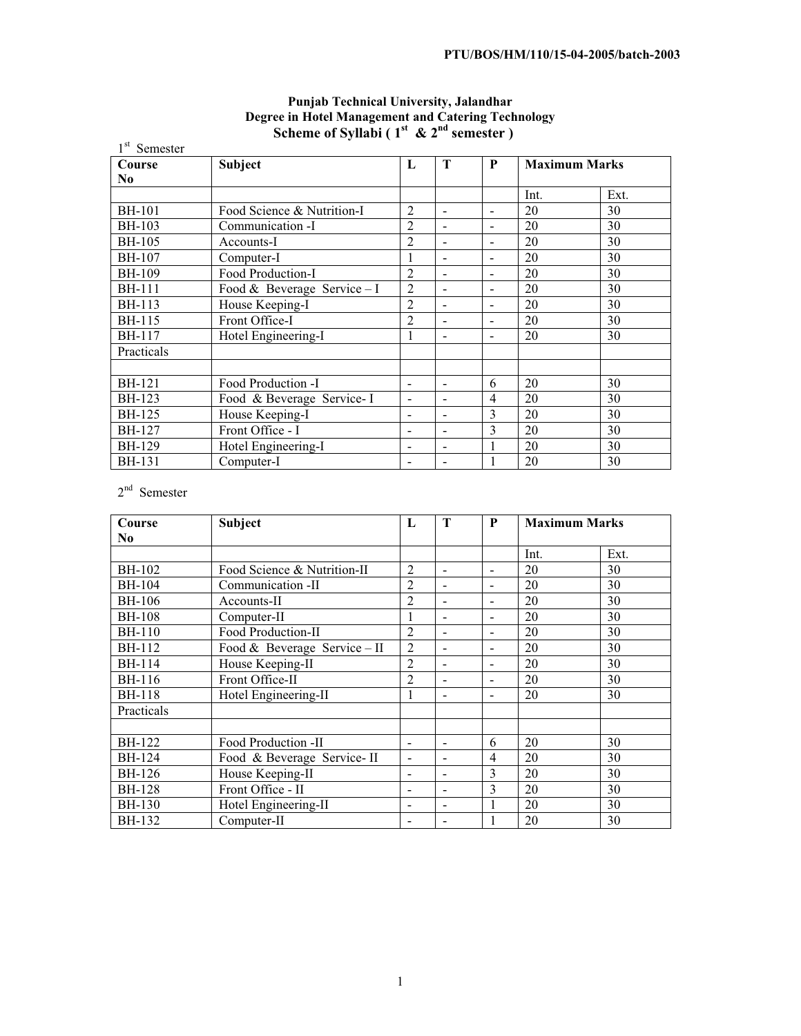| Semester       |                              |                          |                          |                          |                      |      |
|----------------|------------------------------|--------------------------|--------------------------|--------------------------|----------------------|------|
| Course         | <b>Subject</b>               | L                        | T                        | $\mathbf{P}$             | <b>Maximum Marks</b> |      |
| N <sub>0</sub> |                              |                          |                          |                          |                      |      |
|                |                              |                          |                          |                          | Int.                 | Ext. |
| <b>BH-101</b>  | Food Science & Nutrition-I   | $\overline{2}$           | $\blacksquare$           | $\overline{\phantom{a}}$ | 20                   | 30   |
| <b>BH-103</b>  | Communication -I             | $\overline{c}$           | $\blacksquare$           |                          | 20                   | 30   |
| <b>BH-105</b>  | Accounts-I                   | 2                        | $\sim$                   | $\overline{\phantom{a}}$ | 20                   | 30   |
| <b>BH-107</b>  | Computer-I                   |                          | $\blacksquare$           |                          | 20                   | 30   |
| <b>BH-109</b>  | Food Production-I            | $\overline{2}$           | $\sim$                   | $\sim$                   | 20                   | 30   |
| <b>BH-111</b>  | Food & Beverage Service $-I$ | $\overline{2}$           | $\blacksquare$           |                          | 20                   | 30   |
| <b>BH-113</b>  | House Keeping-I              | $\overline{2}$           | $\overline{a}$           |                          | 20                   | 30   |
| <b>BH-115</b>  | Front Office-I               | $\overline{2}$           | $\sim$                   |                          | 20                   | 30   |
| <b>BH-117</b>  | Hotel Engineering-I          |                          | $\sim$                   |                          | 20                   | 30   |
| Practicals     |                              |                          |                          |                          |                      |      |
|                |                              |                          |                          |                          |                      |      |
| <b>BH-121</b>  | Food Production -I           | $\sim$                   | $\sim$                   | 6                        | 20                   | 30   |
| BH-123         | Food & Beverage Service-I    |                          | $\blacksquare$           | $\overline{4}$           | 20                   | 30   |
| <b>BH-125</b>  | House Keeping-I              |                          | $\blacksquare$           | 3                        | 20                   | 30   |
| <b>BH-127</b>  | Front Office - I             | $\overline{\phantom{a}}$ | $\sim$                   | 3                        | 20                   | 30   |
| <b>BH-129</b>  | Hotel Engineering-I          |                          | $\blacksquare$           |                          | 20                   | 30   |
| <b>BH-131</b>  | Computer-I                   |                          | $\overline{\phantom{a}}$ |                          | 20                   | 30   |

# **Punjab Technical University, Jalandhar Degree in Hotel Management and Catering Technology**  Scheme of Syllabi (  $1<sup>st</sup>$  &  $2<sup>nd</sup>$  semester )

2<sup>nd</sup> Semester

| Course         | Subject                      | L              | T                        | P                        | <b>Maximum Marks</b> |      |
|----------------|------------------------------|----------------|--------------------------|--------------------------|----------------------|------|
| N <sub>0</sub> |                              |                |                          |                          |                      |      |
|                |                              |                |                          |                          | Int.                 | Ext. |
| BH-102         | Food Science & Nutrition-II  | $\overline{2}$ | $\overline{\phantom{a}}$ |                          | 20                   | 30   |
| <b>BH-104</b>  | Communication -II            | $\overline{2}$ | $\sim$                   |                          | 20                   | 30   |
| BH-106         | Accounts-II                  | $\overline{2}$ | $\blacksquare$           | $\overline{\phantom{0}}$ | 20                   | 30   |
| <b>BH-108</b>  | Computer-II                  |                | $\blacksquare$           | $\overline{\phantom{0}}$ | 20                   | 30   |
| <b>BH-110</b>  | Food Production-II           | 2              | $\overline{\phantom{a}}$ |                          | 20                   | 30   |
| <b>BH-112</b>  | Food & Beverage Service - II | $\overline{2}$ |                          |                          | 20                   | 30   |
| <b>BH-114</b>  | House Keeping-II             | 2              | $\overline{\phantom{a}}$ | $\overline{\phantom{a}}$ | 20                   | 30   |
| <b>BH-116</b>  | Front Office-II              | $\overline{2}$ | $\sim$                   |                          | 20                   | 30   |
| <b>BH-118</b>  | Hotel Engineering-II         |                |                          |                          | 20                   | 30   |
| Practicals     |                              |                |                          |                          |                      |      |
|                |                              |                |                          |                          |                      |      |
| <b>BH-122</b>  | Food Production -II          |                | $\overline{\phantom{a}}$ | 6                        | 20                   | 30   |
| <b>BH-124</b>  | Food & Beverage Service-II   |                |                          | 4                        | 20                   | 30   |
| <b>BH-126</b>  | House Keeping-II             |                | $\overline{\phantom{a}}$ | 3                        | 20                   | 30   |
| <b>BH-128</b>  | Front Office - II            |                | $\overline{\phantom{a}}$ | 3                        | 20                   | 30   |
| <b>BH-130</b>  | Hotel Engineering-II         |                | $\overline{\phantom{a}}$ |                          | 20                   | 30   |
| <b>BH-132</b>  | Computer-II                  |                |                          |                          | 20                   | 30   |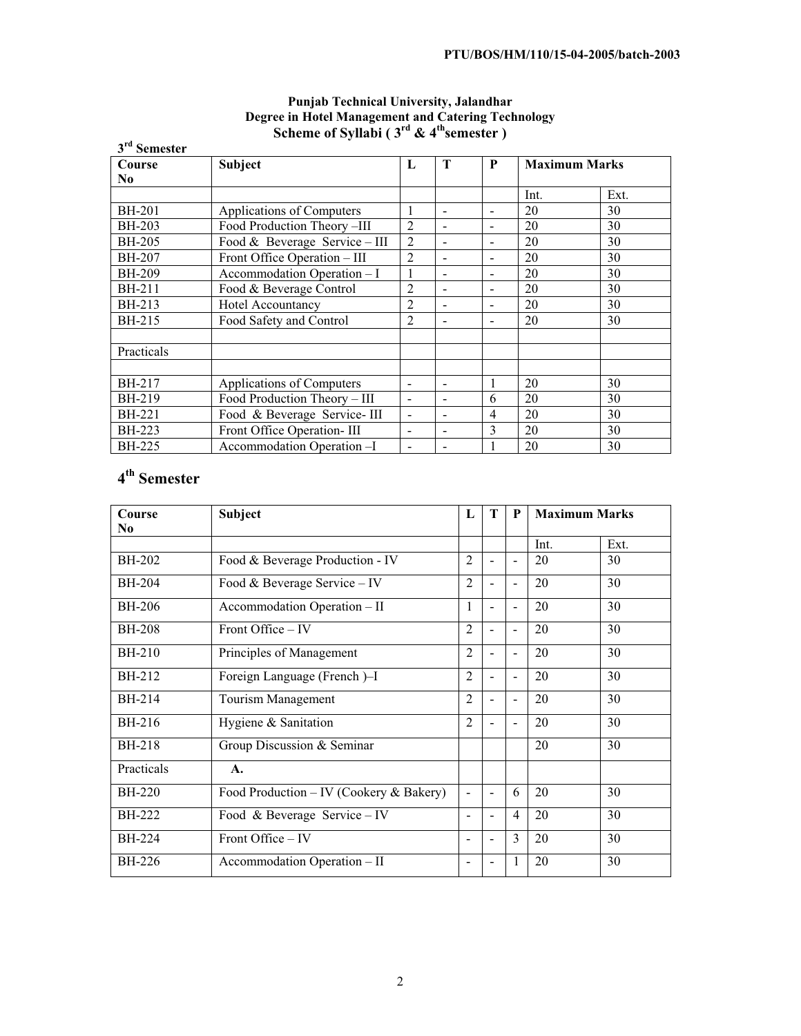| 3 <sup>rd</sup> Semester | $\cdots$ $\cdots$ $\cdots$ $\cdots$ |                |                          |                          |                      |      |
|--------------------------|-------------------------------------|----------------|--------------------------|--------------------------|----------------------|------|
| Course                   | Subject                             | L              | T                        | P                        | <b>Maximum Marks</b> |      |
| N <sub>0</sub>           |                                     |                |                          |                          |                      |      |
|                          |                                     |                |                          |                          | Int.                 | Ext. |
| <b>BH-201</b>            | Applications of Computers           | 1              | $\overline{\phantom{a}}$ |                          | 20                   | 30   |
| <b>BH-203</b>            | Food Production Theory-III          | $\overline{2}$ | $\overline{\phantom{a}}$ |                          | 20                   | 30   |
| <b>BH-205</b>            | Food & Beverage Service - III       | $\overline{2}$ | $\blacksquare$           |                          | 20                   | 30   |
| <b>BH-207</b>            | Front Office Operation - III        | $\overline{c}$ | $\blacksquare$           |                          | 20                   | 30   |
| <b>BH-209</b>            | Accommodation Operation - I         | 1              | $\blacksquare$           | $\overline{\phantom{a}}$ | 20                   | 30   |
| <b>BH-211</b>            | Food & Beverage Control             | 2              | $\overline{\phantom{a}}$ |                          | 20                   | 30   |
| BH-213                   | <b>Hotel Accountancy</b>            | $\overline{2}$ |                          |                          | 20                   | 30   |
| BH-215                   | Food Safety and Control             | 2              | $\overline{\phantom{0}}$ |                          | 20                   | 30   |
|                          |                                     |                |                          |                          |                      |      |
| Practicals               |                                     |                |                          |                          |                      |      |
|                          |                                     |                |                          |                          |                      |      |
| BH-217                   | Applications of Computers           |                | $\blacksquare$           |                          | 20                   | 30   |
| BH-219                   | Food Production Theory - III        | ÷.             | $\blacksquare$           | 6                        | 20                   | 30   |
| <b>BH-221</b>            | Food & Beverage Service-III         |                | $\overline{a}$           | 4                        | 20                   | 30   |
| <b>BH-223</b>            | Front Office Operation-III          | ۰              | $\blacksquare$           | 3                        | 20                   | 30   |
| <b>BH-225</b>            | Accommodation Operation -I          |                | $\blacksquare$           |                          | 20                   | 30   |

# **Punjab Technical University, Jalandhar Degree in Hotel Management and Catering Technology Scheme of Syllabi (3<sup>rd</sup> & 4<sup>th</sup>semester)**

# **4th Semester**

| Course         | <b>Subject</b>                          | L                        | T                        | P                        | <b>Maximum Marks</b> |      |
|----------------|-----------------------------------------|--------------------------|--------------------------|--------------------------|----------------------|------|
| N <sub>0</sub> |                                         |                          |                          |                          |                      |      |
|                |                                         |                          |                          |                          | Int.                 | Ext. |
| <b>BH-202</b>  | Food & Beverage Production - IV         | $\overline{2}$           |                          |                          | 20                   | 30   |
| <b>BH-204</b>  | Food & Beverage Service $-$ IV          | $\overline{2}$           |                          | $\blacksquare$           | 20                   | 30   |
| <b>BH-206</b>  | Accommodation Operation - II            | 1                        |                          |                          | 20                   | 30   |
| <b>BH-208</b>  | Front Office – IV                       | $\overline{2}$           |                          |                          | 20                   | 30   |
| <b>BH-210</b>  | Principles of Management                | $\overline{2}$           | $\overline{\phantom{0}}$ | $\blacksquare$           | 20                   | 30   |
| BH-212         | Foreign Language (French)-I             | $\mathfrak{D}$           |                          |                          | 20                   | 30   |
| BH-214         | Tourism Management                      | $\overline{2}$           |                          | $\blacksquare$           | 20                   | 30   |
| BH-216         | Hygiene & Sanitation                    | $\overline{2}$           |                          | $\overline{\phantom{a}}$ | 20                   | 30   |
| <b>BH-218</b>  | Group Discussion & Seminar              |                          |                          |                          | 20                   | 30   |
| Practicals     | $\mathbf{A}$ .                          |                          |                          |                          |                      |      |
| <b>BH-220</b>  | Food Production – IV (Cookery & Bakery) | $\blacksquare$           |                          | 6                        | 20                   | 30   |
| <b>BH-222</b>  | Food & Beverage Service – IV            | $\blacksquare$           |                          | $\overline{4}$           | 20                   | 30   |
| <b>BH-224</b>  | Front Office – IV                       | $\overline{\phantom{0}}$ | $\blacksquare$           | 3                        | 20                   | 30   |
| BH-226         | Accommodation Operation - II            |                          |                          | 1                        | 20                   | 30   |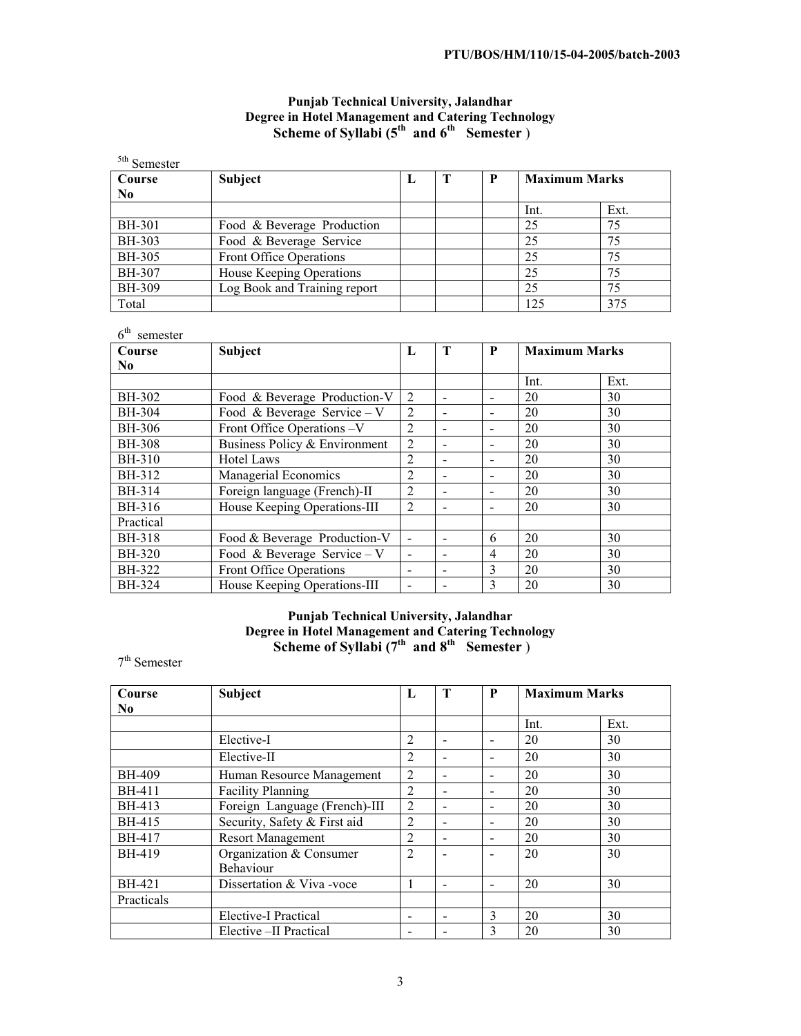# **Punjab Technical University, Jalandhar Degree in Hotel Management and Catering Technology Scheme of Syllabi (** $5<sup>th</sup>$  **and**  $6<sup>th</sup>$  **Semester)**

| <sup>5th</sup> Semester |                              |   |              |   |                      |      |
|-------------------------|------------------------------|---|--------------|---|----------------------|------|
| Course                  | <b>Subject</b>               | L | $\mathbf{T}$ | P | <b>Maximum Marks</b> |      |
| N <sub>0</sub>          |                              |   |              |   |                      |      |
|                         |                              |   |              |   | Int.                 | Ext. |
| <b>BH-301</b>           | Food & Beverage Production   |   |              |   | 25                   | 75   |
| BH-303                  | Food & Beverage Service      |   |              |   | 25                   | 75   |
| BH-305                  | Front Office Operations      |   |              |   | 25                   | 75   |
| <b>BH-307</b>           | House Keeping Operations     |   |              |   | 25                   | 75   |
| BH-309                  | Log Book and Training report |   |              |   | 25                   | 75   |
| Total                   |                              |   |              |   | 125                  | 375  |

| $6^{\text{th}}$<br>semester |                               |                          |                          |                          |                      |      |
|-----------------------------|-------------------------------|--------------------------|--------------------------|--------------------------|----------------------|------|
| Course                      | <b>Subject</b>                | L                        | T                        | P                        | <b>Maximum Marks</b> |      |
| $\bf No$                    |                               |                          |                          |                          |                      |      |
|                             |                               |                          |                          |                          | Int.                 | Ext. |
| BH-302                      | Food & Beverage Production-V  | 2                        | $\overline{\phantom{a}}$ |                          | 20                   | 30   |
| BH-304                      | Food & Beverage Service – V   | 2                        | $\blacksquare$           |                          | 20                   | 30   |
| BH-306                      | Front Office Operations -V    | 2                        | $\blacksquare$           | $\overline{\phantom{a}}$ | 20                   | 30   |
| <b>BH-308</b>               | Business Policy & Environment | 2                        | $\overline{\phantom{a}}$ |                          | 20                   | 30   |
| BH-310                      | <b>Hotel Laws</b>             | 2                        | $\blacksquare$           |                          | 20                   | 30   |
| BH-312                      | Managerial Economics          | 2                        | $\blacksquare$           |                          | 20                   | 30   |
| BH-314                      | Foreign language (French)-II  | 2                        | $\overline{\phantom{a}}$ |                          | 20                   | 30   |
| BH-316                      | House Keeping Operations-III  | $\mathfrak{D}$           | $\overline{\phantom{a}}$ | $\overline{\phantom{a}}$ | 20                   | 30   |
| Practical                   |                               |                          |                          |                          |                      |      |
| <b>BH-318</b>               | Food & Beverage Production-V  | $\blacksquare$           | $\blacksquare$           | 6                        | 20                   | 30   |
| <b>BH-320</b>               | Food & Beverage Service – V   |                          | $\blacksquare$           | $\overline{4}$           | 20                   | 30   |
| BH-322                      | Front Office Operations       |                          | $\overline{\phantom{a}}$ | 3                        | 20                   | 30   |
| BH-324                      | House Keeping Operations-III  | $\overline{\phantom{a}}$ | $\overline{\phantom{a}}$ | 3                        | 20                   | 30   |

# **Punjab Technical University, Jalandhar Degree in Hotel Management and Catering Technology Scheme of Syllabi** ( $7<sup>th</sup>$  and  $8<sup>th</sup>$  Semester)

<sup>7</sup>th Semester

| Course         | Subject                       | L              | T                            | P                        | <b>Maximum Marks</b> |      |
|----------------|-------------------------------|----------------|------------------------------|--------------------------|----------------------|------|
| N <sub>0</sub> |                               |                |                              |                          |                      |      |
|                |                               |                |                              |                          | Int.                 | Ext. |
|                | Elective-I                    | $\overline{2}$ | $\qquad \qquad \blacksquare$ | $\overline{\phantom{0}}$ | 20                   | 30   |
|                | Elective-II                   | $\overline{2}$ | $\overline{\phantom{a}}$     |                          | 20                   | 30   |
| <b>BH-409</b>  | Human Resource Management     | $\overline{2}$ | $\overline{\phantom{a}}$     | $\overline{\phantom{0}}$ | 20                   | 30   |
| <b>BH-411</b>  | <b>Facility Planning</b>      | 2              | $\overline{\phantom{a}}$     |                          | 20                   | 30   |
| BH-413         | Foreign Language (French)-III | 2              | $\overline{\phantom{a}}$     | $\overline{\phantom{a}}$ | 20                   | 30   |
| BH-415         | Security, Safety & First aid  | 2              | $\overline{\phantom{a}}$     | $\overline{\phantom{0}}$ | 20                   | 30   |
| <b>BH-417</b>  | <b>Resort Management</b>      | 2              | $\overline{\phantom{a}}$     | $\overline{\phantom{a}}$ | 20                   | 30   |
| <b>BH-419</b>  | Organization & Consumer       | $\overline{2}$ | $\overline{\phantom{a}}$     |                          | 20                   | 30   |
|                | Behaviour                     |                |                              |                          |                      |      |
| BH-421         | Dissertation & Viva-voce      |                | $\blacksquare$               |                          | 20                   | 30   |
| Practicals     |                               |                |                              |                          |                      |      |
|                | Elective-I Practical          |                | $\overline{\phantom{a}}$     | 3                        | 20                   | 30   |
|                | Elective -II Practical        |                | $\overline{\phantom{a}}$     | 3                        | 20                   | 30   |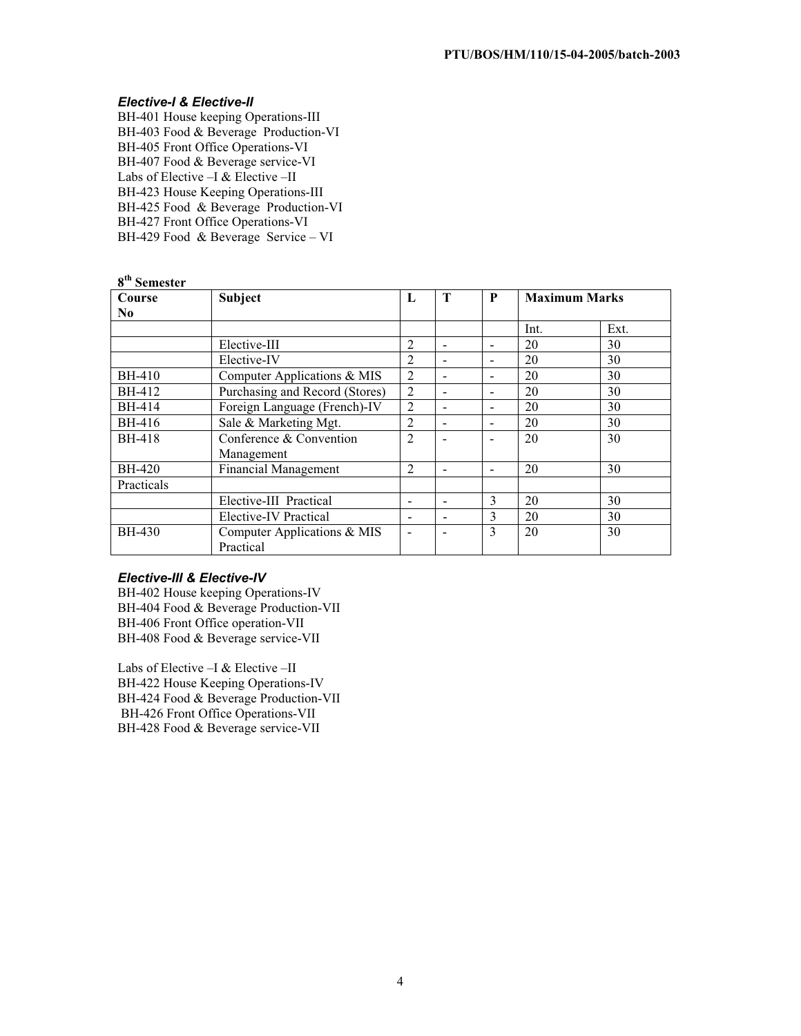# *Elective-I & Elective-II*

BH-401 House keeping Operations-III BH-403 Food & Beverage Production-VI BH-405 Front Office Operations-VI BH-407 Food & Beverage service-VI Labs of Elective –I & Elective –II BH-423 House Keeping Operations-III BH-425 Food & Beverage Production-VI BH-427 Front Office Operations-VI BH-429 Food & Beverage Service – VI

| <b>Semester</b> |                                |                |                          |                          |                      |      |
|-----------------|--------------------------------|----------------|--------------------------|--------------------------|----------------------|------|
| Course          | <b>Subject</b>                 | L              | T                        | P                        | <b>Maximum Marks</b> |      |
| N <sub>0</sub>  |                                |                |                          |                          |                      |      |
|                 |                                |                |                          |                          | Int.                 | Ext. |
|                 | Elective-III                   | $\mathfrak{D}$ | $\sim$                   |                          | 20                   | 30   |
|                 | Elective-IV                    | 2              | $\sim$                   |                          | 20                   | 30   |
| <b>BH-410</b>   | Computer Applications & MIS    | $\overline{2}$ | $\overline{\phantom{a}}$ |                          | 20                   | 30   |
| BH-412          | Purchasing and Record (Stores) | $\overline{2}$ | $\overline{\phantom{a}}$ | $\overline{\phantom{0}}$ | 20                   | 30   |
| BH-414          | Foreign Language (French)-IV   | $\overline{2}$ | $\overline{\phantom{a}}$ |                          | 20                   | 30   |
| BH-416          | Sale & Marketing Mgt.          | $\overline{2}$ | $\overline{\phantom{a}}$ | $\overline{\phantom{a}}$ | 20                   | 30   |
| <b>BH-418</b>   | Conference & Convention        | $\overline{2}$ | $\overline{\phantom{a}}$ | $\overline{\phantom{0}}$ | 20                   | 30   |
|                 | Management                     |                |                          |                          |                      |      |
| <b>BH-420</b>   | <b>Financial Management</b>    | 2              | $\overline{\phantom{a}}$ | $\overline{\phantom{a}}$ | 20                   | 30   |
| Practicals      |                                |                |                          |                          |                      |      |
|                 | Elective-III Practical         |                | $\blacksquare$           | 3                        | 20                   | 30   |
|                 | Elective-IV Practical          |                | $\blacksquare$           | 3                        | 20                   | 30   |
| <b>BH-430</b>   | Computer Applications & MIS    |                | $\overline{\phantom{a}}$ | 3                        | 20                   | 30   |
|                 | Practical                      |                |                          |                          |                      |      |

# *Elective-III & Elective-IV*

BH-402 House keeping Operations-IV BH-404 Food & Beverage Production-VII BH-406 Front Office operation-VII BH-408 Food & Beverage service-VII

Labs of Elective –I & Elective –II BH-422 House Keeping Operations-IV BH-424 Food & Beverage Production-VII BH-426 Front Office Operations-VII BH-428 Food & Beverage service-VII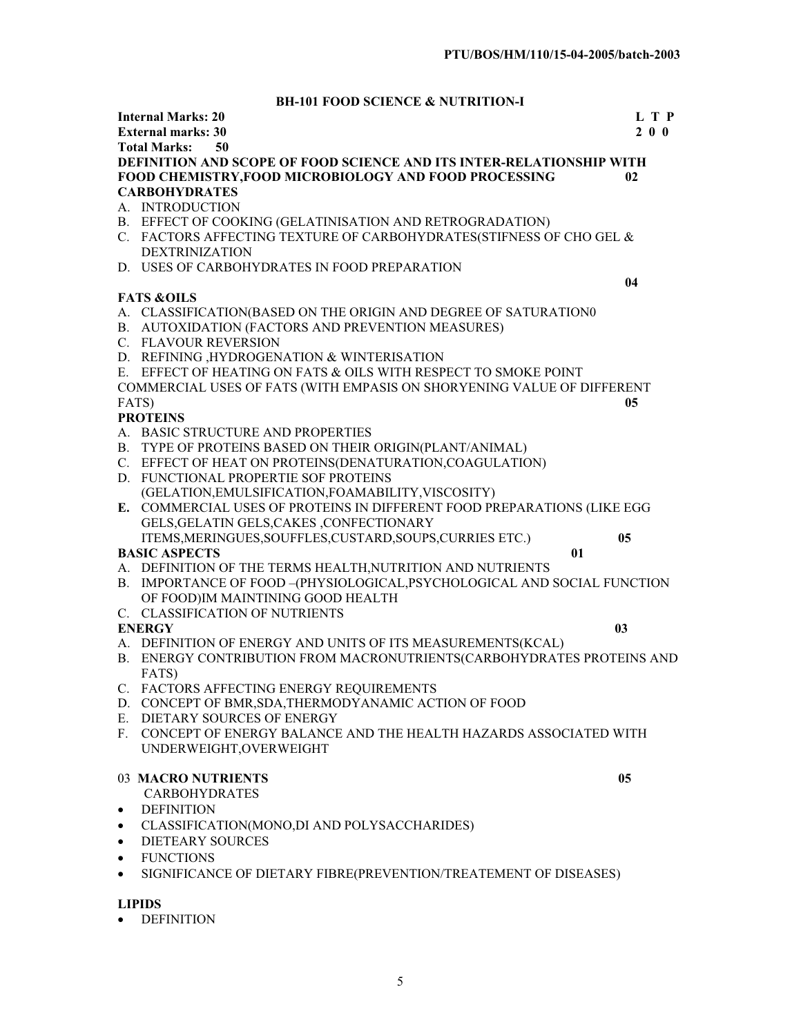# **BH-101 FOOD SCIENCE & NUTRITION-I**

|           | <b>Internal Marks: 20</b>                                                   | L T P          |
|-----------|-----------------------------------------------------------------------------|----------------|
|           | <b>External marks: 30</b>                                                   | 200            |
|           | 50<br><b>Total Marks:</b>                                                   |                |
|           | DEFINITION AND SCOPE OF FOOD SCIENCE AND ITS INTER-RELATIONSHIP WITH        |                |
|           | FOOD CHEMISTRY, FOOD MICROBIOLOGY AND FOOD PROCESSING                       | 02             |
|           | <b>CARBOHYDRATES</b>                                                        |                |
|           | A. INTRODUCTION                                                             |                |
|           | B. EFFECT OF COOKING (GELATINISATION AND RETROGRADATION)                    |                |
|           | C. FACTORS AFFECTING TEXTURE OF CARBOHYDRATES(STIFNESS OF CHO GEL &         |                |
|           | <b>DEXTRINIZATION</b>                                                       |                |
|           | D. USES OF CARBOHYDRATES IN FOOD PREPARATION                                |                |
|           |                                                                             | 04             |
|           | <b>FATS &amp;OILS</b>                                                       |                |
|           | A. CLASSIFICATION(BASED ON THE ORIGIN AND DEGREE OF SATURATION0             |                |
|           | B. AUTOXIDATION (FACTORS AND PREVENTION MEASURES)                           |                |
|           | C. FLAVOUR REVERSION                                                        |                |
|           | D. REFINING , HYDROGENATION & WINTERISATION                                 |                |
|           | E. EFFECT OF HEATING ON FATS & OILS WITH RESPECT TO SMOKE POINT             |                |
|           |                                                                             |                |
|           | COMMERCIAL USES OF FATS (WITH EMPASIS ON SHORYENING VALUE OF DIFFERENT      |                |
|           | FATS)                                                                       | 0 <sub>5</sub> |
|           | <b>PROTEINS</b>                                                             |                |
|           | A. BASIC STRUCTURE AND PROPERTIES                                           |                |
|           | B. TYPE OF PROTEINS BASED ON THEIR ORIGIN(PLANT/ANIMAL)                     |                |
|           | C. EFFECT OF HEAT ON PROTEINS(DENATURATION, COAGULATION)                    |                |
|           | D. FUNCTIONAL PROPERTIE SOF PROTEINS                                        |                |
|           | (GELATION, EMULSIFICATION, FOAMABILITY, VISCOSITY)                          |                |
|           | E. COMMERCIAL USES OF PROTEINS IN DIFFERENT FOOD PREPARATIONS (LIKE EGG     |                |
|           | GELS, GELATIN GELS, CAKES, CONFECTIONARY                                    |                |
|           | ITEMS, MERINGUES, SOUFFLES, CUSTARD, SOUPS, CURRIES ETC.)<br>0 <sub>5</sub> |                |
|           | <b>BASIC ASPECTS</b><br>01                                                  |                |
|           | A. DEFINITION OF THE TERMS HEALTH, NUTRITION AND NUTRIENTS                  |                |
|           | B. IMPORTANCE OF FOOD-(PHYSIOLOGICAL, PSYCHOLOGICAL AND SOCIAL FUNCTION     |                |
|           | OF FOOD)IM MAINTINING GOOD HEALTH                                           |                |
|           | C. CLASSIFICATION OF NUTRIENTS                                              |                |
|           | 0 <sub>3</sub><br><b>ENERGY</b>                                             |                |
|           | A. DEFINITION OF ENERGY AND UNITS OF ITS MEASUREMENTS(KCAL)                 |                |
|           | B. ENERGY CONTRIBUTION FROM MACRONUTRIENTS(CARBOHYDRATES PROTEINS AND       |                |
|           | FATS)                                                                       |                |
|           | C. FACTORS AFFECTING ENERGY REQUIREMENTS                                    |                |
|           | D. CONCEPT OF BMR, SDA, THERMODY ANAMIC ACTION OF FOOD                      |                |
|           | E. DIETARY SOURCES OF ENERGY                                                |                |
|           | F. CONCEPT OF ENERGY BALANCE AND THE HEALTH HAZARDS ASSOCIATED WITH         |                |
|           | UNDERWEIGHT, OVERWEIGHT                                                     |                |
|           |                                                                             |                |
|           | 03 MACRO NUTRIENTS<br>0 <sub>5</sub>                                        |                |
|           | <b>CARBOHYDRATES</b>                                                        |                |
| ٠         | <b>DEFINITION</b>                                                           |                |
|           | CLASSIFICATION(MONO,DI AND POLYSACCHARIDES)                                 |                |
| ٠         |                                                                             |                |
| $\bullet$ | <b>DIETEARY SOURCES</b>                                                     |                |
| $\bullet$ | <b>FUNCTIONS</b>                                                            |                |
| $\bullet$ | SIGNIFICANCE OF DIETARY FIBRE(PREVENTION/TREATEMENT OF DISEASES)            |                |
|           |                                                                             |                |
|           | <b>LIPIDS</b>                                                               |                |

 $\bullet$  DEFINITION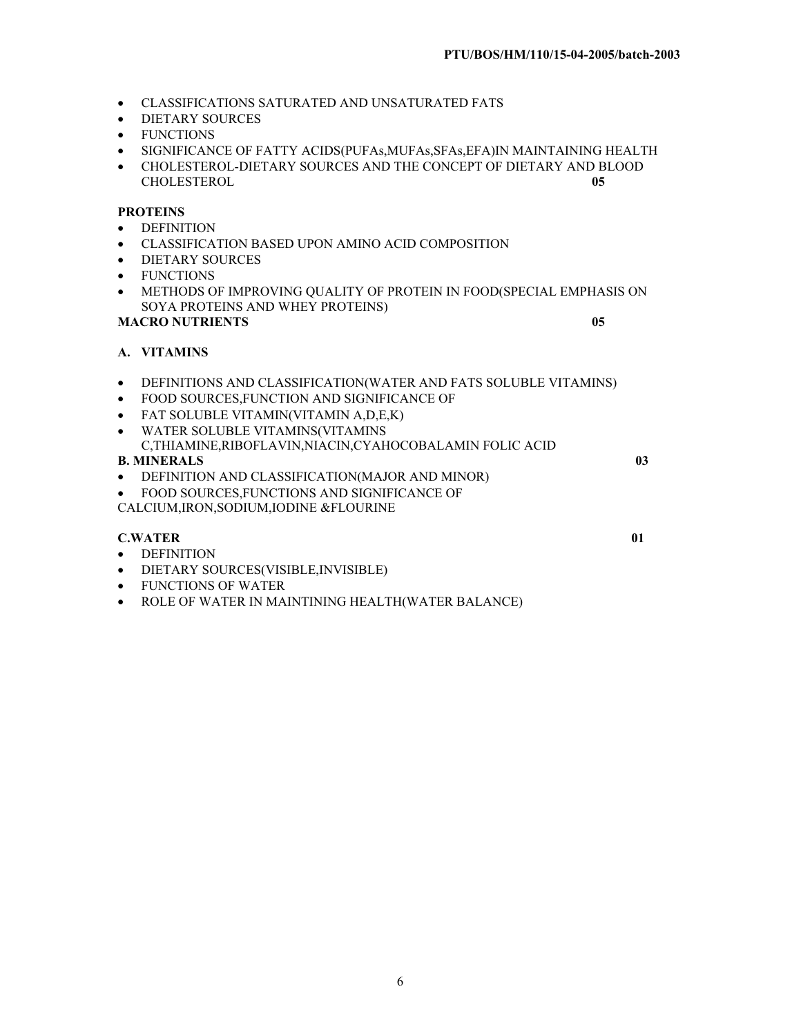- **CLASSIFICATIONS SATURATED AND UNSATURATED FATS**
- DIETARY SOURCES
- FUNCTIONS
- x SIGNIFICANCE OF FATTY ACIDS(PUFAs,MUFAs,SFAs,EFA)IN MAINTAINING HEALTH
- CHOLESTEROL-DIETARY SOURCES AND THE CONCEPT OF DIETARY AND BLOOD CHOLESTEROL **05** CHOLESTEROL **05**

# **PROTEINS**

- DEFINITION
- $\bullet$  CLASSIFICATION BASED UPON AMINO ACID COMPOSITION
- DIETARY SOURCES
- FUNCTIONS
- x METHODS OF IMPROVING QUALITY OF PROTEIN IN FOOD(SPECIAL EMPHASIS ON SOYA PROTEINS AND WHEY PROTEINS)

## **MACRO NUTRIENTS 05**

# **A. VITAMINS**

- x DEFINITIONS AND CLASSIFICATION(WATER AND FATS SOLUBLE VITAMINS)
- FOOD SOURCES, FUNCTION AND SIGNIFICANCE OF
- FAT SOLUBLE VITAMIN(VITAMIN A,D,E,K)
- x WATER SOLUBLE VITAMINS(VITAMINS
- C,THIAMINE,RIBOFLAVIN,NIACIN,CYAHOCOBALAMIN FOLIC ACID **B. MINERALS 03**
- DEFINITION AND CLASSIFICATION(MAJOR AND MINOR)
- FOOD SOURCES, FUNCTIONS AND SIGNIFICANCE OF
- CALCIUM,IRON,SODIUM,IODINE &FLOURINE

# **C.WATER** 01

- DEFINITION
- **•** DIETARY SOURCES(VISIBLE, INVISIBLE)
- FUNCTIONS OF WATER
- ROLE OF WATER IN MAINTINING HEALTH(WATER BALANCE)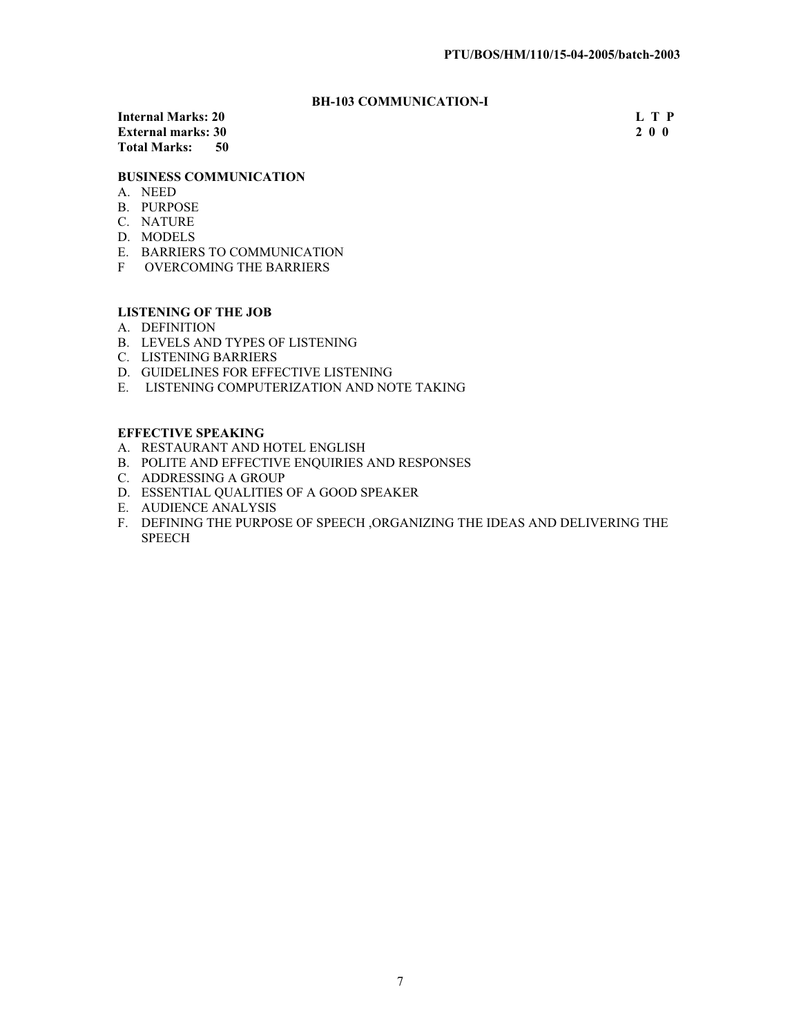# **BH-103 COMMUNICATION-I**

**Internal Marks: 20** L T P<br> **External marks: 30** 2 0 0 **External marks: 30 Total Marks: 50** 

## **BUSINESS COMMUNICATION**

- A. NEED
- B. PURPOSE
- C. NATURE
- D. MODELS
- E. BARRIERS TO COMMUNICATION
- F OVERCOMING THE BARRIERS

# **LISTENING OF THE JOB**

- A. DEFINITION
- B. LEVELS AND TYPES OF LISTENING
- C. LISTENING BARRIERS
- D. GUIDELINES FOR EFFECTIVE LISTENING
- E. LISTENING COMPUTERIZATION AND NOTE TAKING

## **EFFECTIVE SPEAKING**

- A. RESTAURANT AND HOTEL ENGLISH
- B. POLITE AND EFFECTIVE ENQUIRIES AND RESPONSES
- C. ADDRESSING A GROUP
- D. ESSENTIAL QUALITIES OF A GOOD SPEAKER
- E. AUDIENCE ANALYSIS
- F. DEFINING THE PURPOSE OF SPEECH ,ORGANIZING THE IDEAS AND DELIVERING THE SPEECH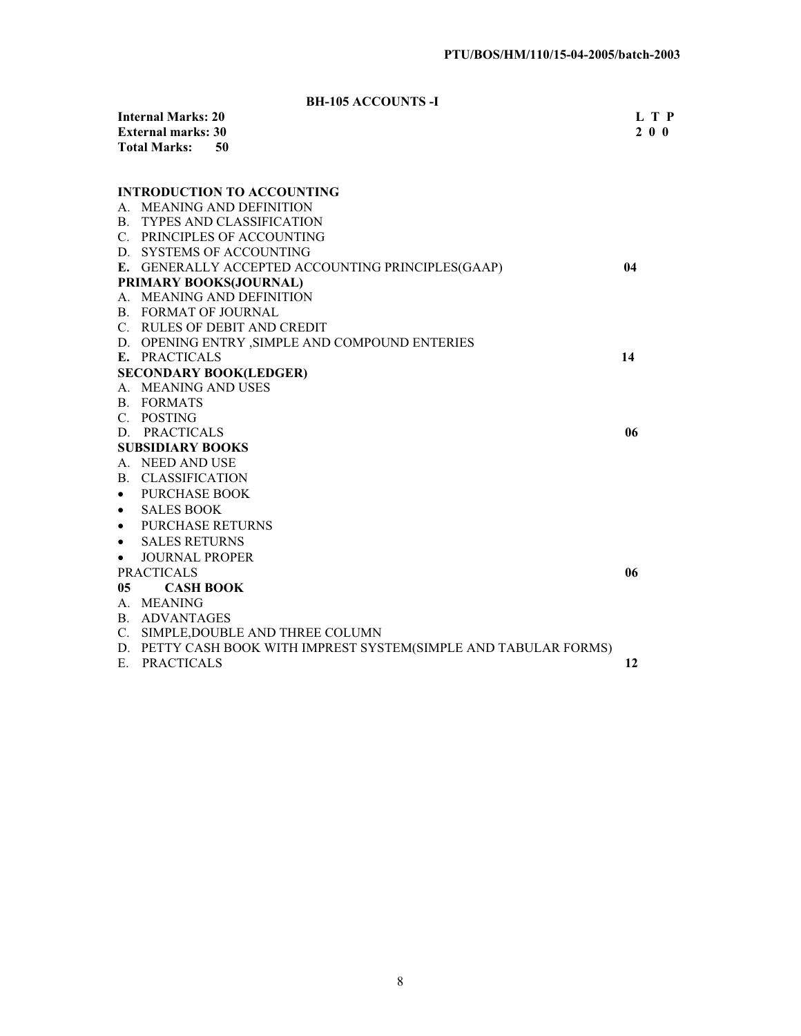**BH-105 ACCOUNTS -I** 

|                | <b>Internal Marks: 20</b>   |                                                                  | L T P     |
|----------------|-----------------------------|------------------------------------------------------------------|-----------|
|                | <b>External marks: 30</b>   |                                                                  | $2\ 0\ 0$ |
|                | <b>Total Marks:</b>         | 50                                                               |           |
|                |                             |                                                                  |           |
|                |                             | <b>INTRODUCTION TO ACCOUNTING</b>                                |           |
|                |                             | A. MEANING AND DEFINITION                                        |           |
|                |                             | <b>B. TYPES AND CLASSIFICATION</b>                               |           |
|                |                             | C. PRINCIPLES OF ACCOUNTING                                      |           |
|                |                             | D. SYSTEMS OF ACCOUNTING                                         |           |
|                |                             | E. GENERALLY ACCEPTED ACCOUNTING PRINCIPLES(GAAP)                | 04        |
|                |                             | PRIMARY BOOKS(JOURNAL)                                           |           |
|                |                             | A. MEANING AND DEFINITION                                        |           |
|                | <b>B. FORMAT OF JOURNAL</b> |                                                                  |           |
|                |                             | C. RULES OF DEBIT AND CREDIT                                     |           |
|                |                             | D. OPENING ENTRY , SIMPLE AND COMPOUND ENTERIES                  |           |
|                | E. PRACTICALS               |                                                                  | 14        |
|                |                             | <b>SECONDARY BOOK(LEDGER)</b>                                    |           |
|                | A. MEANING AND USES         |                                                                  |           |
|                | B. FORMATS                  |                                                                  |           |
|                | C. POSTING                  |                                                                  |           |
|                | D. PRACTICALS               |                                                                  | 06        |
|                | <b>SUBSIDIARY BOOKS</b>     |                                                                  |           |
|                | A. NEED AND USE             |                                                                  |           |
|                | B. CLASSIFICATION           |                                                                  |           |
| $\bullet$      | <b>PURCHASE BOOK</b>        |                                                                  |           |
| $\bullet$      | <b>SALES BOOK</b>           |                                                                  |           |
| $\bullet$      | <b>PURCHASE RETURNS</b>     |                                                                  |           |
| $\bullet$      | <b>SALES RETURNS</b>        |                                                                  |           |
| $\bullet$      | <b>JOURNAL PROPER</b>       |                                                                  |           |
|                | <b>PRACTICALS</b>           |                                                                  | 06        |
| 0 <sub>5</sub> | <b>CASH BOOK</b>            |                                                                  |           |
|                | A. MEANING                  |                                                                  |           |
|                | B. ADVANTAGES               |                                                                  |           |
|                |                             | C. SIMPLE, DOUBLE AND THREE COLUMN                               |           |
|                |                             | D. PETTY CASH BOOK WITH IMPREST SYSTEM(SIMPLE AND TABULAR FORMS) |           |
|                | E. PRACTICALS               |                                                                  | 12        |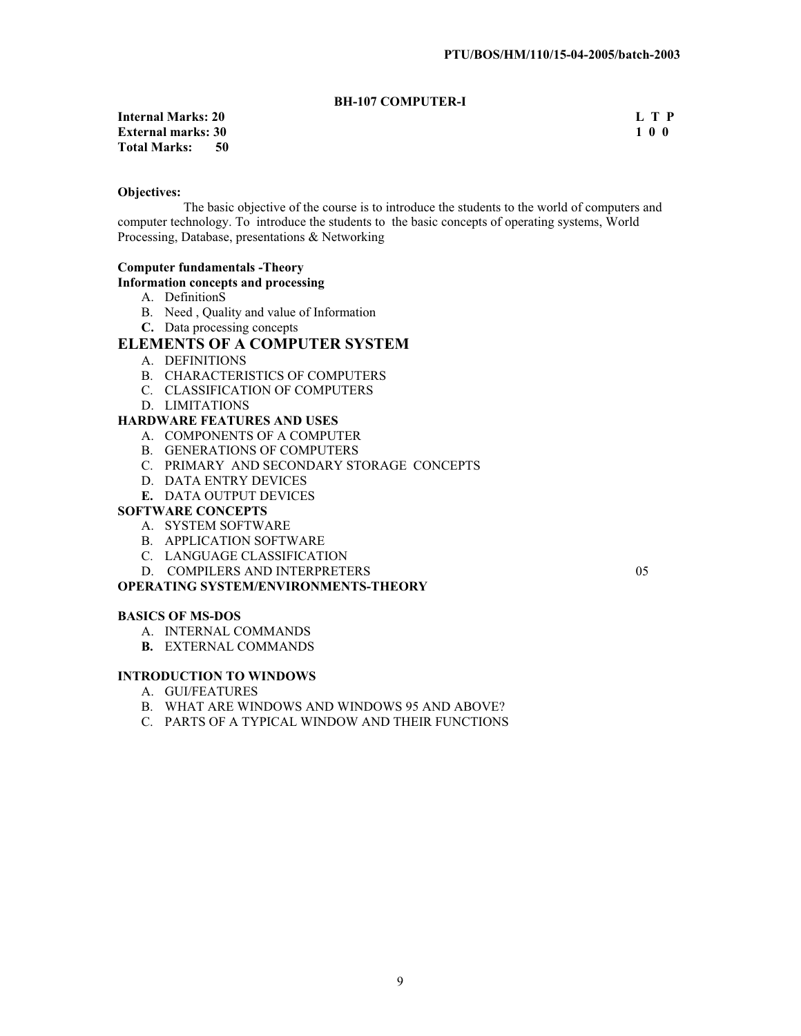# **BH-107 COMPUTER-I**

# **Internal Marks: 20 L T P External marks: 30<br>Total Marks: 50 Total Marks:**

#### **Objectives:**

 The basic objective of the course is to introduce the students to the world of computers and computer technology. To introduce the students to the basic concepts of operating systems, World Processing, Database, presentations & Networking

#### **Computer fundamentals -Theory**

#### **Information concepts and processing**

- A. DefinitionS
- B. Need , Quality and value of Information
- **C.** Data processing concepts

# **ELEMENTS OF A COMPUTER SYSTEM**

- A. DEFINITIONS
- B. CHARACTERISTICS OF COMPUTERS
- C. CLASSIFICATION OF COMPUTERS
- D. LIMITATIONS

## **HARDWARE FEATURES AND USES**

- A. COMPONENTS OF A COMPUTER
- B. GENERATIONS OF COMPUTERS
- C. PRIMARY AND SECONDARY STORAGE CONCEPTS
- D. DATA ENTRY DEVICES
- **E.** DATA OUTPUT DEVICES

## **SOFTWARE CONCEPTS**

- A. SYSTEM SOFTWARE
- B. APPLICATION SOFTWARE
- C. LANGUAGE CLASSIFICATION
- D. COMPILERS AND INTERPRETERS 05

#### **OPERATING SYSTEM/ENVIRONMENTS-THEORY**

#### **BASICS OF MS-DOS**

- A. INTERNAL COMMANDS
- **B.** EXTERNAL COMMANDS

## **INTRODUCTION TO WINDOWS**

- A. GUI/FEATURES
- B. WHAT ARE WINDOWS AND WINDOWS 95 AND ABOVE?
- C. PARTS OF A TYPICAL WINDOW AND THEIR FUNCTIONS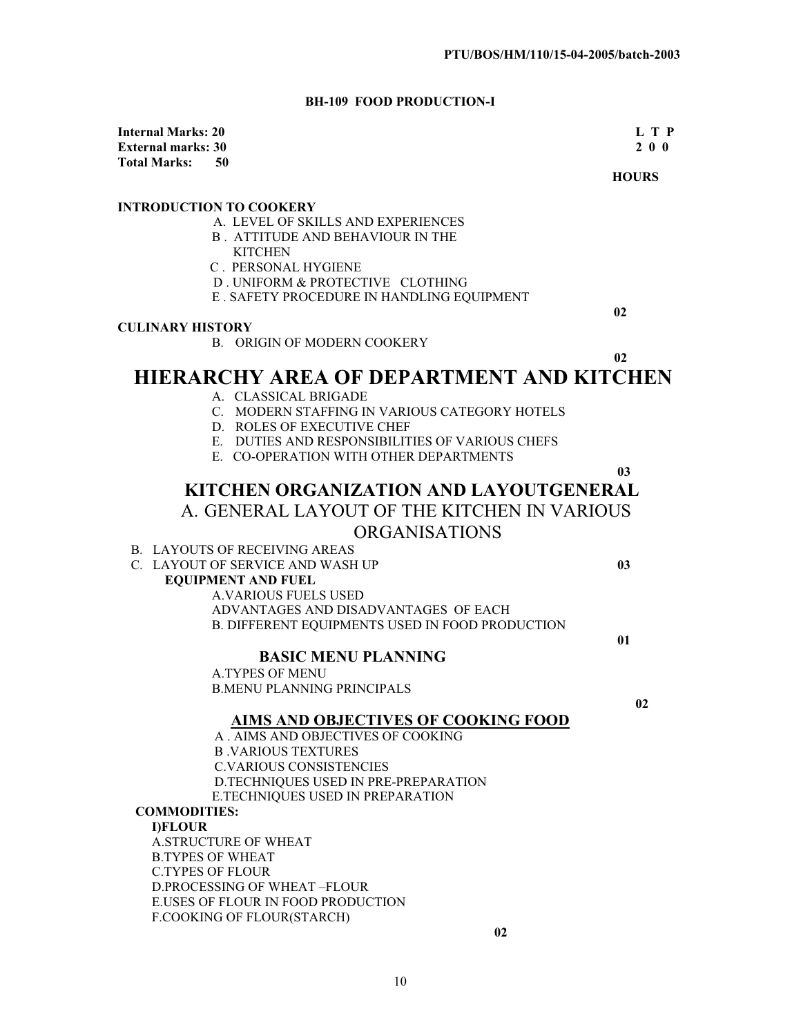# **BH-109 FOOD PRODUCTION-I**

| <b>Internal Marks: 20</b>      |                                                              | L T P        |
|--------------------------------|--------------------------------------------------------------|--------------|
| <b>External marks: 30</b>      |                                                              | 200          |
| <b>Total Marks:</b><br>50      |                                                              | <b>HOURS</b> |
|                                |                                                              |              |
| <b>INTRODUCTION TO COOKERY</b> |                                                              |              |
|                                | A. LEVEL OF SKILLS AND EXPERIENCES                           |              |
|                                | <b>B. ATTITUDE AND BEHAVIOUR IN THE</b>                      |              |
|                                | <b>KITCHEN</b>                                               |              |
|                                | C. PERSONAL HYGIENE<br>D. UNIFORM & PROTECTIVE CLOTHING      |              |
|                                | E . SAFETY PROCEDURE IN HANDLING EQUIPMENT                   |              |
|                                |                                                              | 02           |
| <b>CULINARY HISTORY</b>        |                                                              |              |
|                                | <b>B. ORIGIN OF MODERN COOKERY</b>                           |              |
|                                |                                                              | 02           |
|                                | <b>HIERARCHY AREA OF DEPARTMENT AND KITCHEN</b>              |              |
|                                | A. CLASSICAL BRIGADE                                         |              |
|                                | C. MODERN STAFFING IN VARIOUS CATEGORY HOTELS                |              |
|                                | D. ROLES OF EXECUTIVE CHEF                                   |              |
|                                | E. DUTIES AND RESPONSIBILITIES OF VARIOUS CHEFS              |              |
|                                | E. CO-OPERATION WITH OTHER DEPARTMENTS                       |              |
|                                |                                                              | 03           |
|                                | KITCHEN ORGANIZATION AND LAYOUTGENERAL                       |              |
|                                | A. GENERAL LAYOUT OF THE KITCHEN IN VARIOUS                  |              |
|                                | <b>ORGANISATIONS</b>                                         |              |
|                                | <b>B. LAYOUTS OF RECEIVING AREAS</b>                         |              |
|                                | C. LAYOUT OF SERVICE AND WASH UP                             | 03           |
|                                | <b>EQUIPMENT AND FUEL</b>                                    |              |
|                                | <b>A.VARIOUS FUELS USED</b>                                  |              |
|                                | ADVANTAGES AND DISADVANTAGES OF EACH                         |              |
|                                | B. DIFFERENT EQUIPMENTS USED IN FOOD PRODUCTION              |              |
|                                |                                                              | 01           |
|                                | <b>BASIC MENU PLANNING</b>                                   |              |
|                                | <b>A.TYPES OF MENU</b>                                       |              |
|                                | <b>B.MENU PLANNING PRINCIPALS</b>                            |              |
|                                |                                                              | 02           |
|                                | <b>AIMS AND OBJECTIVES OF COOKING FOOD</b>                   |              |
|                                | A. AIMS AND OBJECTIVES OF COOKING                            |              |
|                                | <b>B. VARIOUS TEXTURES</b><br><b>C.VARIOUS CONSISTENCIES</b> |              |
|                                | D.TECHNIQUES USED IN PRE-PREPARATION                         |              |
|                                | E.TECHNIQUES USED IN PREPARATION                             |              |
| <b>COMMODITIES:</b>            |                                                              |              |
| <b>I)FLOUR</b>                 |                                                              |              |
|                                | <b>A.STRUCTURE OF WHEAT</b>                                  |              |
| <b>B.TYPES OF WHEAT</b>        |                                                              |              |
| <b>C.TYPES OF FLOUR</b>        |                                                              |              |
|                                | D.PROCESSING OF WHEAT-FLOUR                                  |              |
|                                | E.USES OF FLOUR IN FOOD PRODUCTION                           |              |
|                                | F.COOKING OF FLOUR(STARCH)                                   |              |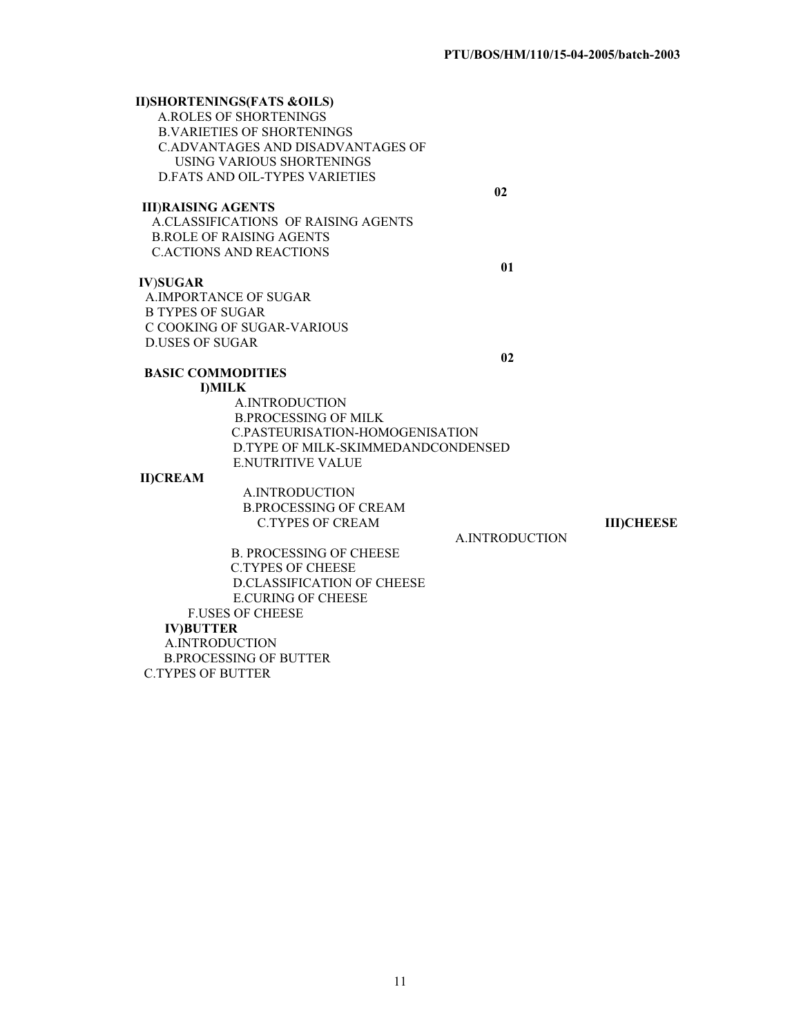## **II)SHORTENINGS(FATS &OILS)** A.ROLES OF SHORTENINGS B.VARIETIES OF SHORTENINGS C.ADVANTAGES AND DISADVANTAGES OF USING VARIOUS SHORTENINGS D.FATS AND OIL-TYPES VARIETIES  **02 III**)**RAISING AGENTS** A.CLASSIFICATIONS OF RAISING AGENTS B.ROLE OF RAISING AGENTS C.ACTIONS AND REACTIONS **01 IV**)**SUGAR** A.IMPORTANCE OF SUGAR B TYPES OF SUGAR C COOKING OF SUGAR-VARIOUS D.USES OF SUGAR **02 BASIC COMMODITIES I)MILK**  A.INTRODUCTION B.PROCESSING OF MILK C.PASTEURISATION-HOMOGENISATION D.TYPE OF MILK-SKIMMEDANDCONDENSED E.NUTRITIVE VALUE

#### **II)CREAM**

 A.INTRODUCTION B.PROCESSING OF CREAM C.TYPES OF CREAM **III)CHEESE**

A.INTRODUCTION

 B. PROCESSING OF CHEESE C.TYPES OF CHEESE D.CLASSIFICATION OF CHEESE E.CURING OF CHEESE F.USES OF CHEESE **IV)BUTTER** A.INTRODUCTION B.PROCESSING OF BUTTER C.TYPES OF BUTTER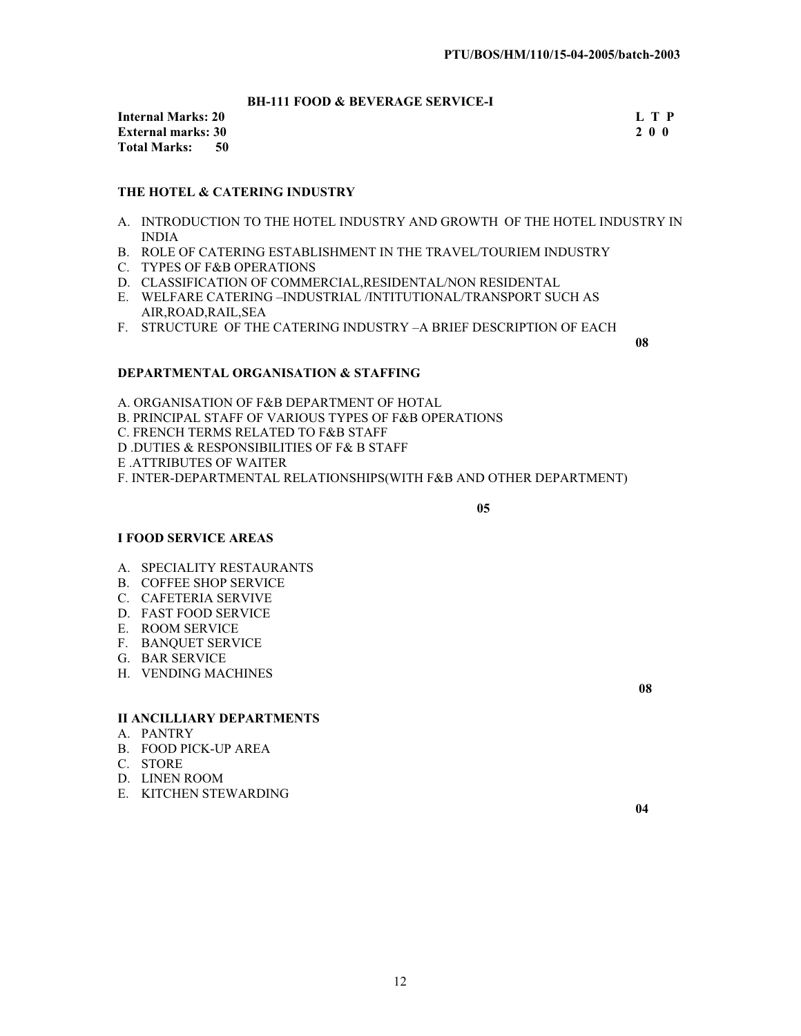# **BH-111 FOOD & BEVERAGE SERVICE-I**

**Internal Marks: 20** L T P<br> **External marks: 30** 2 0 0 **External marks: 30 Total Marks: 50** 

#### **THE HOTEL & CATERING INDUSTRY**

- A. INTRODUCTION TO THE HOTEL INDUSTRY AND GROWTH OF THE HOTEL INDUSTRY IN INDIA
- B. ROLE OF CATERING ESTABLISHMENT IN THE TRAVEL/TOURIEM INDUSTRY
- C. TYPES OF F&B OPERATIONS
- D. CLASSIFICATION OF COMMERCIAL,RESIDENTAL/NON RESIDENTAL
- E. WELFARE CATERING –INDUSTRIAL /INTITUTIONAL/TRANSPORT SUCH AS AIR,ROAD,RAIL,SEA
- F. STRUCTURE OF THE CATERING INDUSTRY –A BRIEF DESCRIPTION OF EACH

 **08**

#### **DEPARTMENTAL ORGANISATION & STAFFING**

A. ORGANISATION OF F&B DEPARTMENT OF HOTAL B. PRINCIPAL STAFF OF VARIOUS TYPES OF F&B OPERATIONS C. FRENCH TERMS RELATED TO F&B STAFF D .DUTIES & RESPONSIBILITIES OF F& B STAFF E .ATTRIBUTES OF WAITER F. INTER-DEPARTMENTAL RELATIONSHIPS(WITH F&B AND OTHER DEPARTMENT)

 **05** 

#### **I FOOD SERVICE AREAS**

- A. SPECIALITY RESTAURANTS
- B. COFFEE SHOP SERVICE
- C. CAFETERIA SERVIVE
- D. FAST FOOD SERVICE
- E. ROOM SERVICE
- F. BANQUET SERVICE
- G. BAR SERVICE
- H. VENDING MACHINES

### **II ANCILLIARY DEPARTMENTS**

- A. PANTRY
- B. FOOD PICK-UP AREA
- C. STORE
- D. LINEN ROOM
- E. KITCHEN STEWARDING

**08**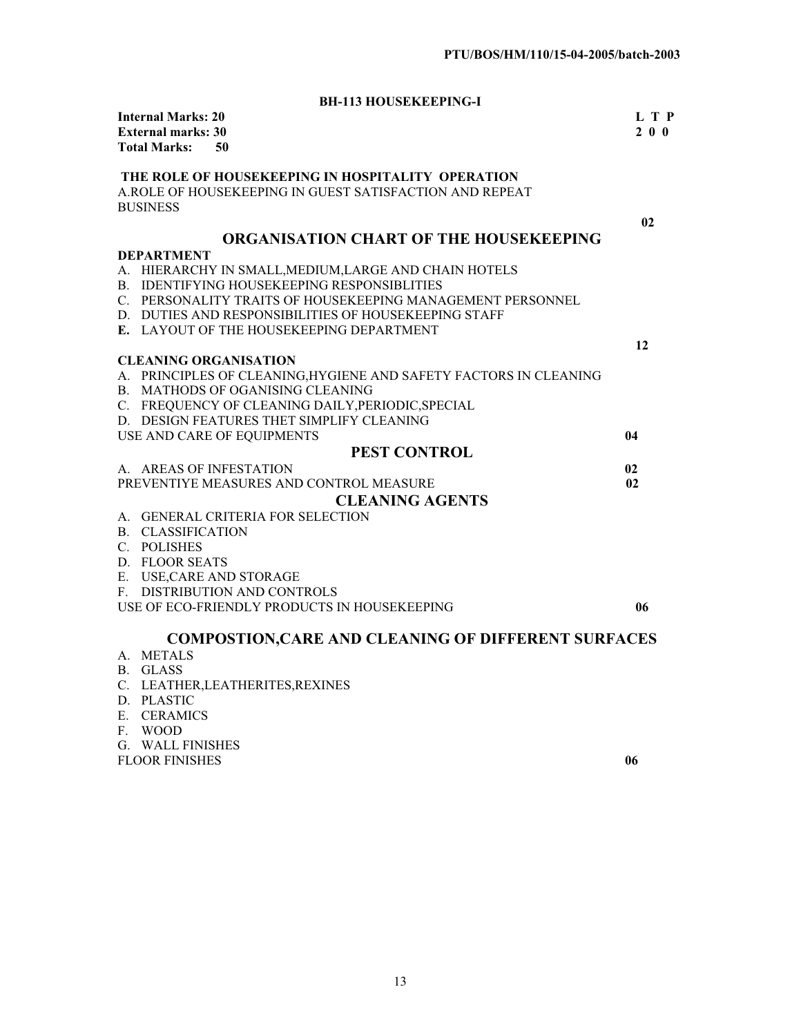**BH-113 HOUSEKEEPING-I**

| <b>Internal Marks: 20</b><br><b>External marks: 30</b><br><b>Total Marks:</b> | 50                                                                                                           | L T P<br>$2 \theta \theta$ |
|-------------------------------------------------------------------------------|--------------------------------------------------------------------------------------------------------------|----------------------------|
|                                                                               | THE ROLE OF HOUSEKEEPING IN HOSPITALITY OPERATION<br>A.ROLE OF HOUSEKEEPING IN GUEST SATISFACTION AND REPEAT |                            |
| <b>BUSINESS</b>                                                               |                                                                                                              |                            |
|                                                                               |                                                                                                              | 02                         |
|                                                                               | ORGANISATION CHART OF THE HOUSEKEEPING                                                                       |                            |
| <b>DEPARTMENT</b>                                                             |                                                                                                              |                            |
|                                                                               | A. HIERARCHY IN SMALL, MEDIUM, LARGE AND CHAIN HOTELS                                                        |                            |
|                                                                               | B. IDENTIFYING HOUSEKEEPING RESPONSIBLITIES                                                                  |                            |
|                                                                               | C. PERSONALITY TRAITS OF HOUSEKEEPING MANAGEMENT PERSONNEL                                                   |                            |
|                                                                               | D. DUTIES AND RESPONSIBILITIES OF HOUSEKEEPING STAFF                                                         |                            |
|                                                                               | E. LAYOUT OF THE HOUSEKEEPING DEPARTMENT                                                                     | 12                         |
| <b>CLEANING ORGANISATION</b>                                                  |                                                                                                              |                            |
|                                                                               | A. PRINCIPLES OF CLEANING, HYGIENE AND SAFETY FACTORS IN CLEANING                                            |                            |
|                                                                               | B. MATHODS OF OGANISING CLEANING                                                                             |                            |
|                                                                               | C. FREQUENCY OF CLEANING DAILY, PERIODIC, SPECIAL                                                            |                            |
|                                                                               | D. DESIGN FEATURES THET SIMPLIFY CLEANING                                                                    |                            |
|                                                                               | USE AND CARE OF EQUIPMENTS                                                                                   | 04                         |
|                                                                               | <b>PEST CONTROL</b>                                                                                          |                            |
| A. AREAS OF INFESTATION                                                       |                                                                                                              | 02                         |
|                                                                               | PREVENTIYE MEASURES AND CONTROL MEASURE                                                                      | 02                         |
|                                                                               | <b>CLEANING AGENTS</b>                                                                                       |                            |
|                                                                               | A. GENERAL CRITERIA FOR SELECTION                                                                            |                            |
| <b>B. CLASSIFICATION</b>                                                      |                                                                                                              |                            |
| C. POLISHES                                                                   |                                                                                                              |                            |
| D. FLOOR SEATS                                                                |                                                                                                              |                            |
| E. USE, CARE AND STORAGE                                                      |                                                                                                              |                            |
|                                                                               | F. DISTRIBUTION AND CONTROLS                                                                                 |                            |
|                                                                               | USE OF ECO-FRIENDLY PRODUCTS IN HOUSEKEEPING                                                                 | 06                         |
|                                                                               | <b>COMPOSTION, CARE AND CLEANING OF DIFFERENT SURFACES</b>                                                   |                            |
| A. METALS                                                                     |                                                                                                              |                            |
| B. GLASS                                                                      |                                                                                                              |                            |
|                                                                               | C. LEATHER, LEATHERITES, REXINES                                                                             |                            |
| $D \cup D$ $I \cup C$                                                         |                                                                                                              |                            |

- D. PLASTIC
- E. CERAMICS
- F. WOOD

G. WALL FINISHES

FLOOR FINISHES **06**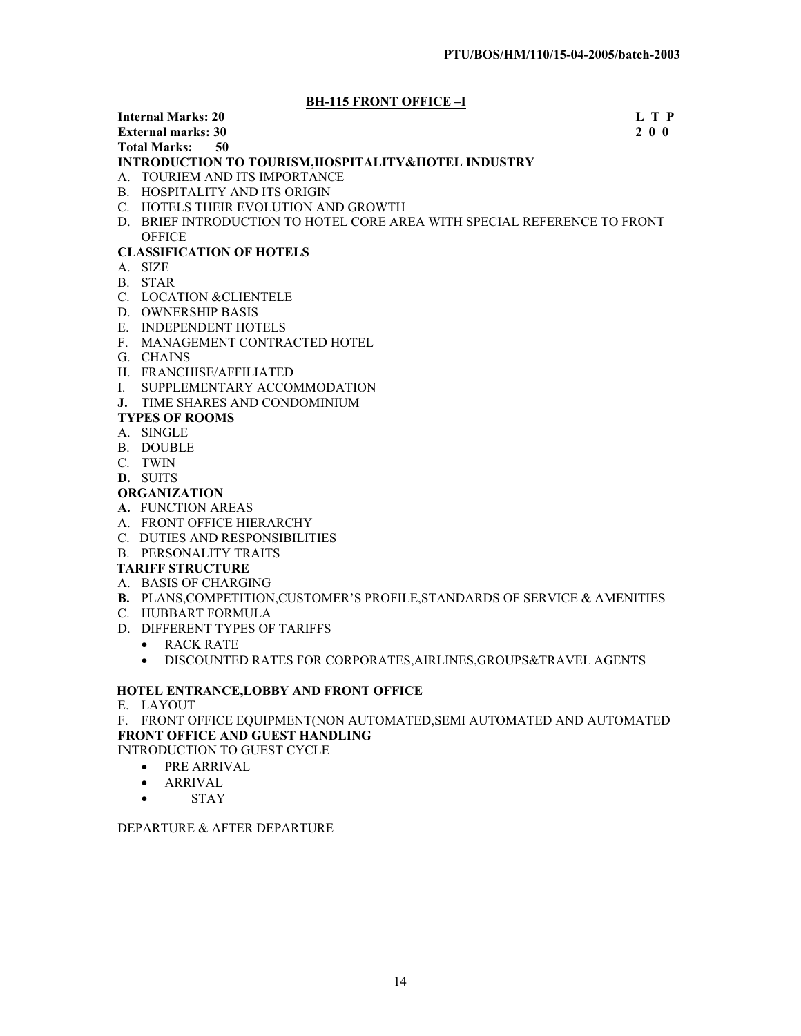# **BH-115 FRONT OFFICE –I**

# **Internal Marks: 20** L T P<br> **External marks: 30** 2 0 0

#### **External marks: 30 Total Marks: 50**

# **INTRODUCTION TO TOURISM,HOSPITALITY&HOTEL INDUSTRY**

- A. TOURIEM AND ITS IMPORTANCE
- B. HOSPITALITY AND ITS ORIGIN
- C. HOTELS THEIR EVOLUTION AND GROWTH
- D. BRIEF INTRODUCTION TO HOTEL CORE AREA WITH SPECIAL REFERENCE TO FRONT **OFFICE**

# **CLASSIFICATION OF HOTELS**

- A. SIZE
- B. STAR
- C. LOCATION &CLIENTELE
- D. OWNERSHIP BASIS
- E. INDEPENDENT HOTELS
- F. MANAGEMENT CONTRACTED HOTEL
- G. CHAINS
- H. FRANCHISE/AFFILIATED
- I. SUPPLEMENTARY ACCOMMODATION
- **J.** TIME SHARES AND CONDOMINIUM

# **TYPES OF ROOMS**

- A. SINGLE
- B. DOUBLE
- C. TWIN
- **D.** SUITS
- **ORGANIZATION**
- **A.** FUNCTION AREAS
- A. FRONT OFFICE HIERARCHY
- C. DUTIES AND RESPONSIBILITIES
- B. PERSONALITY TRAITS

# **TARIFF STRUCTURE**

- A. BASIS OF CHARGING
- **B.** PLANS,COMPETITION,CUSTOMER'S PROFILE,STANDARDS OF SERVICE & AMENITIES
- C. HUBBART FORMULA
- D. DIFFERENT TYPES OF TARIFFS
	- RACK RATE
	- $\bullet$  DISCOUNTED RATES FOR CORPORATES, AIRLINES, GROUPS&TRAVEL AGENTS

# **HOTEL ENTRANCE,LOBBY AND FRONT OFFICE**

# E. LAYOUT

F. FRONT OFFICE EQUIPMENT(NON AUTOMATED,SEMI AUTOMATED AND AUTOMATED **FRONT OFFICE AND GUEST HANDLING** 

- INTRODUCTION TO GUEST CYCLE
	- PRE ARRIVAL
	- ARRIVAL
	- $\bullet$  STAY

# DEPARTURE & AFTER DEPARTURE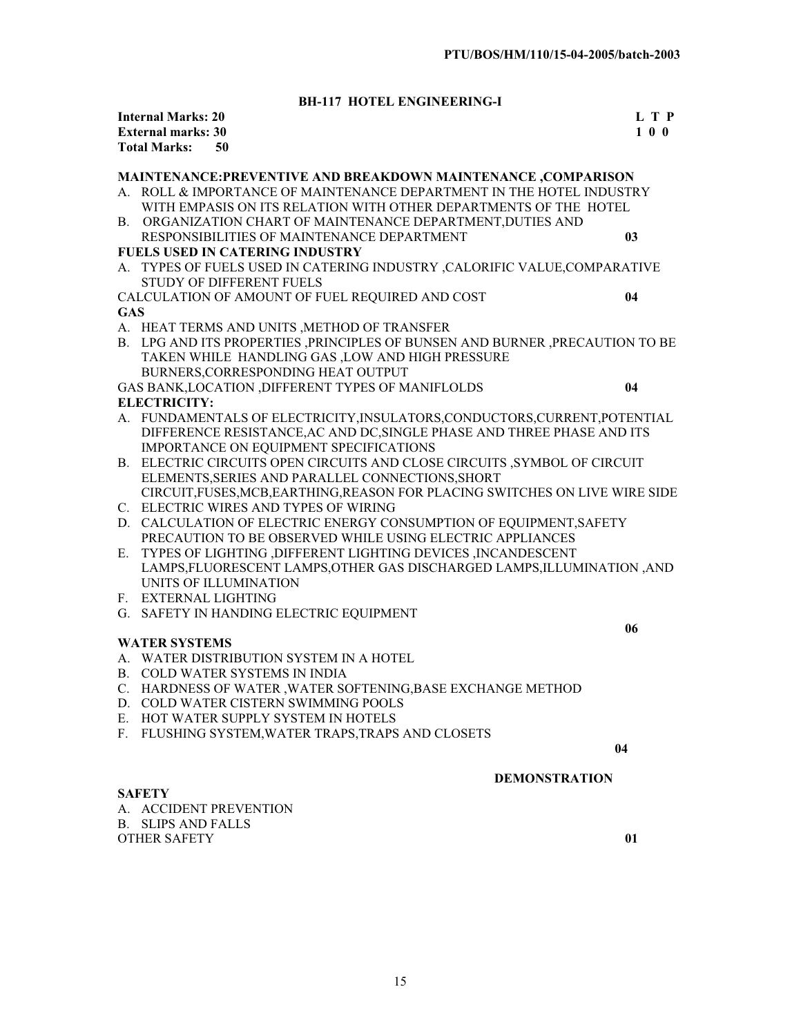# **BH-117 HOTEL ENGINEERING-I**

|            | <b>Internal Marks: 20</b> |                                                                              | L T P |
|------------|---------------------------|------------------------------------------------------------------------------|-------|
|            | <b>External marks: 30</b> |                                                                              | 100   |
|            | <b>Total Marks:</b>       | 50                                                                           |       |
|            |                           |                                                                              |       |
|            |                           | MAINTENANCE: PREVENTIVE AND BREAKDOWN MAINTENANCE, COMPARISON                |       |
|            |                           | A. ROLL & IMPORTANCE OF MAINTENANCE DEPARTMENT IN THE HOTEL INDUSTRY         |       |
|            |                           | WITH EMPASIS ON ITS RELATION WITH OTHER DEPARTMENTS OF THE HOTEL             |       |
|            |                           | B. ORGANIZATION CHART OF MAINTENANCE DEPARTMENT, DUTIES AND                  |       |
|            |                           | RESPONSIBILITIES OF MAINTENANCE DEPARTMENT                                   | 03    |
|            |                           | <b>FUELS USED IN CATERING INDUSTRY</b>                                       |       |
|            |                           | A. TYPES OF FUELS USED IN CATERING INDUSTRY , CALORIFIC VALUE, COMPARATIVE   |       |
|            |                           | <b>STUDY OF DIFFERENT FUELS</b>                                              |       |
|            |                           | CALCULATION OF AMOUNT OF FUEL REQUIRED AND COST                              | 04    |
| <b>GAS</b> |                           |                                                                              |       |
|            |                           | A. HEAT TERMS AND UNITS , METHOD OF TRANSFER                                 |       |
|            |                           | B. LPG AND ITS PROPERTIES ,PRINCIPLES OF BUNSEN AND BURNER ,PRECAUTION TO BE |       |
|            |                           | TAKEN WHILE HANDLING GAS, LOW AND HIGH PRESSURE                              |       |
|            |                           | BURNERS, CORRESPONDING HEAT OUTPUT                                           |       |
|            |                           | GAS BANK, LOCATION, DIFFERENT TYPES OF MANIFLOLDS                            | 04    |
|            | <b>ELECTRICITY:</b>       |                                                                              |       |
|            |                           | A. FUNDAMENTALS OF ELECTRICITY, INSULATORS, CONDUCTORS, CURRENT, POTENTIAL   |       |
|            |                           | DIFFERENCE RESISTANCE, AC AND DC, SINGLE PHASE AND THREE PHASE AND ITS       |       |
|            |                           | IMPORTANCE ON EQUIPMENT SPECIFICATIONS                                       |       |
|            |                           | B. ELECTRIC CIRCUITS OPEN CIRCUITS AND CLOSE CIRCUITS ,SYMBOL OF CIRCUIT     |       |
|            |                           | ELEMENTS, SERIES AND PARALLEL CONNECTIONS, SHORT                             |       |
|            |                           | CIRCUIT, FUSES, MCB, EARTHING, REASON FOR PLACING SWITCHES ON LIVE WIRE SIDE |       |
|            |                           | C. ELECTRIC WIRES AND TYPES OF WIRING                                        |       |
|            |                           | D. CALCULATION OF ELECTRIC ENERGY CONSUMPTION OF EQUIPMENT, SAFETY           |       |
|            |                           | PRECAUTION TO BE OBSERVED WHILE USING ELECTRIC APPLIANCES                    |       |
| Е.         |                           | TYPES OF LIGHTING , DIFFERENT LIGHTING DEVICES , INCANDESCENT                |       |
|            |                           | LAMPS, FLUORESCENT LAMPS, OTHER GAS DISCHARGED LAMPS, ILLUMINATION, AND      |       |
|            |                           | UNITS OF ILLUMINATION                                                        |       |
|            | F. EXTERNAL LIGHTING      |                                                                              |       |
|            |                           | G. SAFETY IN HANDING ELECTRIC EQUIPMENT                                      |       |
|            |                           |                                                                              | 06    |
|            | <b>WATER SYSTEMS</b>      |                                                                              |       |
|            |                           | A. WATER DISTRIBUTION SYSTEM IN A HOTEL                                      |       |
|            |                           | B. COLD WATER SYSTEMS IN INDIA                                               |       |
|            |                           | C. HARDNESS OF WATER, WATER SOFTENING, BASE EXCHANGE METHOD                  |       |
|            |                           | D. COLD WATER CISTERN SWIMMING POOLS                                         |       |
|            |                           | E. HOT WATER SUPPLY SYSTEM IN HOTELS                                         |       |
|            |                           | F. FLUSHING SYSTEM, WATER TRAPS, TRAPS AND CLOSETS                           |       |
|            |                           | 04                                                                           |       |
|            |                           | <b>DEMONSTRATION</b>                                                         |       |
|            | <b>SAFETY</b>             |                                                                              |       |
|            |                           | A. ACCIDENT PREVENTION                                                       |       |

B. SLIPS AND FALLS OTHER SAFETY **01**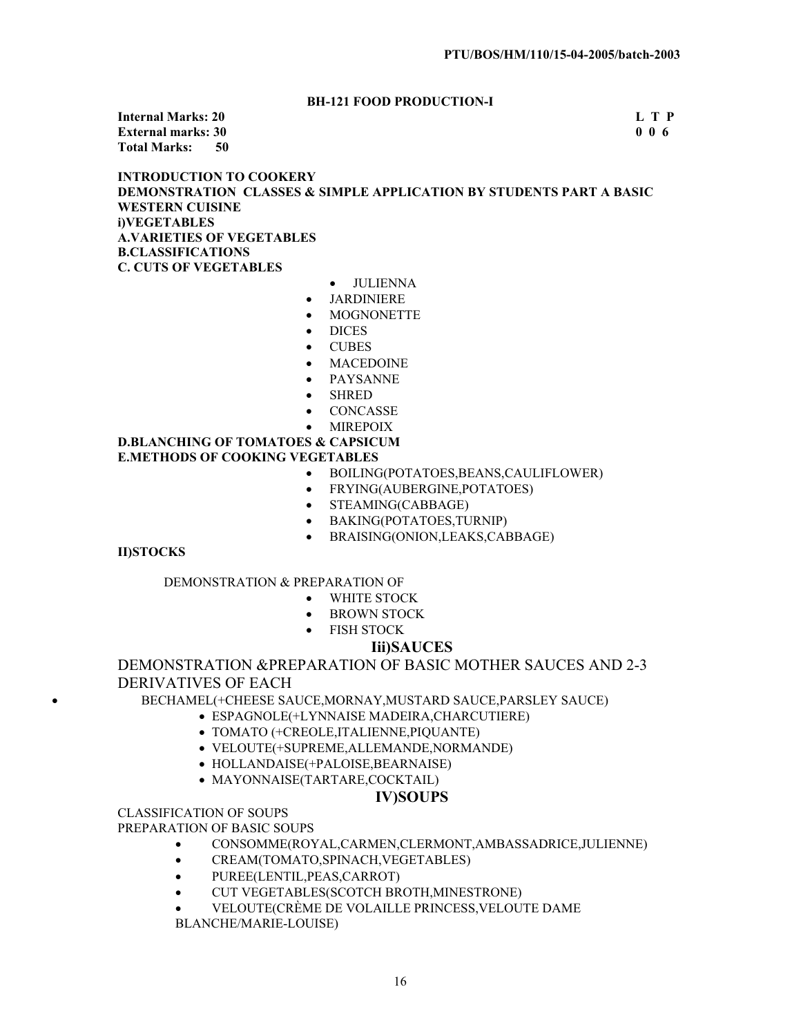# **BH-121 FOOD PRODUCTION-I**

**Internal Marks: 20 L T P External marks: 30 Total Marks: 50** 

# **INTRODUCTION TO COOKERY DEMONSTRATION CLASSES & SIMPLE APPLICATION BY STUDENTS PART A BASIC WESTERN CUISINE i)VEGETABLES A.VARIETIES OF VEGETABLES B.CLASSIFICATIONS C. CUTS OF VEGETABLES**

- JULIENNA
- JARDINIERE
- **MOGNONETTE**
- DICES<sub></sub>
- **CUBES**
- **MACEDOINE**
- **PAYSANNE**
- **SHRED**
- **CONCASSE**
- **MIREPOIX**

## **D.BLANCHING OF TOMATOES & CAPSICUM E.METHODS OF COOKING VEGETABLES**

- x BOILING(POTATOES,BEANS,CAULIFLOWER)
- FRYING(AUBERGINE, POTATOES)
- STEAMING(CABBAGE)
- **•** BAKING(POTATOES,TURNIP)
- BRAISING(ONION,LEAKS,CABBAGE)

# **II)STOCKS**

# DEMONSTRATION & PREPARATION OF

- WHITE STOCK
- BROWN STOCK
- FISH STOCK

# **Iii)SAUCES**

# DEMONSTRATION &PREPARATION OF BASIC MOTHER SAUCES AND 2-3 DERIVATIVES OF EACH

x BECHAMEL(+CHEESE SAUCE,MORNAY,MUSTARD SAUCE,PARSLEY SAUCE)

- x ESPAGNOLE(+LYNNAISE MADEIRA,CHARCUTIERE)
	- x TOMATO (+CREOLE,ITALIENNE,PIQUANTE)
	- x VELOUTE(+SUPREME,ALLEMANDE,NORMANDE)
	- HOLLANDAISE(+PALOISE, BEARNAISE)
	- MAYONNAISE(TARTARE,COCKTAIL)

# **IV)SOUPS**

CLASSIFICATION OF SOUPS

PREPARATION OF BASIC SOUPS

- x CONSOMME(ROYAL,CARMEN,CLERMONT,AMBASSADRICE,JULIENNE)
- CREAM(TOMATO,SPINACH, VEGETABLES)
- x PUREE(LENTIL,PEAS,CARROT)
- x CUT VEGETABLES(SCOTCH BROTH,MINESTRONE)
- x VELOUTE(CRÈME DE VOLAILLE PRINCESS,VELOUTE DAME

BLANCHE/MARIE-LOUISE)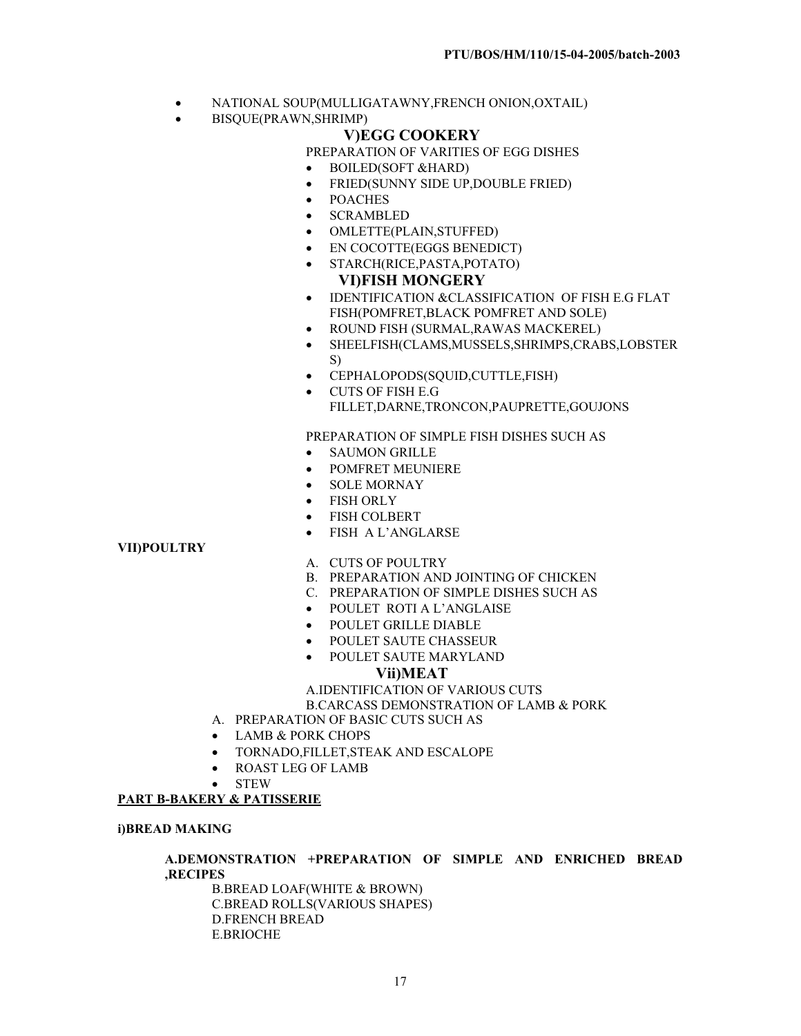- x NATIONAL SOUP(MULLIGATAWNY,FRENCH ONION,OXTAIL)
- x BISQUE(PRAWN,SHRIMP)

# **V)EGG COOKERY**

PREPARATION OF VARITIES OF EGG DISHES

- BOILED(SOFT &HARD)
- FRIED(SUNNY SIDE UP, DOUBLE FRIED)
- **POACHES**
- **SCRAMBLED**
- OMLETTE(PLAIN,STUFFED)
- x EN COCOTTE(EGGS BENEDICT)
- x STARCH(RICE,PASTA,POTATO)

# **VI)FISH MONGERY**

- **IDENTIFICATION &CLASSIFICATION OF FISH E.G FLAT** FISH(POMFRET,BLACK POMFRET AND SOLE)
- x ROUND FISH (SURMAL,RAWAS MACKEREL)
- x SHEELFISH(CLAMS,MUSSELS,SHRIMPS,CRABS,LOBSTER S)
- x CEPHALOPODS(SQUID,CUTTLE,FISH)
- x CUTS OF FISH E.G FILLET,DARNE,TRONCON,PAUPRETTE,GOUJONS

PREPARATION OF SIMPLE FISH DISHES SUCH AS

- SAUMON GRILLE
- POMFRET MEUNIERE
- x SOLE MORNAY
- **FISH ORLY**
- FISH COLBERT
- FISH A L'ANGLARSE

# **VII)POULTRY**

- A. CUTS OF POULTRY
- B. PREPARATION AND JOINTING OF CHICKEN
- C. PREPARATION OF SIMPLE DISHES SUCH AS
- x POULET ROTI A L'ANGLAISE
- POULET GRILLE DIABLE
- POULET SAUTE CHASSEUR
- POULET SAUTE MARYLAND

# **Vii)MEAT**

A.IDENTIFICATION OF VARIOUS CUTS B.CARCASS DEMONSTRATION OF LAMB & PORK

- A. PREPARATION OF BASIC CUTS SUCH AS
- LAMB & PORK CHOPS
- x TORNADO,FILLET,STEAK AND ESCALOPE
- ROAST LEG OF LAMB
- **STEW**

# **PART B-BAKERY & PATISSERIE**

# **i)BREAD MAKING**

# **A.DEMONSTRATION +PREPARATION OF SIMPLE AND ENRICHED BREAD ,RECIPES**

B.BREAD LOAF(WHITE & BROWN) C.BREAD ROLLS(VARIOUS SHAPES) D.FRENCH BREAD E.BRIOCHE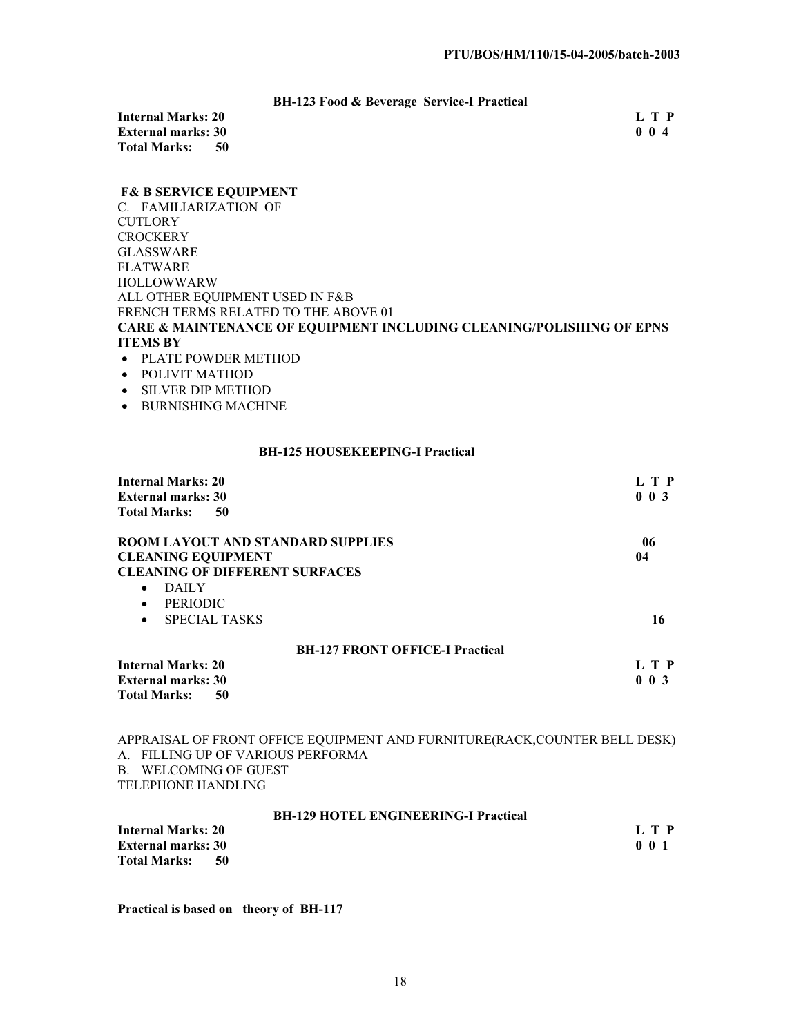# **BH-123 Food & Beverage Service-I Practical**

**Internal Marks: 20** L T P<br> **External marks: 30** 0 0 4 **External marks: 30<br>Total Marks: 50 Total Marks: 50** 

## **F& B SERVICE EQUIPMENT**

C. FAMILIARIZATION OF **CUTLORY CROCKERY** GLASSWARE FLATWARE HOLLOWWARW ALL OTHER EQUIPMENT USED IN F&B FRENCH TERMS RELATED TO THE ABOVE 01 **CARE & MAINTENANCE OF EQUIPMENT INCLUDING CLEANING/POLISHING OF EPNS ITEMS BY** 

- PLATE POWDER METHOD
- POLIVIT MATHOD
- SILVER DIP METHOD
- $\bullet$  BURNISHING MACHINE

#### **BH-125 HOUSEKEEPING-I Practical**

| <b>Internal Marks: 20</b><br><b>External marks: 30</b> | L T P<br>$0 \t0 \t3$ |
|--------------------------------------------------------|----------------------|
| <b>Total Marks:</b><br>50                              |                      |
| <b>ROOM LAYOUT AND STANDARD SUPPLIES</b>               | 06                   |
| <b>CLEANING EQUIPMENT</b>                              | 04                   |
| <b>CLEANING OF DIFFERENT SURFACES</b>                  |                      |
| <b>DAILY</b><br>$\bullet$                              |                      |
| <b>PERIODIC</b><br>$\bullet$                           |                      |
| <b>SPECIAL TASKS</b><br>$\bullet$                      | 16                   |
| <b>BH-127 FRONT OFFICE-I Practical</b>                 |                      |
| <b>Internal Marks: 20</b>                              | L T P                |
| <b>External marks: 30</b>                              | $0 \t0 \t3$          |
| <b>Total Marks:</b><br>50                              |                      |

APPRAISAL OF FRONT OFFICE EQUIPMENT AND FURNITURE(RACK,COUNTER BELL DESK) A. FILLING UP OF VARIOUS PERFORMA B. WELCOMING OF GUEST TELEPHONE HANDLING

#### **BH-129 HOTEL ENGINEERING-I Practical**

| <b>Internal Marks: 20</b> | L T P            |
|---------------------------|------------------|
| <b>External marks: 30</b> | 0 <sub>0</sub> 1 |
| <b>Total Marks:</b><br>50 |                  |

**Practical is based on theory of BH-117**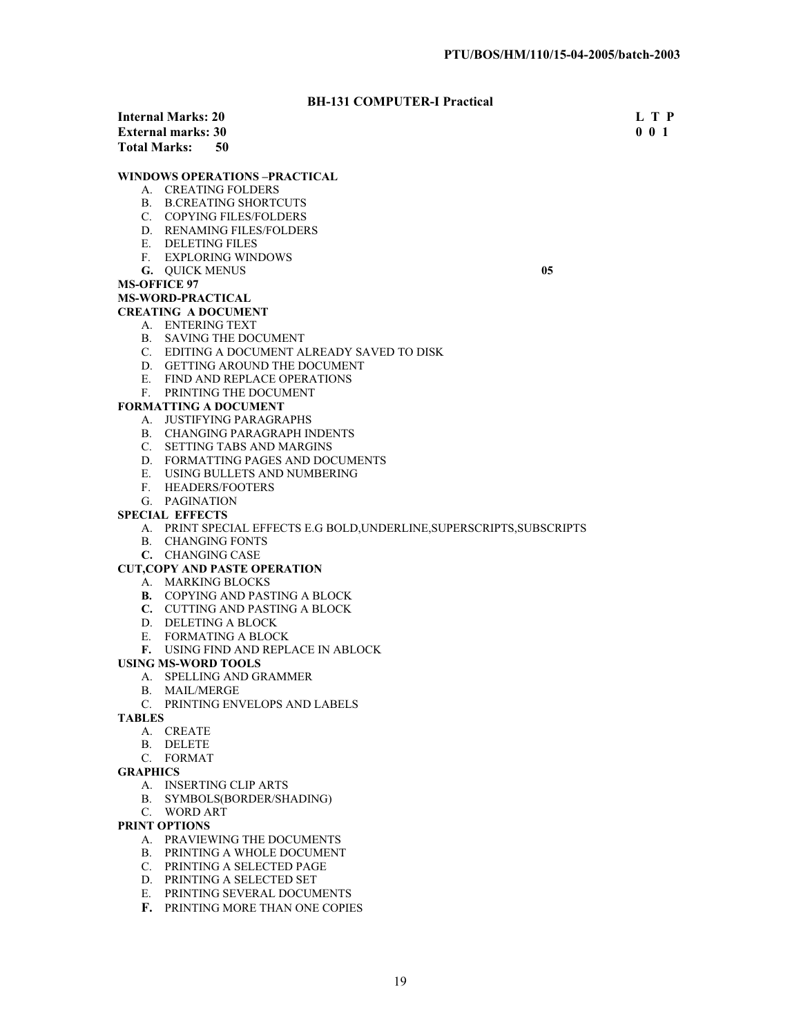# **BH-131 COMPUTER-I Practical**

|                    | 211 101 00111 01211 1100000   |             |
|--------------------|-------------------------------|-------------|
|                    | Internal Marks: 20            | L T P       |
| External marks: 30 |                               | $0 \t0 \t1$ |
|                    | Total Marks: \<br>-50         |             |
|                    | WINDOWS OPERATIONS –PRACTICAL |             |
|                    | A. CREATING FOLDERS           |             |
|                    | B. B.CREATING SHORTCUTS       |             |
|                    | <b>COPYING FILES/FOLDERS</b>  |             |
|                    |                               |             |

- D. RENAMING FILES/FOLDERS
- E. DELETING FILES
- F. EXPLORING WINDOWS
- **G.** QUICK MENUS **05**

## **MS-OFFICE 97**

**MS-WORD-PRACTICAL**

# **CREATING A DOCUMENT**

# A. ENTERING TEXT

- B. SAVING THE DOCUMENT
- C. EDITING A DOCUMENT ALREADY SAVED TO DISK
- D. GETTING AROUND THE DOCUMENT
- E. FIND AND REPLACE OPERATIONS
- F. PRINTING THE DOCUMENT

#### **FORMATTING A DOCUMENT**

- A. JUSTIFYING PARAGRAPHS
- B. CHANGING PARAGRAPH INDENTS
- C. SETTING TABS AND MARGINS
- D. FORMATTING PAGES AND DOCUMENTS
- E. USING BULLETS AND NUMBERING
- F. HEADERS/FOOTERS
- G. PAGINATION

#### **SPECIAL EFFECTS**

- A. PRINT SPECIAL EFFECTS E.G BOLD,UNDERLINE,SUPERSCRIPTS,SUBSCRIPTS
- B. CHANGING FONTS
- **C.** CHANGING CASE

#### **CUT,COPY AND PASTE OPERATION**

- A. MARKING BLOCKS
- **B.** COPYING AND PASTING A BLOCK
- **C.** CUTTING AND PASTING A BLOCK
- D. DELETING A BLOCK
- E. FORMATING A BLOCK
- **F.** USING FIND AND REPLACE IN ABLOCK

#### **USING MS-WORD TOOLS**

- A. SPELLING AND GRAMMER
- B. MAIL/MERGE
- C. PRINTING ENVELOPS AND LABELS

**TABLES**

- A. CREATE
- B. DELETE
- C. FORMAT

#### **GRAPHICS**

- A. INSERTING CLIP ARTS
- B. SYMBOLS(BORDER/SHADING)
- C. WORD ART

#### **PRINT OPTIONS**

- A. PRAVIEWING THE DOCUMENTS
- B. PRINTING A WHOLE DOCUMENT
- C. PRINTING A SELECTED PAGE
- D. PRINTING A SELECTED SET
- E. PRINTING SEVERAL DOCUMENTS
- **F.** PRINTING MORE THAN ONE COPIES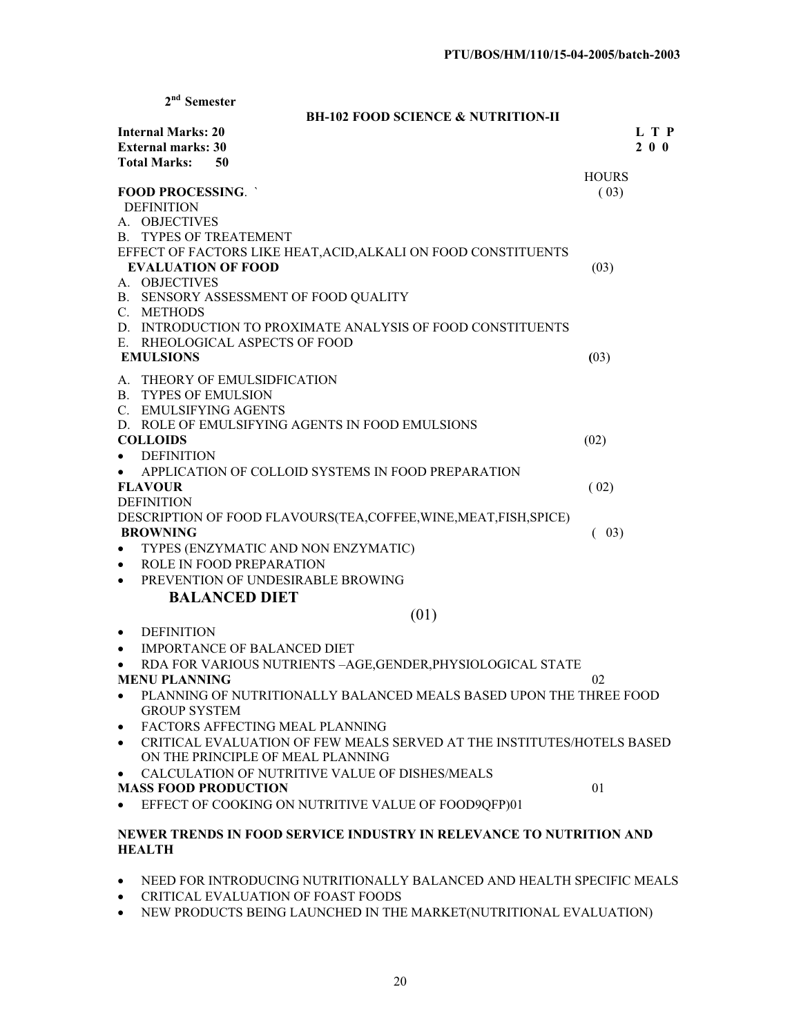| $2nd$ Semester                                                                      |              |
|-------------------------------------------------------------------------------------|--------------|
| <b>BH-102 FOOD SCIENCE &amp; NUTRITION-II</b>                                       |              |
| <b>Internal Marks: 20</b>                                                           | L T P        |
| <b>External marks: 30</b>                                                           | $2\ 0\ 0$    |
| <b>Total Marks:</b><br>50                                                           |              |
|                                                                                     | <b>HOURS</b> |
| <b>FOOD PROCESSING.</b>                                                             | (03)         |
| <b>DEFINITION</b>                                                                   |              |
| A. OBJECTIVES                                                                       |              |
| <b>B. TYPES OF TREATEMENT</b>                                                       |              |
| EFFECT OF FACTORS LIKE HEAT, ACID, ALKALI ON FOOD CONSTITUENTS                      |              |
| <b>EVALUATION OF FOOD</b>                                                           | (03)         |
| A. OBJECTIVES                                                                       |              |
| B. SENSORY ASSESSMENT OF FOOD QUALITY                                               |              |
| C. METHODS                                                                          |              |
| D. INTRODUCTION TO PROXIMATE ANALYSIS OF FOOD CONSTITUENTS                          |              |
| E. RHEOLOGICAL ASPECTS OF FOOD                                                      |              |
| <b>EMULSIONS</b>                                                                    | (03)         |
| A. THEORY OF EMULSIDFICATION                                                        |              |
| <b>B. TYPES OF EMULSION</b>                                                         |              |
| C. EMULSIFYING AGENTS                                                               |              |
| D. ROLE OF EMULSIFYING AGENTS IN FOOD EMULSIONS                                     |              |
| <b>COLLOIDS</b>                                                                     | (02)         |
| <b>DEFINITION</b>                                                                   |              |
| APPLICATION OF COLLOID SYSTEMS IN FOOD PREPARATION                                  |              |
| <b>FLAVOUR</b>                                                                      | (02)         |
| <b>DEFINITION</b>                                                                   |              |
| DESCRIPTION OF FOOD FLAVOURS(TEA,COFFEE, WINE, MEAT, FISH, SPICE)                   |              |
| <b>BROWNING</b>                                                                     | (03)<br>€    |
| TYPES (ENZYMATIC AND NON ENZYMATIC)                                                 |              |
| ROLE IN FOOD PREPARATION                                                            |              |
| PREVENTION OF UNDESIRABLE BROWING                                                   |              |
| <b>BALANCED DIET</b>                                                                |              |
| (01)                                                                                |              |
| <b>DEFINITION</b><br>٠                                                              |              |
| <b>IMPORTANCE OF BALANCED DIET</b><br>٠                                             |              |
| RDA FOR VARIOUS NUTRIENTS - AGE, GENDER, PHYSIOLOGICAL STATE                        |              |
| <b>MENU PLANNING</b>                                                                | 02           |
| PLANNING OF NUTRITIONALLY BALANCED MEALS BASED UPON THE THREE FOOD                  |              |
| <b>GROUP SYSTEM</b>                                                                 |              |
| FACTORS AFFECTING MEAL PLANNING<br>٠                                                |              |
| CRITICAL EVALUATION OF FEW MEALS SERVED AT THE INSTITUTES/HOTELS BASED<br>$\bullet$ |              |
| ON THE PRINCIPLE OF MEAL PLANNING                                                   |              |
| CALCULATION OF NUTRITIVE VALUE OF DISHES/MEALS<br>$\bullet$                         |              |
| <b>MASS FOOD PRODUCTION</b>                                                         | 01           |
| EFFECT OF COOKING ON NUTRITIVE VALUE OF FOOD9QFP)01<br>$\bullet$                    |              |
|                                                                                     |              |
| NEWER TRENDS IN FOOD SERVICE INDUSTRY IN RELEVANCE TO NUTRITION AND                 |              |
| <b>HEALTH</b>                                                                       |              |

- NEED FOR INTRODUCING NUTRITIONALLY BALANCED AND HEALTH SPECIFIC MEALS
- CRITICAL EVALUATION OF FOAST FOODS
- NEW PRODUCTS BEING LAUNCHED IN THE MARKET(NUTRITIONAL EVALUATION)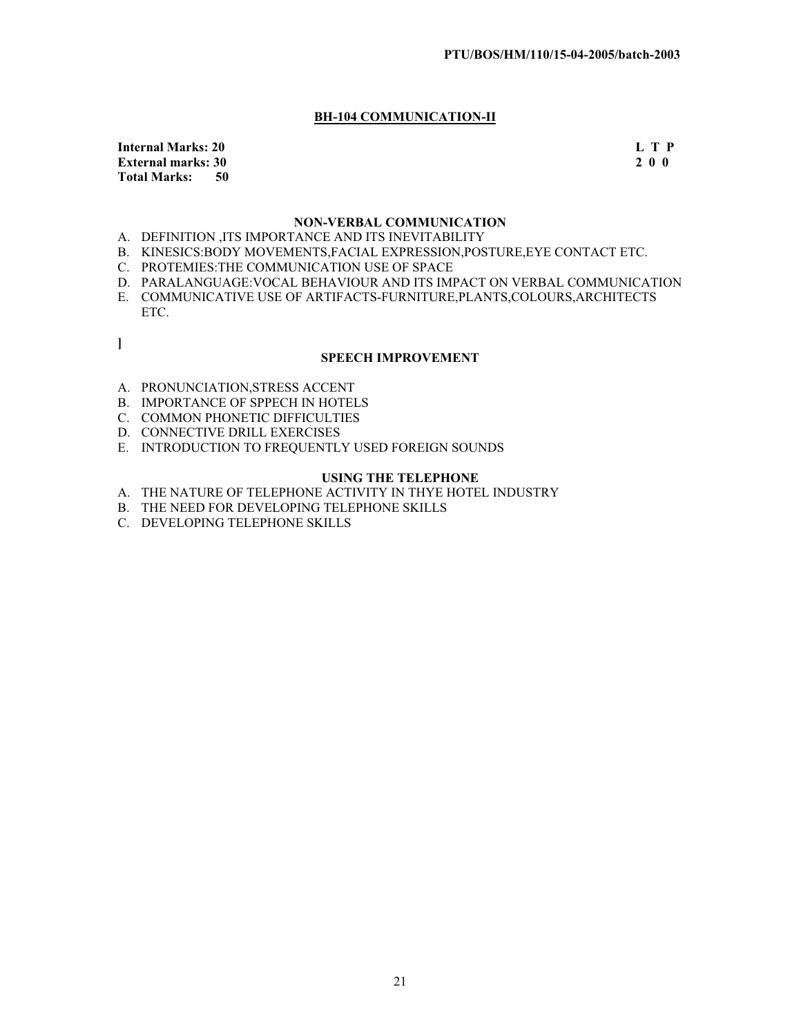# **BH-104 COMMUNICATION-II**

**Internal Marks: 20** L T P **External marks: 30 2 0 0 Total Marks: 50** 

# **NON-VERBAL COMMUNICATION**

- A. DEFINITION ,ITS IMPORTANCE AND ITS INEVITABILITY
- B. KINESICS:BODY MOVEMENTS,FACIAL EXPRESSION,POSTURE,EYE CONTACT ETC.
- C. PROTEMIES:THE COMMUNICATION USE OF SPACE
- D. PARALANGUAGE:VOCAL BEHAVIOUR AND ITS IMPACT ON VERBAL COMMUNICATION
- E. COMMUNICATIVE USE OF ARTIFACTS-FURNITURE,PLANTS,COLOURS,ARCHITECTS ETC.
- **]**

#### **SPEECH IMPROVEMENT**

- A. PRONUNCIATION,STRESS ACCENT
- B. IMPORTANCE OF SPPECH IN HOTELS
- C. COMMON PHONETIC DIFFICULTIES
- D. CONNECTIVE DRILL EXERCISES
- E. INTRODUCTION TO FREQUENTLY USED FOREIGN SOUNDS

# **USING THE TELEPHONE**

- A. THE NATURE OF TELEPHONE ACTIVITY IN THYE HOTEL INDUSTRY
- B. THE NEED FOR DEVELOPING TELEPHONE SKILLS
- C. DEVELOPING TELEPHONE SKILLS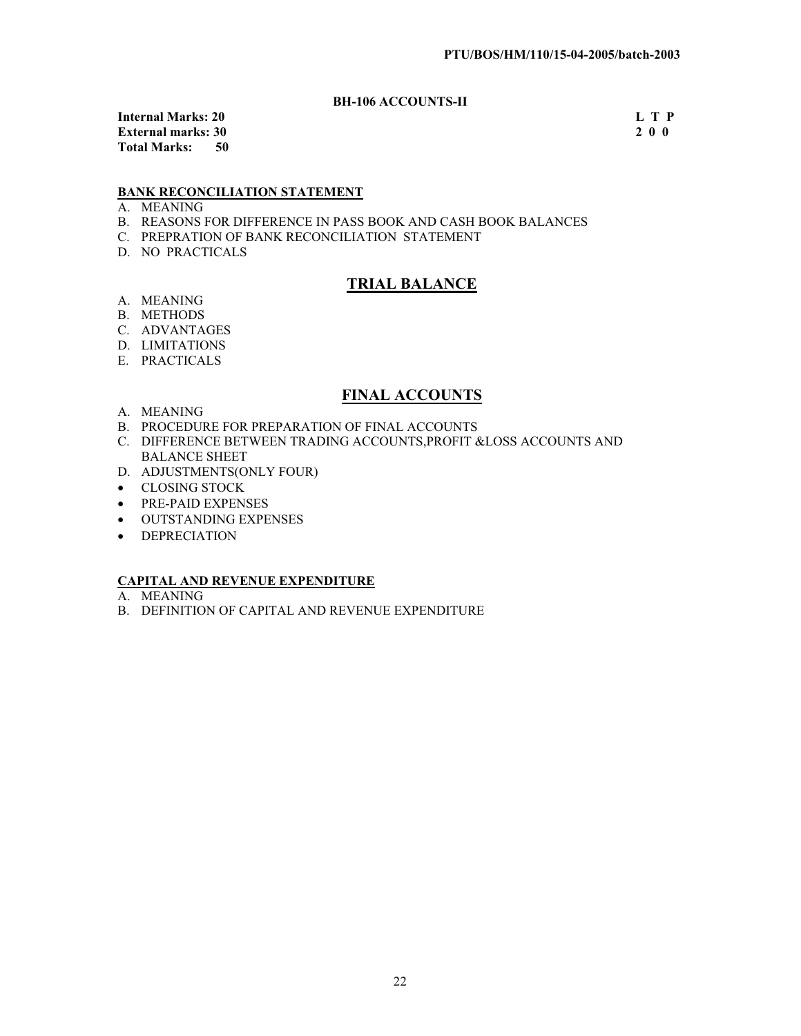# **BH-106 ACCOUNTS-II**

**Internal Marks: 20** L T P<br> **External marks: 30** 2 0 0 **External marks: 30 Total Marks: 50** 

# **BANK RECONCILIATION STATEMENT**

- A. MEANING
- B. REASONS FOR DIFFERENCE IN PASS BOOK AND CASH BOOK BALANCES
- C. PREPRATION OF BANK RECONCILIATION STATEMENT
- D. NO PRACTICALS

# **TRIAL BALANCE**

- A. MEANING
- B. METHODS
- C. ADVANTAGES
- D. LIMITATIONS
- E. PRACTICALS

# **FINAL ACCOUNTS**

- A. MEANING
- B. PROCEDURE FOR PREPARATION OF FINAL ACCOUNTS
- C. DIFFERENCE BETWEEN TRADING ACCOUNTS,PROFIT &LOSS ACCOUNTS AND BALANCE SHEET
- D. ADJUSTMENTS(ONLY FOUR)
- CLOSING STOCK
- PRE-PAID EXPENSES
- **OUTSTANDING EXPENSES**
- DEPRECIATION

## **CAPITAL AND REVENUE EXPENDITURE**

- A. MEANING
- B. DEFINITION OF CAPITAL AND REVENUE EXPENDITURE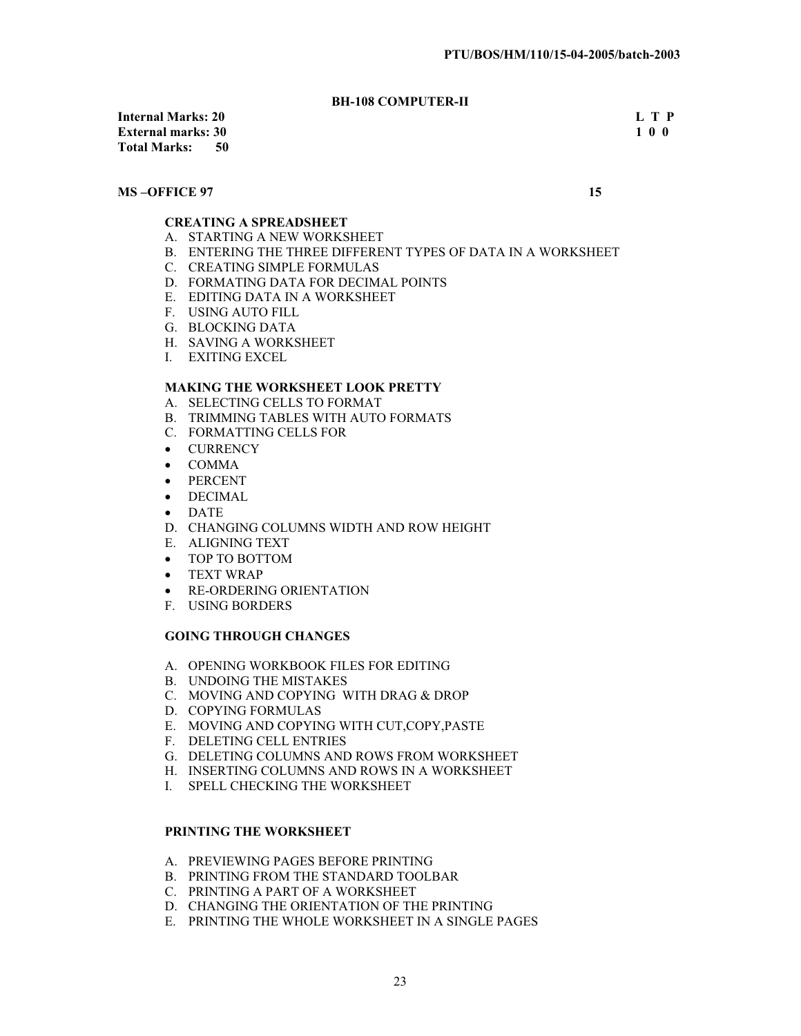# **BH-108 COMPUTER-II**

**Internal Marks: 20 L T P External marks: 30 Total Marks: 50** 

#### **MS –OFFICE 97** 15

# **CREATING A SPREADSHEET**

- A. STARTING A NEW WORKSHEET
- B. ENTERING THE THREE DIFFERENT TYPES OF DATA IN A WORKSHEET
- C. CREATING SIMPLE FORMULAS
- D. FORMATING DATA FOR DECIMAL POINTS
- E. EDITING DATA IN A WORKSHEET
- F. USING AUTO FILL
- G. BLOCKING DATA
- H. SAVING A WORKSHEET
- I. EXITING EXCEL

# **MAKING THE WORKSHEET LOOK PRETTY**

- A. SELECTING CELLS TO FORMAT
- B. TRIMMING TABLES WITH AUTO FORMATS
- C. FORMATTING CELLS FOR
- CURRENCY
- $\bullet$  COMMA
- PERCENT
- $\bullet$  DECIMAL
- $\bullet$  DATE
- D. CHANGING COLUMNS WIDTH AND ROW HEIGHT
- E. ALIGNING TEXT
- TOP TO BOTTOM
- TEXT WRAP
- RE-ORDERING ORIENTATION
- F. USING BORDERS

#### **GOING THROUGH CHANGES**

- A. OPENING WORKBOOK FILES FOR EDITING
- B. UNDOING THE MISTAKES
- C. MOVING AND COPYING WITH DRAG & DROP
- D. COPYING FORMULAS
- E. MOVING AND COPYING WITH CUT,COPY,PASTE
- F. DELETING CELL ENTRIES
- G. DELETING COLUMNS AND ROWS FROM WORKSHEET
- H. INSERTING COLUMNS AND ROWS IN A WORKSHEET
- I. SPELL CHECKING THE WORKSHEET

### **PRINTING THE WORKSHEET**

- A. PREVIEWING PAGES BEFORE PRINTING
- B. PRINTING FROM THE STANDARD TOOLBAR
- C. PRINTING A PART OF A WORKSHEET
- D. CHANGING THE ORIENTATION OF THE PRINTING
- E. PRINTING THE WHOLE WORKSHEET IN A SINGLE PAGES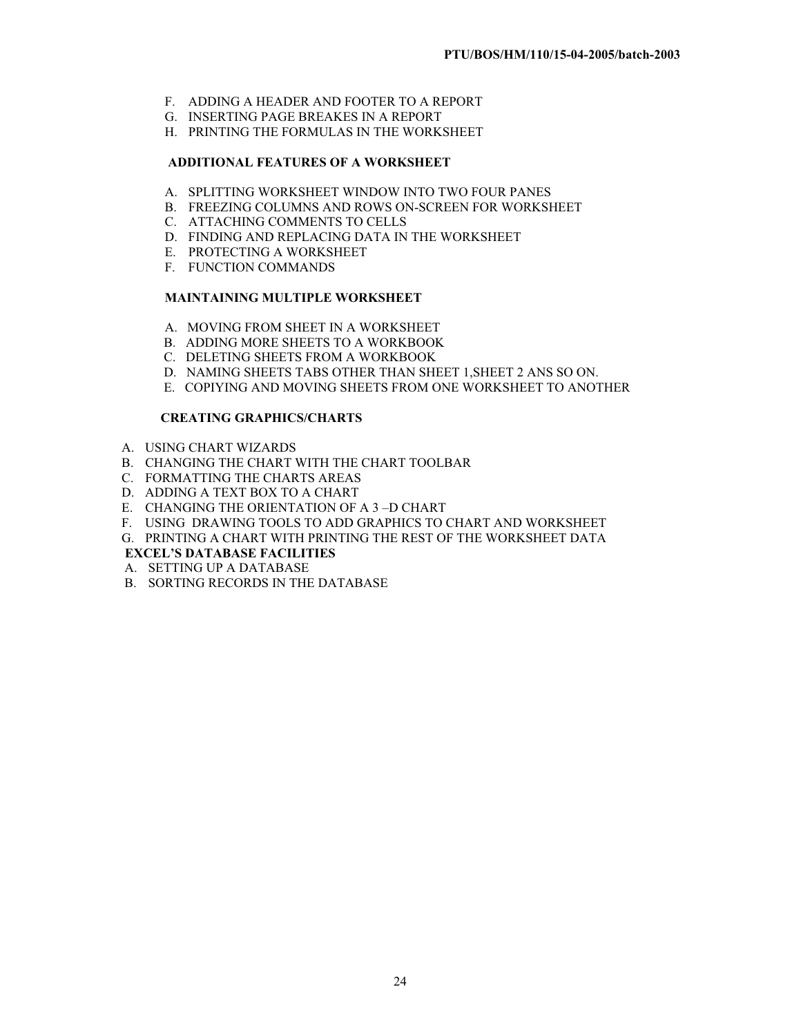- F. ADDING A HEADER AND FOOTER TO A REPORT
- G. INSERTING PAGE BREAKES IN A REPORT
- H. PRINTING THE FORMULAS IN THE WORKSHEET

# **ADDITIONAL FEATURES OF A WORKSHEET**

- A. SPLITTING WORKSHEET WINDOW INTO TWO FOUR PANES
- B. FREEZING COLUMNS AND ROWS ON-SCREEN FOR WORKSHEET
- C. ATTACHING COMMENTS TO CELLS
- D. FINDING AND REPLACING DATA IN THE WORKSHEET
- E. PROTECTING A WORKSHEET
- F. FUNCTION COMMANDS

## **MAINTAINING MULTIPLE WORKSHEET**

- A. MOVING FROM SHEET IN A WORKSHEET
- B. ADDING MORE SHEETS TO A WORKBOOK
- C. DELETING SHEETS FROM A WORKBOOK
- D. NAMING SHEETS TABS OTHER THAN SHEET 1,SHEET 2 ANS SO ON.
- E. COPIYING AND MOVING SHEETS FROM ONE WORKSHEET TO ANOTHER

## **CREATING GRAPHICS/CHARTS**

- A. USING CHART WIZARDS
- B. CHANGING THE CHART WITH THE CHART TOOLBAR
- C. FORMATTING THE CHARTS AREAS
- D. ADDING A TEXT BOX TO A CHART
- E. CHANGING THE ORIENTATION OF A 3 –D CHART
- F. USING DRAWING TOOLS TO ADD GRAPHICS TO CHART AND WORKSHEET
- G. PRINTING A CHART WITH PRINTING THE REST OF THE WORKSHEET DATA

# **EXCEL'S DATABASE FACILITIES**

- A. SETTING UP A DATABASE
- B. SORTING RECORDS IN THE DATABASE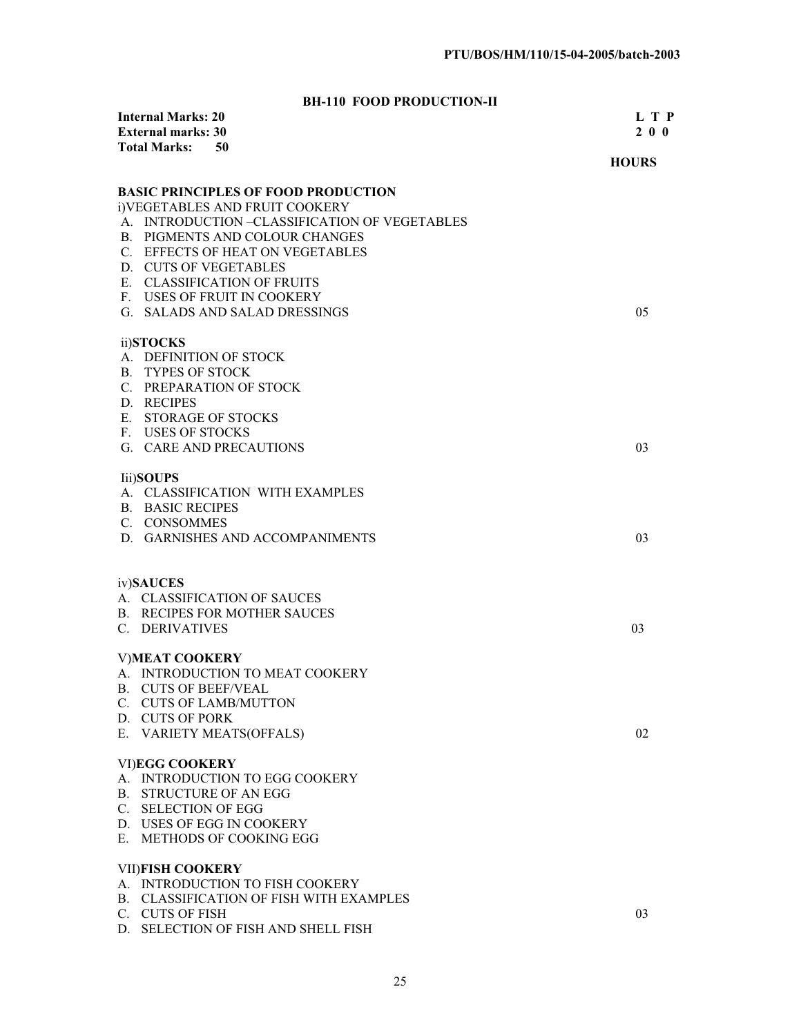# **BH-110 FOOD PRODUCTION-II**

| <b>Internal Marks: 20</b><br><b>External marks: 30</b><br><b>Total Marks:</b><br>50 | L T P<br>200 |
|-------------------------------------------------------------------------------------|--------------|
|                                                                                     | <b>HOURS</b> |
| <b>BASIC PRINCIPLES OF FOOD PRODUCTION</b>                                          |              |
| i)VEGETABLES AND FRUIT COOKERY                                                      |              |
| A. INTRODUCTION –CLASSIFICATION OF VEGETABLES                                       |              |
| B. PIGMENTS AND COLOUR CHANGES                                                      |              |
| C. EFFECTS OF HEAT ON VEGETABLES                                                    |              |
| D. CUTS OF VEGETABLES                                                               |              |
| E. CLASSIFICATION OF FRUITS                                                         |              |
| F. USES OF FRUIT IN COOKERY                                                         |              |
| G. SALADS AND SALAD DRESSINGS                                                       | 05           |
| ii)STOCKS                                                                           |              |
| A. DEFINITION OF STOCK                                                              |              |
| <b>B. TYPES OF STOCK</b>                                                            |              |
| C. PREPARATION OF STOCK                                                             |              |
| D. RECIPES                                                                          |              |
| E. STORAGE OF STOCKS                                                                |              |
| F. USES OF STOCKS                                                                   |              |
| G. CARE AND PRECAUTIONS                                                             | 03           |
| <b>Iii</b> )SOUPS                                                                   |              |
| A. CLASSIFICATION WITH EXAMPLES                                                     |              |
| <b>B. BASIC RECIPES</b>                                                             |              |
| C. CONSOMMES                                                                        |              |
| D. GARNISHES AND ACCOMPANIMENTS                                                     | 03           |
| iv)SAUCES                                                                           |              |
| A. CLASSIFICATION OF SAUCES                                                         |              |
| <b>B. RECIPES FOR MOTHER SAUCES</b>                                                 |              |
| C. DERIVATIVES                                                                      | 03           |
|                                                                                     |              |
| <b>V)MEAT COOKERY</b>                                                               |              |
| A. INTRODUCTION TO MEAT COOKERY                                                     |              |
| <b>B. CUTS OF BEEF/VEAL</b>                                                         |              |
| C. CUTS OF LAMB/MUTTON                                                              |              |
| D. CUTS OF PORK                                                                     | 02           |
| E. VARIETY MEATS(OFFALS)                                                            |              |
| <b>VI)EGG COOKERY</b>                                                               |              |
| A. INTRODUCTION TO EGG COOKERY                                                      |              |
| B. STRUCTURE OF AN EGG                                                              |              |
| C. SELECTION OF EGG                                                                 |              |
| D. USES OF EGG IN COOKERY                                                           |              |
| E. METHODS OF COOKING EGG                                                           |              |
| <b>VII)FISH COOKERY</b>                                                             |              |
| A. INTRODUCTION TO FISH COOKERY                                                     |              |
| B. CLASSIFICATION OF FISH WITH EXAMPLES                                             |              |
| C. CUTS OF FISH                                                                     | 03           |
| D. SELECTION OF FISH AND SHELL FISH                                                 |              |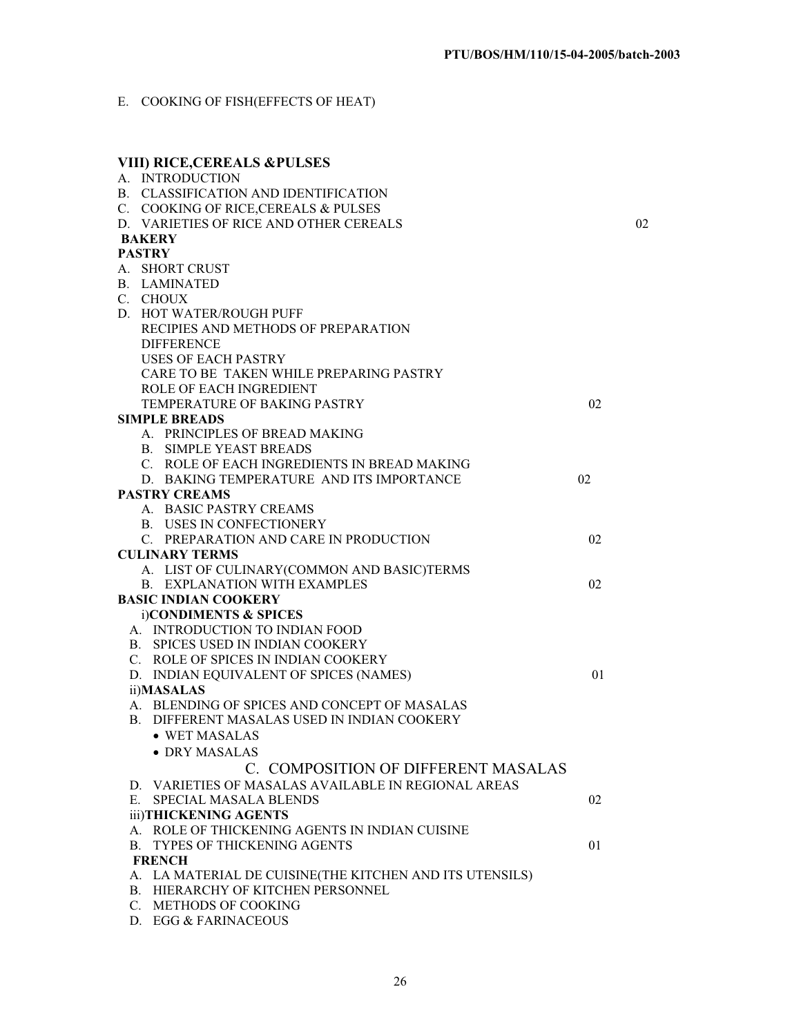E. COOKING OF FISH(EFFECTS OF HEAT)

| <b>VIII) RICE, CEREALS &amp;PULSES</b>                  |    |    |
|---------------------------------------------------------|----|----|
| A. INTRODUCTION                                         |    |    |
| B. CLASSIFICATION AND IDENTIFICATION                    |    |    |
| C. COOKING OF RICE, CEREALS & PULSES                    |    |    |
| D. VARIETIES OF RICE AND OTHER CEREALS                  |    | 02 |
| <b>BAKERY</b>                                           |    |    |
| <b>PASTRY</b>                                           |    |    |
| A. SHORT CRUST                                          |    |    |
| <b>B.</b> LAMINATED                                     |    |    |
| C. CHOUX                                                |    |    |
| D. HOT WATER/ROUGH PUFF                                 |    |    |
| RECIPIES AND METHODS OF PREPARATION                     |    |    |
| <b>DIFFERENCE</b>                                       |    |    |
| USES OF EACH PASTRY                                     |    |    |
| CARE TO BE TAKEN WHILE PREPARING PASTRY                 |    |    |
| ROLE OF EACH INGREDIENT                                 | 02 |    |
| TEMPERATURE OF BAKING PASTRY<br><b>SIMPLE BREADS</b>    |    |    |
| A. PRINCIPLES OF BREAD MAKING                           |    |    |
| <b>B. SIMPLE YEAST BREADS</b>                           |    |    |
| C. ROLE OF EACH INGREDIENTS IN BREAD MAKING             |    |    |
| D. BAKING TEMPERATURE AND ITS IMPORTANCE                | 02 |    |
| <b>PASTRY CREAMS</b>                                    |    |    |
| A. BASIC PASTRY CREAMS                                  |    |    |
| <b>B. USES IN CONFECTIONERY</b>                         |    |    |
| C. PREPARATION AND CARE IN PRODUCTION                   | 02 |    |
| <b>CULINARY TERMS</b>                                   |    |    |
| A. LIST OF CULINARY(COMMON AND BASIC)TERMS              |    |    |
| <b>B. EXPLANATION WITH EXAMPLES</b>                     | 02 |    |
| <b>BASIC INDIAN COOKERY</b>                             |    |    |
| i)CONDIMENTS & SPICES                                   |    |    |
| A. INTRODUCTION TO INDIAN FOOD                          |    |    |
| B. SPICES USED IN INDIAN COOKERY                        |    |    |
| C. ROLE OF SPICES IN INDIAN COOKERY                     |    |    |
| D. INDIAN EQUIVALENT OF SPICES (NAMES)                  | 01 |    |
| ii)MASALAS                                              |    |    |
| A. BLENDING OF SPICES AND CONCEPT OF MASALAS            |    |    |
| B. DIFFERENT MASALAS USED IN INDIAN COOKERY             |    |    |
| $\bullet$ WET MASALAS                                   |    |    |
| • DRY MASALAS                                           |    |    |
| C. COMPOSITION OF DIFFERENT MASALAS                     |    |    |
| D. VARIETIES OF MASALAS AVAILABLE IN REGIONAL AREAS     |    |    |
| SPECIAL MASALA BLENDS<br>E.                             | 02 |    |
| iii)THICKENING AGENTS                                   |    |    |
| A. ROLE OF THICKENING AGENTS IN INDIAN CUISINE          |    |    |
| <b>B. TYPES OF THICKENING AGENTS</b>                    | 01 |    |
| <b>FRENCH</b>                                           |    |    |
| A. LA MATERIAL DE CUISINE(THE KITCHEN AND ITS UTENSILS) |    |    |
| <b>B. HIERARCHY OF KITCHEN PERSONNEL</b>                |    |    |
| C. METHODS OF COOKING                                   |    |    |
| D. EGG & FARINACEOUS                                    |    |    |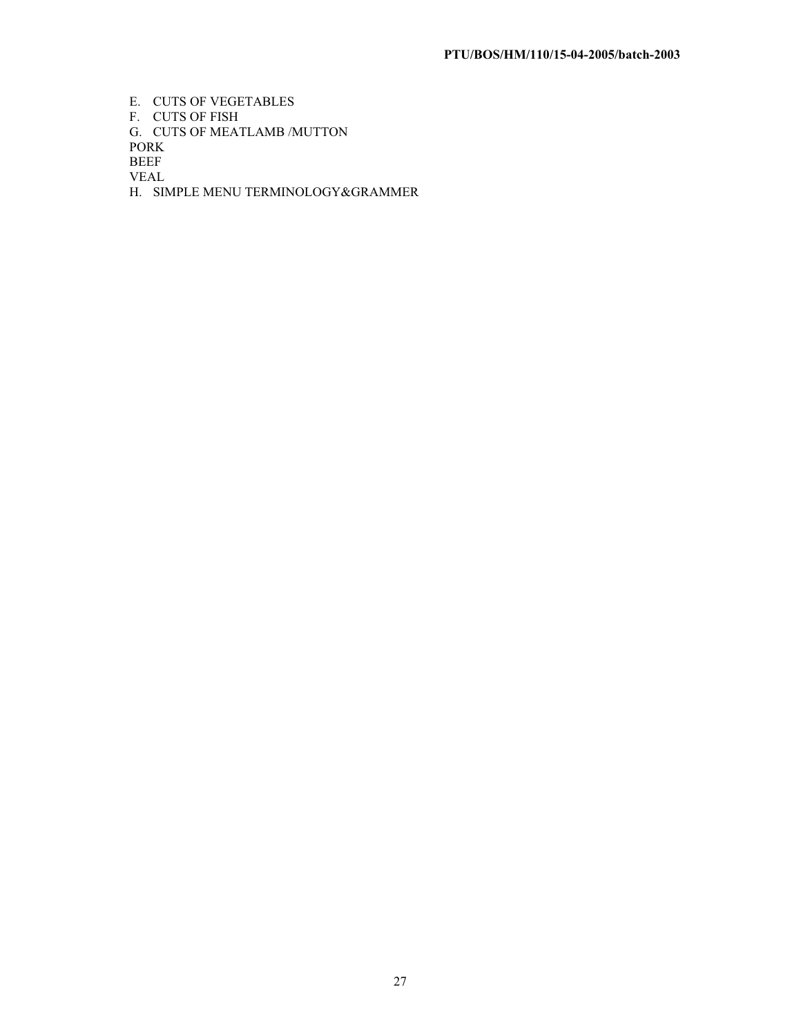E. CUTS OF VEGETABLES F. CUTS OF FISH G. CUTS OF MEATLAMB /MUTTON PORK BEEF VEAL H. SIMPLE MENU TERMINOLOGY&GRAMMER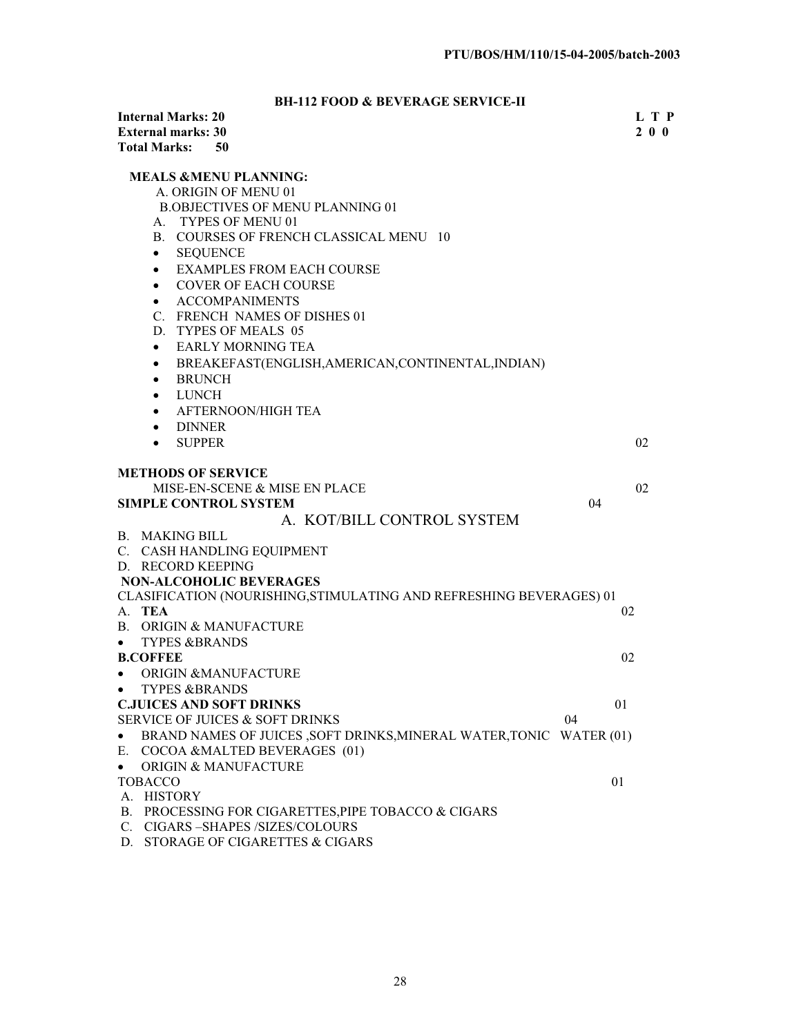# **BH-112 FOOD & BEVERAGE SERVICE-II**

| <b>Internal Marks: 20</b>                                                         |    | L T P |
|-----------------------------------------------------------------------------------|----|-------|
| <b>External marks: 30</b>                                                         |    | 2 0 0 |
| <b>Total Marks:</b><br>50                                                         |    |       |
| <b>MEALS &amp;MENU PLANNING:</b>                                                  |    |       |
| A. ORIGIN OF MENU 01                                                              |    |       |
| <b>B.OBJECTIVES OF MENU PLANNING 01</b>                                           |    |       |
| <b>TYPES OF MENU 01</b>                                                           |    |       |
| А.<br>B. COURSES OF FRENCH CLASSICAL MENU 10                                      |    |       |
|                                                                                   |    |       |
| <b>SEQUENCE</b><br>$\bullet$                                                      |    |       |
| <b>EXAMPLES FROM EACH COURSE</b><br>$\bullet$                                     |    |       |
| <b>COVER OF EACH COURSE</b><br>$\bullet$                                          |    |       |
| <b>ACCOMPANIMENTS</b><br>$\bullet$                                                |    |       |
| C. FRENCH NAMES OF DISHES 01                                                      |    |       |
| D. TYPES OF MEALS 05                                                              |    |       |
| <b>EARLY MORNING TEA</b><br>$\bullet$                                             |    |       |
| BREAKEFAST(ENGLISH,AMERICAN,CONTINENTAL,INDIAN)<br>٠                              |    |       |
| <b>BRUNCH</b><br>$\bullet$                                                        |    |       |
| <b>LUNCH</b><br>$\bullet$                                                         |    |       |
| AFTERNOON/HIGH TEA<br>$\bullet$                                                   |    |       |
| <b>DINNER</b><br>$\bullet$                                                        |    |       |
| <b>SUPPER</b><br>$\bullet$                                                        | 02 |       |
|                                                                                   |    |       |
| <b>METHODS OF SERVICE</b>                                                         |    |       |
| MISE-EN-SCENE & MISE EN PLACE                                                     | 02 |       |
| <b>SIMPLE CONTROL SYSTEM</b>                                                      | 04 |       |
| A. KOT/BILL CONTROL SYSTEM                                                        |    |       |
| <b>B. MAKING BILL</b>                                                             |    |       |
| C. CASH HANDLING EQUIPMENT                                                        |    |       |
| D. RECORD KEEPING                                                                 |    |       |
| <b>NON-ALCOHOLIC BEVERAGES</b>                                                    |    |       |
| CLASIFICATION (NOURISHING, STIMULATING AND REFRESHING BEVERAGES) 01               |    |       |
| A. TEA                                                                            | 02 |       |
| B. ORIGIN & MANUFACTURE                                                           |    |       |
| <b>TYPES &amp;BRANDS</b><br>$\bullet$                                             |    |       |
| <b>B.COFFEE</b>                                                                   | 02 |       |
| <b>ORIGIN &amp;MANUFACTURE</b><br>$\bullet$                                       |    |       |
| <b>TYPES &amp;BRANDS</b><br>$\bullet$                                             |    |       |
| <b>C.JUICES AND SOFT DRINKS</b>                                                   | 01 |       |
| SERVICE OF JUICES & SOFT DRINKS                                                   | 04 |       |
| BRAND NAMES OF JUICES , SOFT DRINKS, MINERAL WATER, TONIC WATER (01)<br>$\bullet$ |    |       |
| COCOA &MALTED BEVERAGES (01)<br>Е.                                                |    |       |
|                                                                                   |    |       |
| <b>ORIGIN &amp; MANUFACTURE</b><br>$\bullet$<br><b>TOBACCO</b>                    | 01 |       |
| A. HISTORY                                                                        |    |       |
| PROCESSING FOR CIGARETTES, PIPE TOBACCO & CIGARS<br>В.                            |    |       |
| $C_{\cdot}$<br>CIGARS –SHAPES /SIZES/COLOURS                                      |    |       |
|                                                                                   |    |       |

D. STORAGE OF CIGARETTES & CIGARS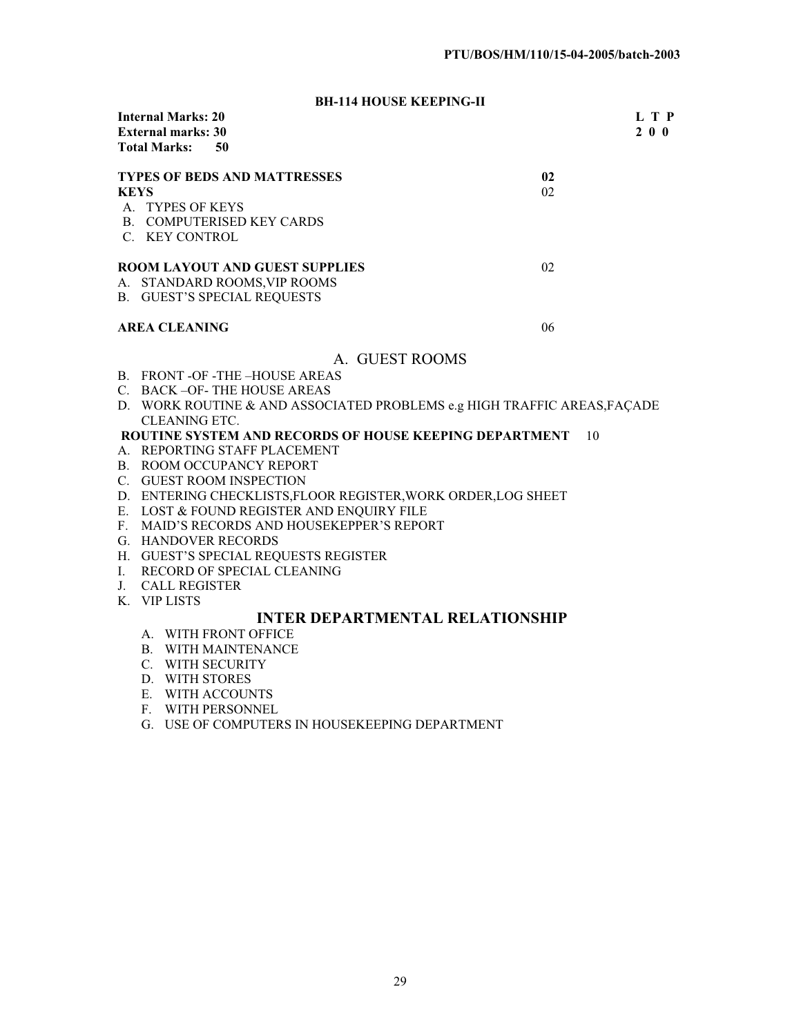# **BH-114 HOUSE KEEPING-II**

| <b>Internal Marks: 20</b><br><b>External marks: 30</b><br><b>Total Marks:</b><br>- 50                                 |          | L T P<br>$2\ 0\ 0$ |
|-----------------------------------------------------------------------------------------------------------------------|----------|--------------------|
| <b>TYPES OF BEDS AND MATTRESSES</b><br><b>KEYS</b><br>A. TYPES OF KEYS<br>B. COMPUTERISED KEY CARDS<br>C. KEY CONTROL | 02<br>02 |                    |
| <b>ROOM LAYOUT AND GUEST SUPPLIES</b><br>A. STANDARD ROOMS, VIP ROOMS<br><b>B. GUEST'S SPECIAL REQUESTS</b>           | 02       |                    |
| <b>AREA CLEANING</b>                                                                                                  | 06       |                    |

# A. GUEST ROOMS

- B. FRONT -OF -THE –HOUSE AREAS
- C. BACK –OF- THE HOUSE AREAS
- D. WORK ROUTINE & AND ASSOCIATED PROBLEMS e.g HIGH TRAFFIC AREAS,FAÇADE CLEANING ETC.

## **ROUTINE SYSTEM AND RECORDS OF HOUSE KEEPING DEPARTMENT** 10

- A. REPORTING STAFF PLACEMENT
- B. ROOM OCCUPANCY REPORT
- C. GUEST ROOM INSPECTION
- D. ENTERING CHECKLISTS,FLOOR REGISTER,WORK ORDER,LOG SHEET
- E. LOST & FOUND REGISTER AND ENQUIRY FILE
- F. MAID'S RECORDS AND HOUSEKEPPER'S REPORT
- G. HANDOVER RECORDS
- H. GUEST'S SPECIAL REQUESTS REGISTER
- I. RECORD OF SPECIAL CLEANING
- J. CALL REGISTER
- K. VIP LISTS

# **INTER DEPARTMENTAL RELATIONSHIP**

- A. WITH FRONT OFFICE
- B. WITH MAINTENANCE
- C. WITH SECURITY
- D. WITH STORES
- E. WITH ACCOUNTS
- F. WITH PERSONNEL
- G. USE OF COMPUTERS IN HOUSEKEEPING DEPARTMENT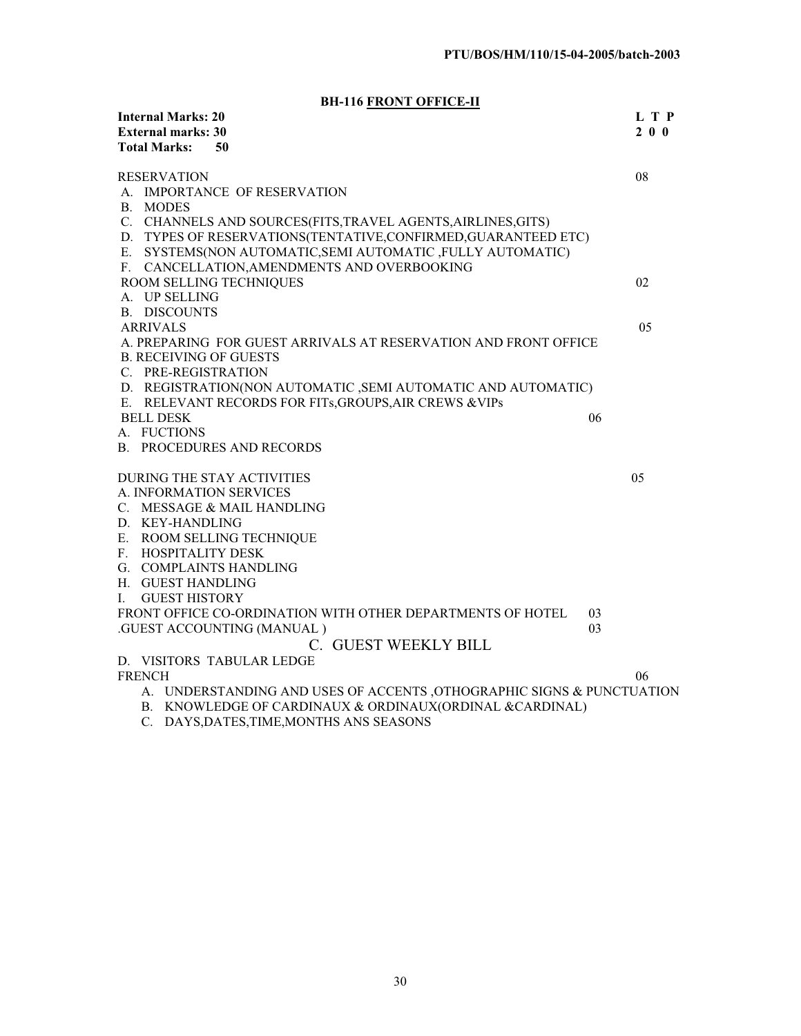**BH-116 FRONT OFFICE-II**

| <b>Internal Marks: 20</b>     | $110 \underline{110111} 01110111$                                      |    | L T P     |
|-------------------------------|------------------------------------------------------------------------|----|-----------|
| <b>External marks: 30</b>     |                                                                        |    | $2\ 0\ 0$ |
| <b>Total Marks:</b>           | 50                                                                     |    |           |
| <b>RESERVATION</b>            |                                                                        |    | 08        |
|                               | A. IMPORTANCE OF RESERVATION                                           |    |           |
| B. MODES                      |                                                                        |    |           |
|                               | C. CHANNELS AND SOURCES(FITS, TRAVEL AGENTS, AIRLINES, GITS)           |    |           |
|                               | D. TYPES OF RESERVATIONS(TENTATIVE,CONFIRMED,GUARANTEED ETC)           |    |           |
| Е.                            | SYSTEMS(NON AUTOMATIC, SEMI AUTOMATIC, FULLY AUTOMATIC)                |    |           |
|                               | F. CANCELLATION, AMENDMENTS AND OVERBOOKING                            |    |           |
|                               | ROOM SELLING TECHNIQUES                                                |    | 02        |
| A. UP SELLING                 |                                                                        |    |           |
| <b>B. DISCOUNTS</b>           |                                                                        |    |           |
| <b>ARRIVALS</b>               |                                                                        |    | 05        |
|                               | A. PREPARING FOR GUEST ARRIVALS AT RESERVATION AND FRONT OFFICE        |    |           |
| <b>B. RECEIVING OF GUESTS</b> |                                                                        |    |           |
| C. PRE-REGISTRATION           |                                                                        |    |           |
|                               | D. REGISTRATION(NON AUTOMATIC, SEMI AUTOMATIC AND AUTOMATIC)           |    |           |
|                               | E. RELEVANT RECORDS FOR FITS, GROUPS, AIR CREWS & VIPs                 |    |           |
| <b>BELL DESK</b>              |                                                                        | 06 |           |
| A. FUCTIONS                   |                                                                        |    |           |
|                               | <b>B. PROCEDURES AND RECORDS</b>                                       |    |           |
|                               | <b>DURING THE STAY ACTIVITIES</b>                                      |    | 05        |
|                               | A. INFORMATION SERVICES                                                |    |           |
|                               | C. MESSAGE & MAIL HANDLING                                             |    |           |
| D. KEY-HANDLING               |                                                                        |    |           |
|                               | E. ROOM SELLING TECHNIQUE                                              |    |           |
| F. HOSPITALITY DESK           |                                                                        |    |           |
|                               | G. COMPLAINTS HANDLING                                                 |    |           |
| H. GUEST HANDLING             |                                                                        |    |           |
| <b>GUEST HISTORY</b><br>I.    |                                                                        |    |           |
|                               | FRONT OFFICE CO-ORDINATION WITH OTHER DEPARTMENTS OF HOTEL             | 03 |           |
|                               | .GUEST ACCOUNTING (MANUAL)                                             | 03 |           |
|                               | C. GUEST WEEKLY BILL                                                   |    |           |
|                               | D. VISITORS TABULAR LEDGE                                              |    |           |
| <b>FRENCH</b>                 |                                                                        |    | 06        |
|                               | A. UNDERSTANDING AND USES OF ACCENTS , OTHOGRAPHIC SIGNS & PUNCTUATION |    |           |
|                               | B. KNOWLEDGE OF CARDINAUX & ORDINAUX(ORDINAL & CARDINAL)               |    |           |

C. DAYS,DATES,TIME,MONTHS ANS SEASONS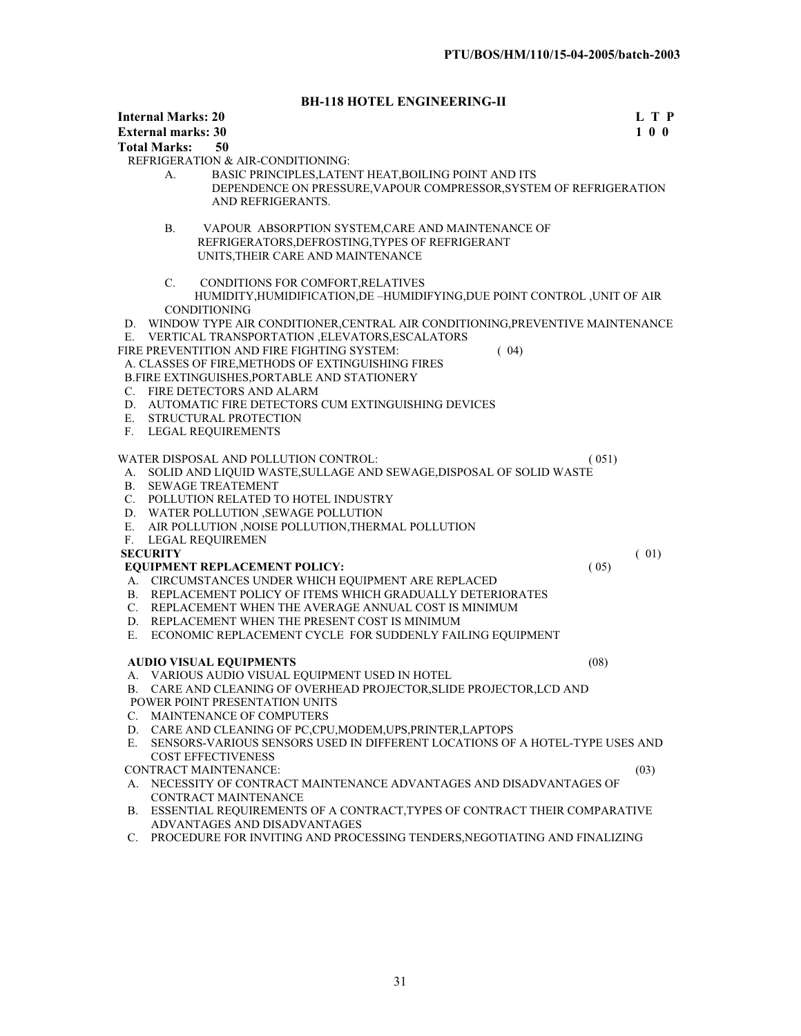# **BH-118 HOTEL ENGINEERING-II**

|    | <b>Internal Marks: 20</b><br><b>External marks: 30</b>                                                                           |       | L T P<br>$1 \t0 \t0$ |
|----|----------------------------------------------------------------------------------------------------------------------------------|-------|----------------------|
|    | <b>Total Marks:</b><br>50                                                                                                        |       |                      |
|    | REFRIGERATION & AIR-CONDITIONING:                                                                                                |       |                      |
|    | BASIC PRINCIPLES, LATENT HEAT, BOILING POINT AND ITS<br>А.                                                                       |       |                      |
|    | DEPENDENCE ON PRESSURE, VAPOUR COMPRESSOR, SYSTEM OF REFRIGERATION                                                               |       |                      |
|    | AND REFRIGERANTS.                                                                                                                |       |                      |
|    | VAPOUR ABSORPTION SYSTEM, CARE AND MAINTENANCE OF<br>В.                                                                          |       |                      |
|    | REFRIGERATORS, DEFROSTING, TYPES OF REFRIGERANT                                                                                  |       |                      |
|    | UNITS, THEIR CARE AND MAINTENANCE                                                                                                |       |                      |
|    | C.<br>CONDITIONS FOR COMFORT, RELATIVES                                                                                          |       |                      |
|    | HUMIDITY, HUMIDIFICATION, DE-HUMIDIFYING, DUE POINT CONTROL, UNIT OF AIR                                                         |       |                      |
|    | <b>CONDITIONING</b>                                                                                                              |       |                      |
| D. | WINDOW TYPE AIR CONDITIONER, CENTRAL AIR CONDITIONING, PREVENTIVE MAINTENANCE<br>VERTICAL TRANSPORTATION , ELEVATORS, ESCALATORS |       |                      |
| Е. | FIRE PREVENTITION AND FIRE FIGHTING SYSTEM:<br>(04)                                                                              |       |                      |
|    | A. CLASSES OF FIRE, METHODS OF EXTINGUISHING FIRES                                                                               |       |                      |
|    | B.FIRE EXTINGUISHES, PORTABLE AND STATIONERY                                                                                     |       |                      |
|    | C. FIRE DETECTORS AND ALARM                                                                                                      |       |                      |
| D. | AUTOMATIC FIRE DETECTORS CUM EXTINGUISHING DEVICES                                                                               |       |                      |
| Е. | STRUCTURAL PROTECTION                                                                                                            |       |                      |
| F. | LEGAL REQUIREMENTS                                                                                                               |       |                      |
|    | WATER DISPOSAL AND POLLUTION CONTROL:                                                                                            | (051) |                      |
| А. | SOLID AND LIQUID WASTE, SULLAGE AND SEWAGE, DISPOSAL OF SOLID WASTE                                                              |       |                      |
| В. | <b>SEWAGE TREATEMENT</b>                                                                                                         |       |                      |
| C. | POLLUTION RELATED TO HOTEL INDUSTRY                                                                                              |       |                      |
| D. | WATER POLLUTION ,SEWAGE POLLUTION                                                                                                |       |                      |
| E. | AIR POLLUTION , NOISE POLLUTION, THERMAL POLLUTION                                                                               |       |                      |
| F. | <b>LEGAL REQUIREMEN</b>                                                                                                          |       |                      |
|    | <b>SECURITY</b>                                                                                                                  |       | (01)                 |
|    | <b>EQUIPMENT REPLACEMENT POLICY:</b>                                                                                             | (05)  |                      |
|    | A. CIRCUMSTANCES UNDER WHICH EQUIPMENT ARE REPLACED                                                                              |       |                      |
| В. | REPLACEMENT POLICY OF ITEMS WHICH GRADUALLY DETERIORATES                                                                         |       |                      |
| C. | REPLACEMENT WHEN THE AVERAGE ANNUAL COST IS MINIMUM                                                                              |       |                      |
|    | D. REPLACEMENT WHEN THE PRESENT COST IS MINIMUM                                                                                  |       |                      |
| Е. | ECONOMIC REPLACEMENT CYCLE FOR SUDDENLY FAILING EQUIPMENT                                                                        |       |                      |
|    | <b>AUDIO VISUAL EQUIPMENTS</b>                                                                                                   | (08)  |                      |
| А. | VARIOUS AUDIO VISUAL EQUIPMENT USED IN HOTEL                                                                                     |       |                      |
|    | B. CARE AND CLEANING OF OVERHEAD PROJECTOR, SLIDE PROJECTOR, LCD AND                                                             |       |                      |
|    | POWER POINT PRESENTATION UNITS                                                                                                   |       |                      |
| C. | MAINTENANCE OF COMPUTERS                                                                                                         |       |                      |
| D. | CARE AND CLEANING OF PC, CPU, MODEM, UPS, PRINTER, LAPTOPS                                                                       |       |                      |
| Е. | SENSORS-VARIOUS SENSORS USED IN DIFFERENT LOCATIONS OF A HOTEL-TYPE USES AND                                                     |       |                      |
|    | <b>COST EFFECTIVENESS</b>                                                                                                        |       |                      |
|    | CONTRACT MAINTENANCE:                                                                                                            |       | (03)                 |
| А. | NECESSITY OF CONTRACT MAINTENANCE ADVANTAGES AND DISADVANTAGES OF<br>CONTRACT MAINTENANCE                                        |       |                      |
|    | B. ESSENTIAL REQUIREMENTS OF A CONTRACT, TYPES OF CONTRACT THEIR COMPARATIVE                                                     |       |                      |
|    | ADVANTAGES AND DISADVANTAGES                                                                                                     |       |                      |

C. PROCEDURE FOR INVITING AND PROCESSING TENDERS, NEGOTIATING AND FINALIZING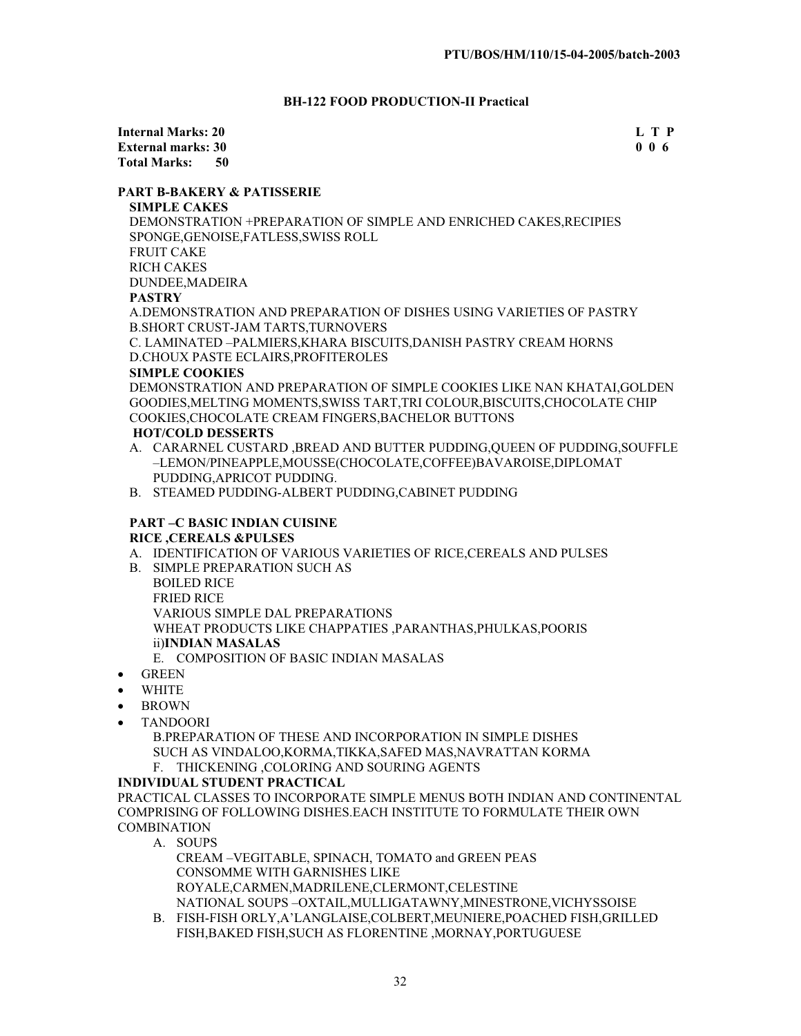# **BH-122 FOOD PRODUCTION-II Practical**

**Internal Marks: 20 L T P External marks: 30 Total Marks: 50** 

## **PART B-BAKERY & PATISSERIE**

**SIMPLE CAKES** DEMONSTRATION +PREPARATION OF SIMPLE AND ENRICHED CAKES,RECIPIES SPONGE,GENOISE,FATLESS,SWISS ROLL FRUIT CAKE RICH CAKES DUNDEE,MADEIRA **PASTRY** A.DEMONSTRATION AND PREPARATION OF DISHES USING VARIETIES OF PASTRY B.SHORT CRUST-JAM TARTS,TURNOVERS C. LAMINATED –PALMIERS,KHARA BISCUITS,DANISH PASTRY CREAM HORNS D.CHOUX PASTE ECLAIRS,PROFITEROLES **SIMPLE COOKIES** 

DEMONSTRATION AND PREPARATION OF SIMPLE COOKIES LIKE NAN KHATAI,GOLDEN GOODIES,MELTING MOMENTS,SWISS TART,TRI COLOUR,BISCUITS,CHOCOLATE CHIP COOKIES,CHOCOLATE CREAM FINGERS,BACHELOR BUTTONS

## **HOT/COLD DESSERTS**

- A. CARARNEL CUSTARD ,BREAD AND BUTTER PUDDING,QUEEN OF PUDDING,SOUFFLE –LEMON/PINEAPPLE,MOUSSE(CHOCOLATE,COFFEE)BAVAROISE,DIPLOMAT PUDDING,APRICOT PUDDING.
- B. STEAMED PUDDING-ALBERT PUDDING,CABINET PUDDING

## **PART –C BASIC INDIAN CUISINE RICE ,CEREALS &PULSES**

- A. IDENTIFICATION OF VARIOUS VARIETIES OF RICE,CEREALS AND PULSES
- B. SIMPLE PREPARATION SUCH AS

BOILED RICE FRIED RICE VARIOUS SIMPLE DAL PREPARATIONS WHEAT PRODUCTS LIKE CHAPPATIES ,PARANTHAS,PHULKAS,POORIS ii)**INDIAN MASALAS**

- E. COMPOSITION OF BASIC INDIAN MASALAS
- $\bullet$  GREEN
- **WHITE**
- **BROWN**
- x TANDOORI

B.PREPARATION OF THESE AND INCORPORATION IN SIMPLE DISHES SUCH AS VINDALOO,KORMA,TIKKA,SAFED MAS,NAVRATTAN KORMA

F. THICKENING ,COLORING AND SOURING AGENTS

# **INDIVIDUAL STUDENT PRACTICAL**

PRACTICAL CLASSES TO INCORPORATE SIMPLE MENUS BOTH INDIAN AND CONTINENTAL COMPRISING OF FOLLOWING DISHES.EACH INSTITUTE TO FORMULATE THEIR OWN **COMBINATION** 

A. SOUPS

CREAM –VEGITABLE, SPINACH, TOMATO and GREEN PEAS CONSOMME WITH GARNISHES LIKE ROYALE,CARMEN,MADRILENE,CLERMONT,CELESTINE NATIONAL SOUPS –OXTAIL,MULLIGATAWNY,MINESTRONE,VICHYSSOISE

B. FISH-FISH ORLY,A'LANGLAISE,COLBERT,MEUNIERE,POACHED FISH,GRILLED FISH,BAKED FISH,SUCH AS FLORENTINE ,MORNAY,PORTUGUESE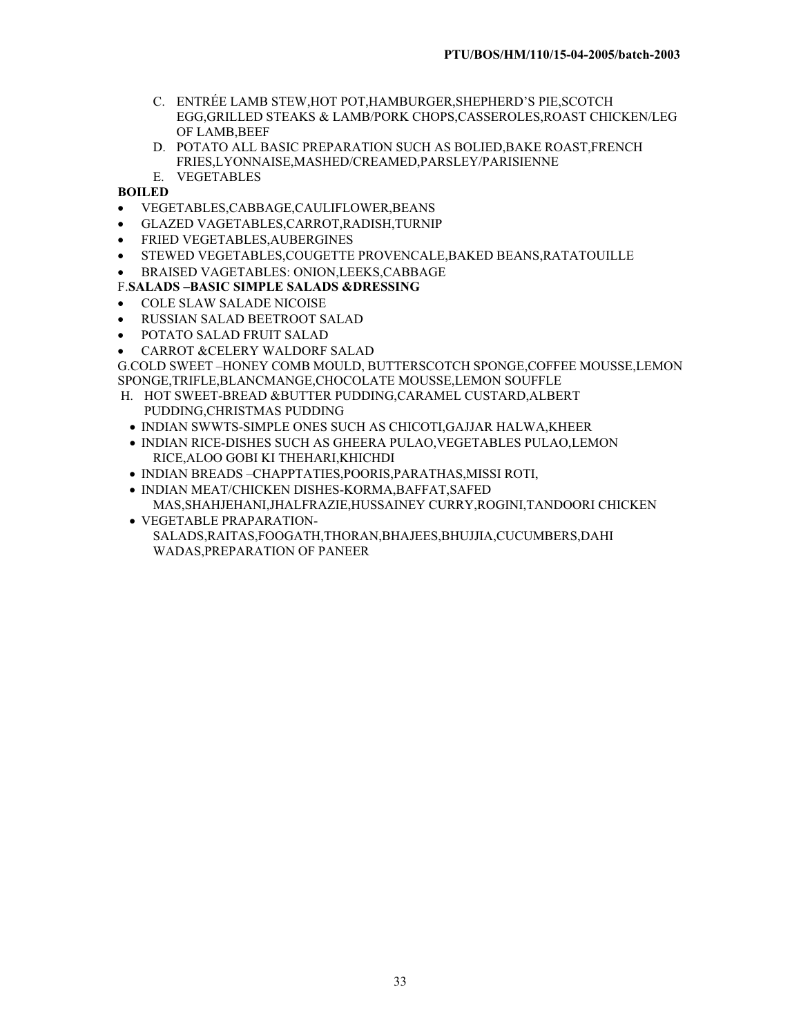- C. ENTRÉE LAMB STEW,HOT POT,HAMBURGER,SHEPHERD'S PIE,SCOTCH EGG,GRILLED STEAKS & LAMB/PORK CHOPS,CASSEROLES,ROAST CHICKEN/LEG OF LAMB,BEEF
- D. POTATO ALL BASIC PREPARATION SUCH AS BOLIED,BAKE ROAST,FRENCH FRIES,LYONNAISE,MASHED/CREAMED,PARSLEY/PARISIENNE
- E. VEGETABLES
- **BOILED**
- x VEGETABLES,CABBAGE,CAULIFLOWER,BEANS
- x GLAZED VAGETABLES,CARROT,RADISH,TURNIP
- **FRIED VEGETABLES, AUBERGINES**
- **STEWED VEGETABLES,COUGETTE PROVENCALE, BAKED BEANS, RATATOUILLE**
- x BRAISED VAGETABLES: ONION,LEEKS,CABBAGE

# F.**SALADS –BASIC SIMPLE SALADS &DRESSING**

- **COLE SLAW SALADE NICOISE**
- RUSSIAN SALAD BEETROOT SALAD
- POTATO SALAD FRUIT SALAD
- CARROT &CELERY WALDORF SALAD

G.COLD SWEET –HONEY COMB MOULD, BUTTERSCOTCH SPONGE,COFFEE MOUSSE,LEMON SPONGE,TRIFLE,BLANCMANGE,CHOCOLATE MOUSSE,LEMON SOUFFLE

- H. HOT SWEET-BREAD &BUTTER PUDDING,CARAMEL CUSTARD,ALBERT PUDDING,CHRISTMAS PUDDING
- x INDIAN SWWTS-SIMPLE ONES SUCH AS CHICOTI,GAJJAR HALWA,KHEER
- x INDIAN RICE-DISHES SUCH AS GHEERA PULAO,VEGETABLES PULAO,LEMON RICE,ALOO GOBI KI THEHARI,KHICHDI
- x INDIAN BREADS –CHAPPTATIES,POORIS,PARATHAS,MISSI ROTI,
- x INDIAN MEAT/CHICKEN DISHES-KORMA,BAFFAT,SAFED MAS,SHAHJEHANI,JHALFRAZIE,HUSSAINEY CURRY,ROGINI,TANDOORI CHICKEN
- VEGETABLE PRAPARATION-SALADS,RAITAS,FOOGATH,THORAN,BHAJEES,BHUJJIA,CUCUMBERS,DAHI WADAS,PREPARATION OF PANEER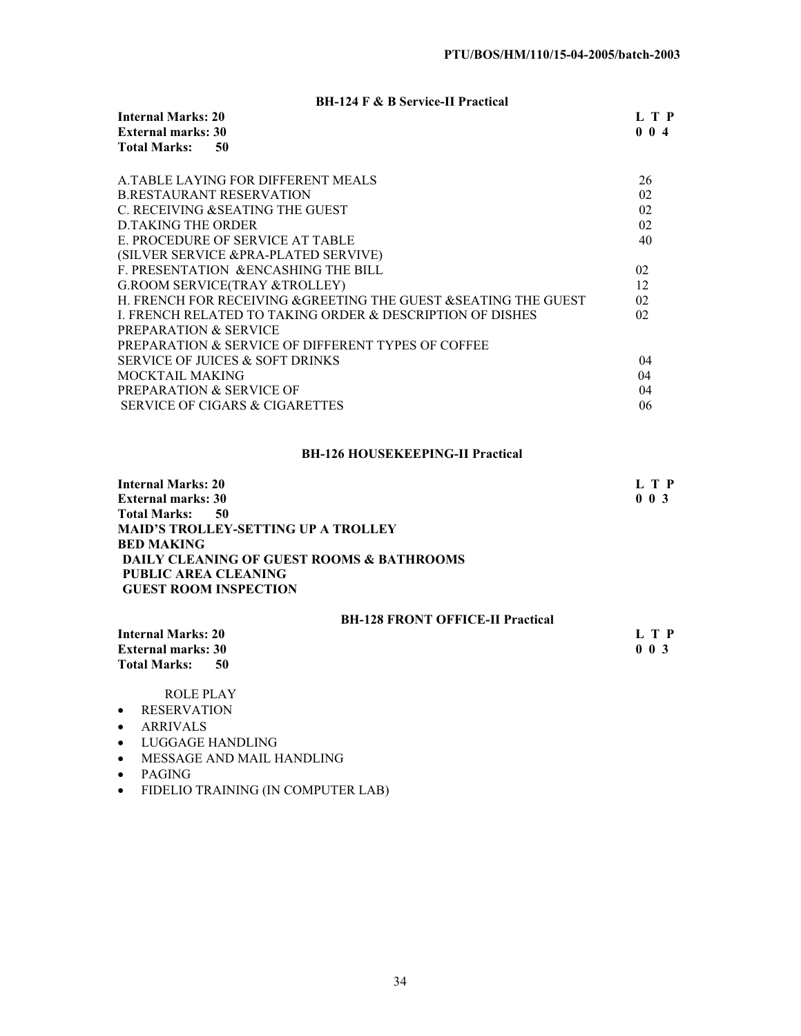# **BH-124 F & B Service-II Practical**

| <b>Internal Marks: 20</b>   | L T P |
|-----------------------------|-------|
| <b>External marks: 30</b>   | 004   |
| <b>Total Marks:</b><br>- 50 |       |

| A TABLE LAYING FOR DIFFERENT MEALS                             | 26              |
|----------------------------------------------------------------|-----------------|
| <b>B.RESTAURANT RESERVATION</b>                                | 02              |
| C. RECEIVING & SEATING THE GUEST                               | 02              |
| <b>D.TAKING THE ORDER</b>                                      | 02              |
| E. PROCEDURE OF SERVICE AT TABLE                               | 40              |
| (SILVER SERVICE & PRA-PLATED SERVIVE)                          |                 |
| F. PRESENTATION & ENCASHING THE BILL                           | 02              |
| <b>G.ROOM SERVICE(TRAY &amp;TROLLEY)</b>                       | 12              |
| H. FRENCH FOR RECEIVING &GREETING THE GUEST &SEATING THE GUEST | 02 <sub>1</sub> |
| I. FRENCH RELATED TO TAKING ORDER & DESCRIPTION OF DISHES      | 02              |
| <b>PREPARATION &amp; SERVICE</b>                               |                 |
| <b>PREPARATION &amp; SERVICE OF DIFFERENT TYPES OF COFFEE</b>  |                 |
| <b>SERVICE OF JUICES &amp; SOFT DRINKS</b>                     | 04              |
| MOCKTAIL MAKING                                                | 04              |
| <b>PREPARATION &amp; SERVICE OF</b>                            | 04              |
| SERVICE OF CIGARS & CIGARETTES                                 | 06              |
|                                                                |                 |

# **BH-126 HOUSEKEEPING-II Practical**

| <b>Internal Marks: 20</b>                  | L T P       |
|--------------------------------------------|-------------|
| <b>External marks: 30</b>                  | $0 \t0 \t3$ |
| Total Marks:<br>-50                        |             |
| <b>MAID'S TROLLEY-SETTING UP A TROLLEY</b> |             |
| <b>BED MAKING</b>                          |             |
| DAILY CLEANING OF GUEST ROOMS & BATHROOMS  |             |
| PUBLIC AREA CLEANING                       |             |
| <b>GUEST ROOM INSPECTION</b>               |             |
|                                            |             |

# **BH-128 FRONT OFFICE-II Practical**

| <b>Internal Marks: 20</b>   | L T P       |
|-----------------------------|-------------|
| <b>External marks: 30</b>   | $0 \t0 \t3$ |
| <b>Total Marks:</b><br>- 50 |             |

ROLE PLAY

- RESERVATION
- ARRIVALS
- LUGGAGE HANDLING
- MESSAGE AND MAIL HANDLING
- PAGING
- FIDELIO TRAINING (IN COMPUTER LAB)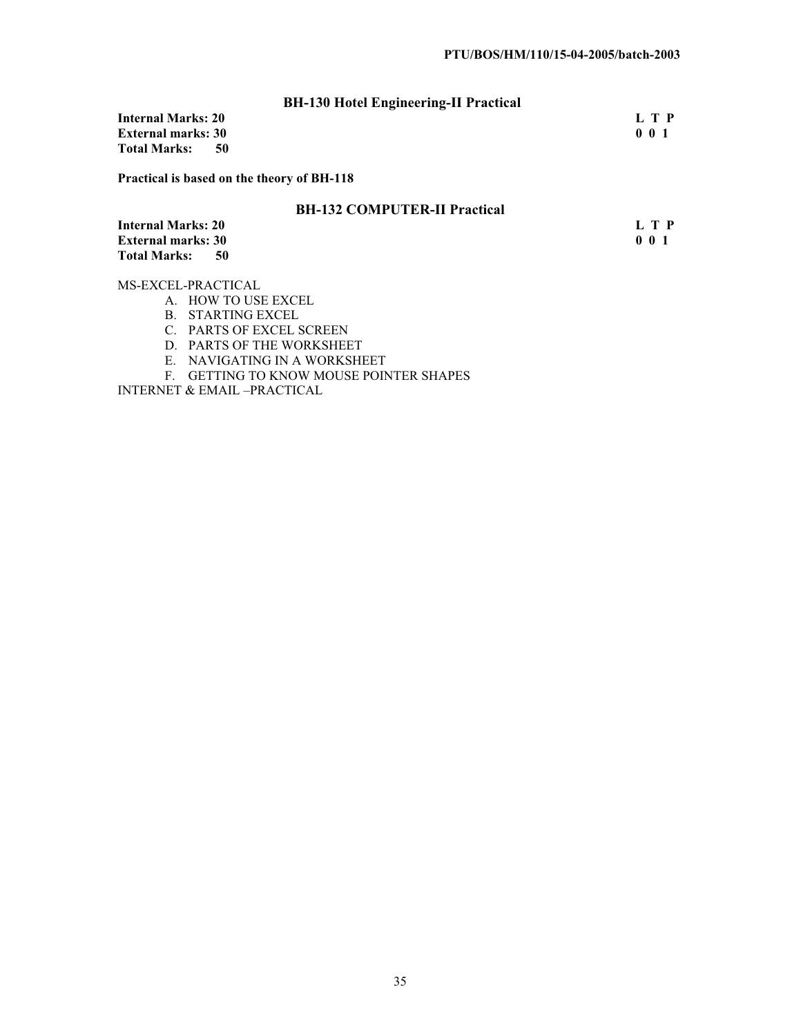|                           | <b>BH-130 Hotel Engineering-II Practical</b> |     |
|---------------------------|----------------------------------------------|-----|
| Internal Marks: 20        |                                              | LTP |
| <b>External marks: 30</b> |                                              | 001 |
| Total Marks:              | 50                                           |     |
|                           |                                              |     |

**Practical is based on the theory of BH-118**

# **BH-132 COMPUTER-II Practical**

**Internal Marks: 20** L T P<br> **External marks: 30** 0 0 1 **External marks: 30 Total Marks: 50** 

MS-EXCEL-PRACTICAL

- A. HOW TO USE EXCEL
- B. STARTING EXCEL
- C. PARTS OF EXCEL SCREEN
- D. PARTS OF THE WORKSHEET
- E. NAVIGATING IN A WORKSHEET
- F. GETTING TO KNOW MOUSE POINTER SHAPES

INTERNET & EMAIL –PRACTICAL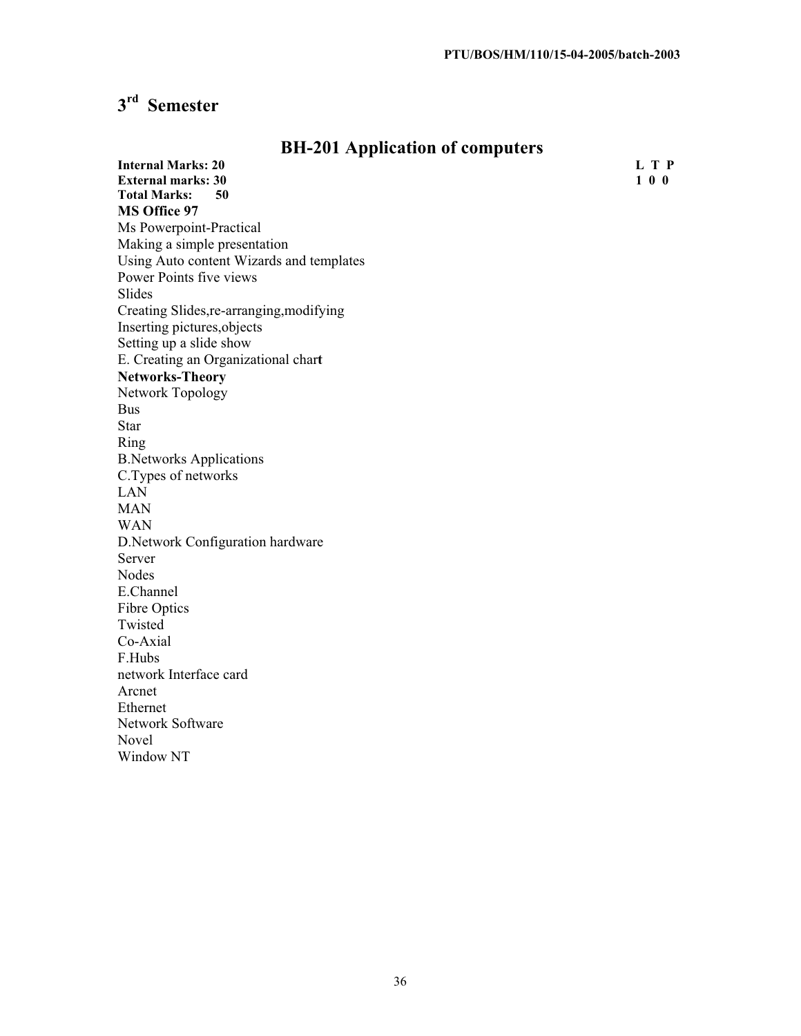# **3rd Semester**

| -------<br><b>Internal Marks: 20</b><br><b>External marks: 30</b><br><b>Total Marks:</b><br>50<br>MS Office 97 | L T P<br>100 |
|----------------------------------------------------------------------------------------------------------------|--------------|
| Ms Powerpoint-Practical                                                                                        |              |
| Making a simple presentation                                                                                   |              |
| Using Auto content Wizards and templates                                                                       |              |
| Power Points five views                                                                                        |              |
| Slides                                                                                                         |              |
| Creating Slides, re-arranging, modifying                                                                       |              |
| Inserting pictures, objects                                                                                    |              |
| Setting up a slide show                                                                                        |              |
| E. Creating an Organizational chart                                                                            |              |
| <b>Networks-Theory</b>                                                                                         |              |
| Network Topology                                                                                               |              |
| <b>Bus</b>                                                                                                     |              |
| Star                                                                                                           |              |
| Ring                                                                                                           |              |
| <b>B.Networks Applications</b>                                                                                 |              |
| C.Types of networks                                                                                            |              |
| <b>LAN</b>                                                                                                     |              |
| <b>MAN</b>                                                                                                     |              |
| <b>WAN</b>                                                                                                     |              |
| D.Network Configuration hardware                                                                               |              |
| Server                                                                                                         |              |
| <b>Nodes</b>                                                                                                   |              |
| E.Channel                                                                                                      |              |
| Fibre Optics                                                                                                   |              |
| Twisted                                                                                                        |              |
| Co-Axial                                                                                                       |              |
| F.Hubs                                                                                                         |              |
| network Interface card                                                                                         |              |
| Arcnet                                                                                                         |              |
| Ethernet                                                                                                       |              |
| Network Software                                                                                               |              |
| Novel                                                                                                          |              |
| Window NT                                                                                                      |              |

# **BH-201 Application of computers**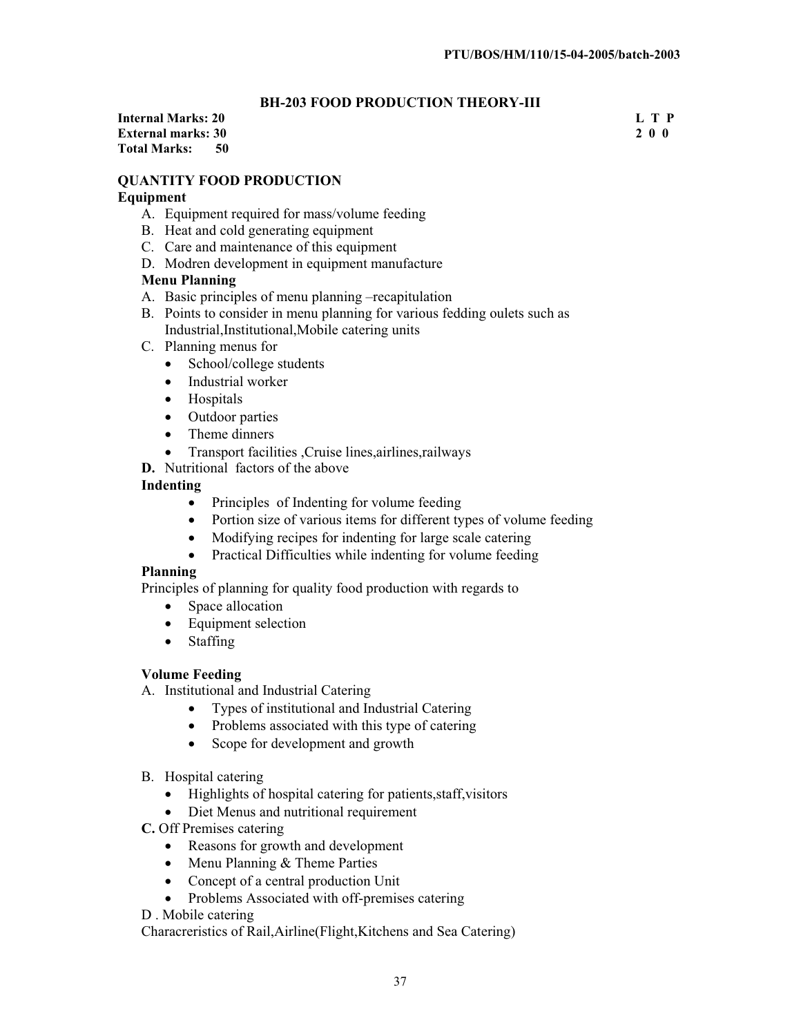#### **BH-203 FOOD PRODUCTION THEORY-III**

**Internal Marks: 20 L T P L T P L T P External marks: 30 2 0 0 Total Marks: 50** 

#### **QUANTITY FOOD PRODUCTION**

#### **Equipment**

- A. Equipment required for mass/volume feeding
- B. Heat and cold generating equipment
- C. Care and maintenance of this equipment
- D. Modren development in equipment manufacture

#### **Menu Planning**

- A. Basic principles of menu planning –recapitulation
- B. Points to consider in menu planning for various fedding oulets such as Industrial,Institutional,Mobile catering units
- C. Planning menus for
	- $\bullet$  School/college students
	- Industrial worker
	- Hospitals
	- Outdoor parties
	- Theme dinners
	- x Transport facilities ,Cruise lines,airlines,railways
- **D.** Nutritional factors of the above

#### **Indenting**

- Principles of Indenting for volume feeding
- $\bullet$  Portion size of various items for different types of volume feeding
- Modifying recipes for indenting for large scale catering
- $\bullet$  Practical Difficulties while indenting for volume feeding

#### **Planning**

Principles of planning for quality food production with regards to

- Space allocation
- $\bullet$  Equipment selection
- $\bullet$  Staffing

#### **Volume Feeding**

- A. Institutional and Industrial Catering
	- $\bullet$  Types of institutional and Industrial Catering
	- Problems associated with this type of catering
	- Scope for development and growth

#### B. Hospital catering

- $\bullet$  Highlights of hospital catering for patients, staff, visitors
- Diet Menus and nutritional requirement
- **C.** Off Premises catering
	- Reasons for growth and development
	- $\bullet$  Menu Planning & Theme Parties
	- Concept of a central production Unit
	- Problems Associated with off-premises catering
- D . Mobile catering

Characreristics of Rail,Airline(Flight,Kitchens and Sea Catering)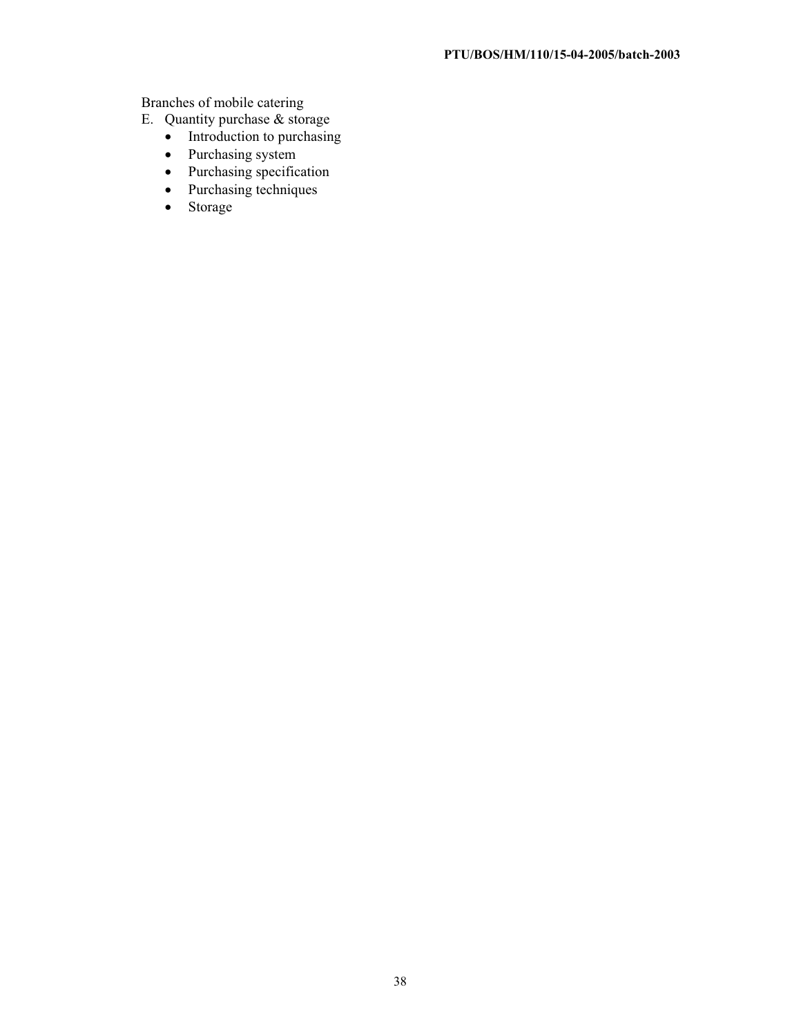Branches of mobile catering

- E. Quantity purchase & storage
	- $\bullet$  Introduction to purchasing
	- Purchasing system
	- $\bullet$  Purchasing specification
	- $\bullet$  Purchasing techniques
	- Storage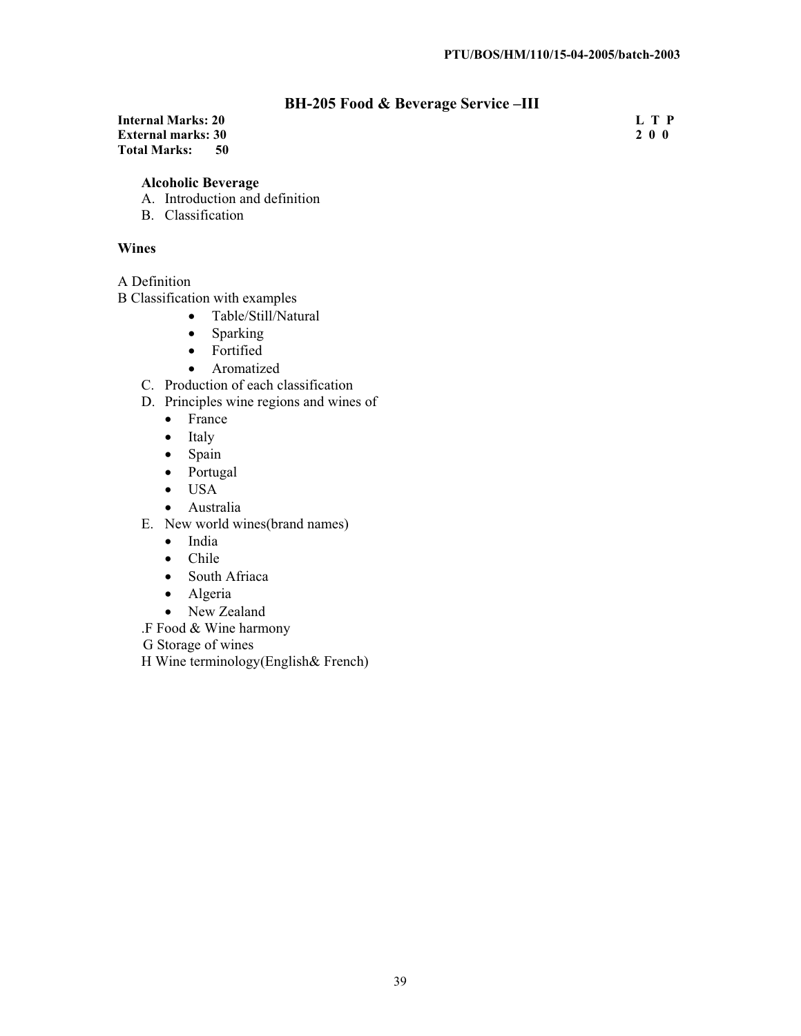## **BH-205 Food & Beverage Service –III**

**Internal Marks: 20** L T P<br> **External marks: 30** 2 0 0 **External marks: 30 Total Marks: 50** 

#### **Alcoholic Beverage**

- A. Introduction and definition
- B. Classification

#### **Wines**

A Definition

B Classification with examples

- Table/Still/Natural
- Sparking
- Fortified
- Aromatized
- C. Production of each classification
- D. Principles wine regions and wines of
	- France
	- $\bullet$  Italy
	- $\bullet$  Spain
	- Portugal
	- $\bullet$  USA
	- Australia
- E. New world wines(brand names)
	- India
	- $\bullet$  Chile
	- South Afriaca
	- $\bullet$  Algeria
	- New Zealand
- .F Food & Wine harmony

G Storage of wines

H Wine terminology(English& French)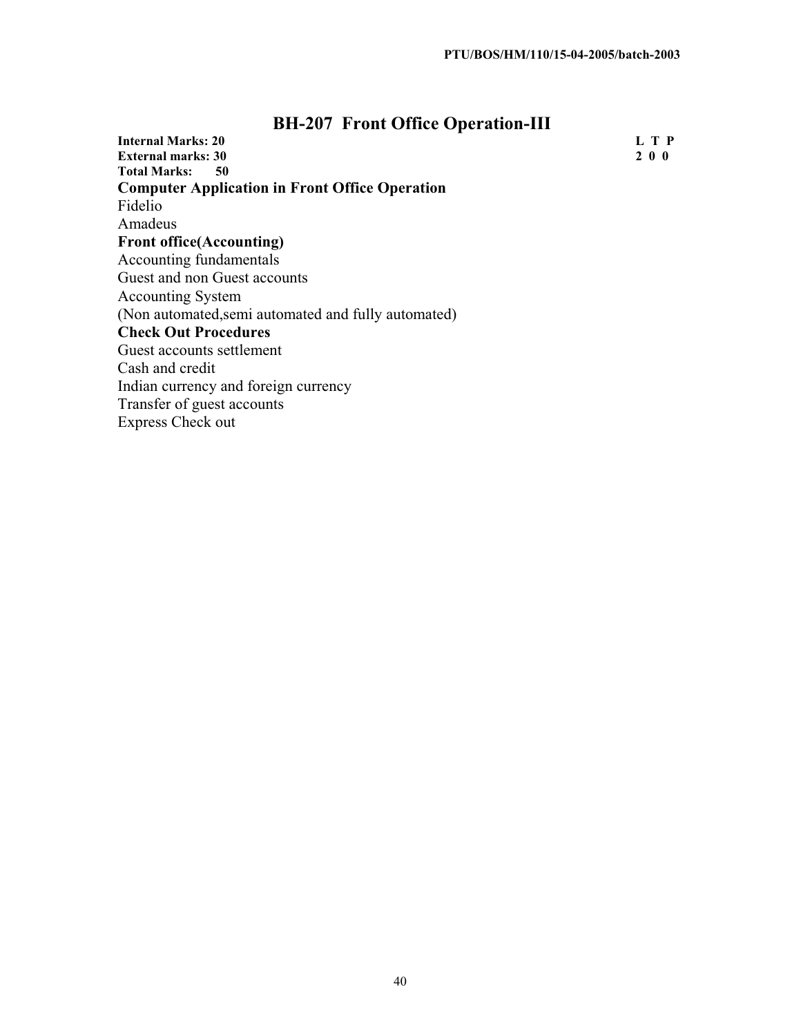# **BH-207 Front Office Operation-III**

| <b>Internal Marks: 20</b>                             | L T P |
|-------------------------------------------------------|-------|
| <b>External marks: 30</b>                             | 200   |
| <b>Total Marks:</b><br>50                             |       |
| <b>Computer Application in Front Office Operation</b> |       |
| Fidelio                                               |       |
| Amadeus                                               |       |
| <b>Front office</b> (Accounting)                      |       |
| Accounting fundamentals                               |       |
| Guest and non Guest accounts                          |       |
| <b>Accounting System</b>                              |       |
| (Non automated, semi automated and fully automated)   |       |
| <b>Check Out Procedures</b>                           |       |
| Guest accounts settlement                             |       |
| Cash and credit                                       |       |
| Indian currency and foreign currency                  |       |
| Transfer of guest accounts                            |       |
| <b>Express Check out</b>                              |       |
|                                                       |       |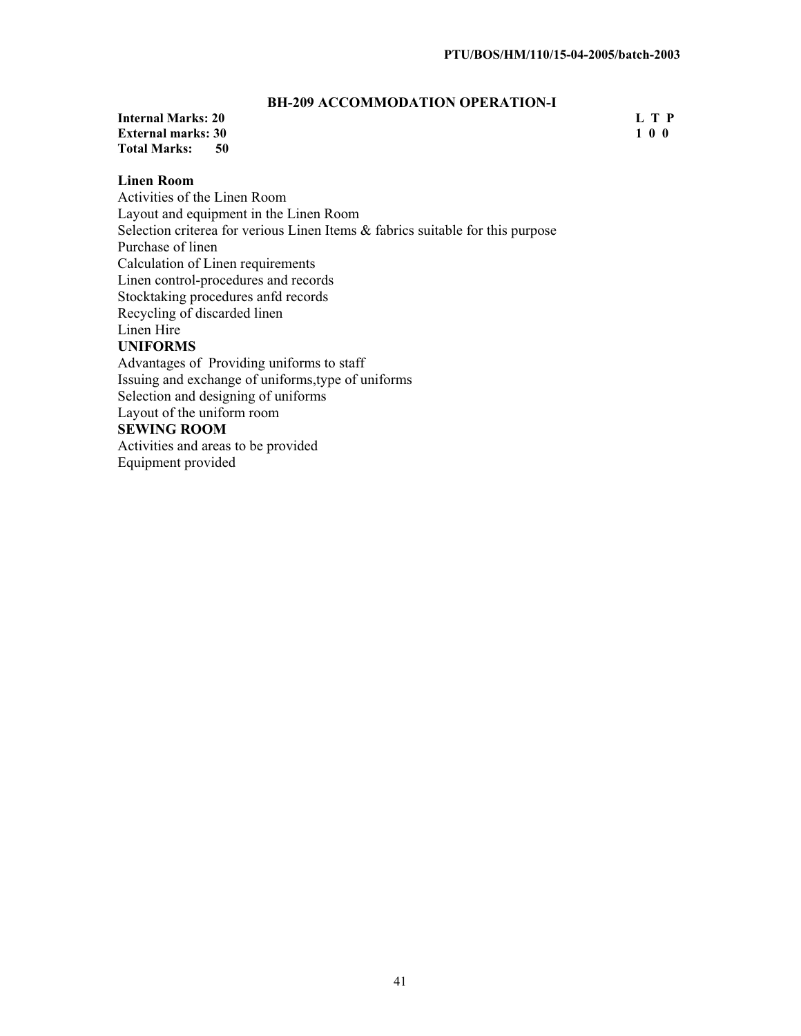#### **BH-209 ACCOMMODATION OPERATION-I**

#### **Internal Marks: 20 L T P**<br>**External marks: 30 l** 1 0 0 **External marks: 30 Total Marks: 50**

#### **Linen Room**

Activities of the Linen Room Layout and equipment in the Linen Room Selection criterea for verious Linen Items & fabrics suitable for this purpose Purchase of linen Calculation of Linen requirements Linen control-procedures and records Stocktaking procedures anfd records Recycling of discarded linen Linen Hire **UNIFORMS** Advantages of Providing uniforms to staff Issuing and exchange of uniforms,type of uniforms Selection and designing of uniforms Layout of the uniform room **SEWING ROOM**  Activities and areas to be provided Equipment provided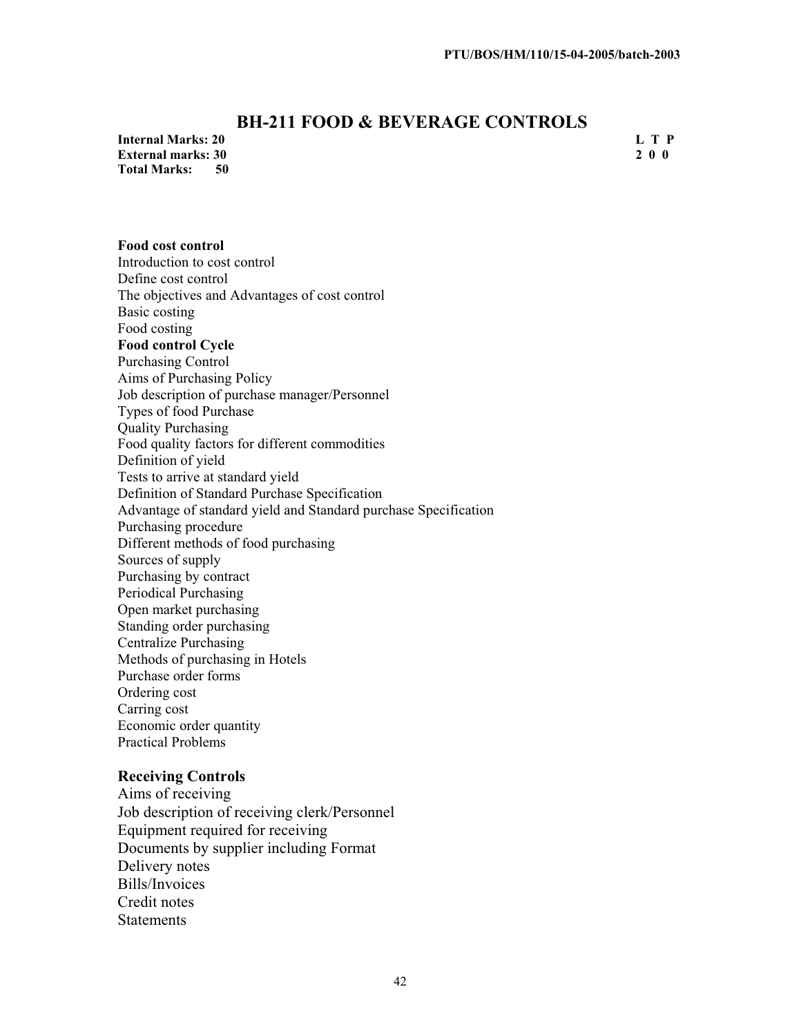## **BH-211 FOOD & BEVERAGE CONTROLS**

**Internal Marks: 20 L T P External marks: 30 Total Marks: 50** 

**Food cost control** 

#### Introduction to cost control Define cost control The objectives and Advantages of cost control Basic costing Food costing **Food control Cycle**  Purchasing Control Aims of Purchasing Policy Job description of purchase manager/Personnel Types of food Purchase Quality Purchasing Food quality factors for different commodities Definition of yield Tests to arrive at standard yield Definition of Standard Purchase Specification Advantage of standard yield and Standard purchase Specification Purchasing procedure Different methods of food purchasing Sources of supply Purchasing by contract Periodical Purchasing Open market purchasing Standing order purchasing Centralize Purchasing Methods of purchasing in Hotels Purchase order forms Ordering cost Carring cost Economic order quantity Practical Problems

#### **Receiving Controls**

Aims of receiving Job description of receiving clerk/Personnel Equipment required for receiving Documents by supplier including Format Delivery notes Bills/Invoices Credit notes **Statements**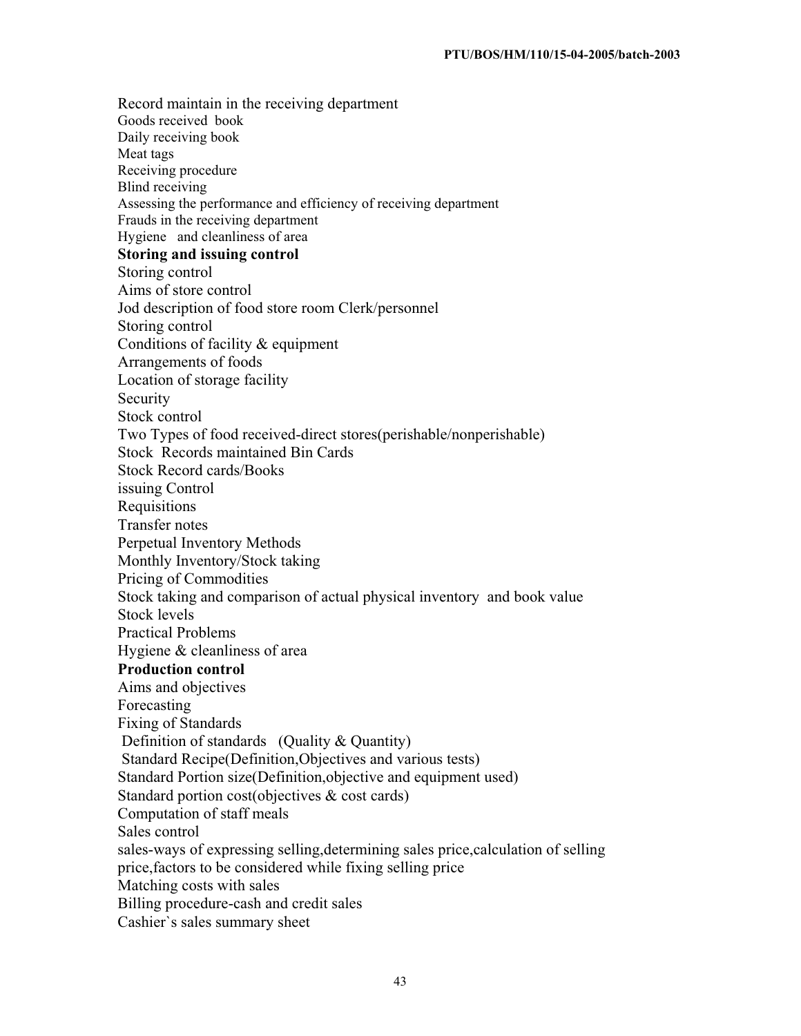Record maintain in the receiving department Goods received book Daily receiving book Meat tags Receiving procedure Blind receiving Assessing the performance and efficiency of receiving department Frauds in the receiving department Hygiene and cleanliness of area **Storing and issuing control**  Storing control Aims of store control Jod description of food store room Clerk/personnel Storing control Conditions of facility & equipment Arrangements of foods Location of storage facility Security Stock control Two Types of food received-direct stores(perishable/nonperishable) Stock Records maintained Bin Cards Stock Record cards/Books issuing Control Requisitions Transfer notes Perpetual Inventory Methods Monthly Inventory/Stock taking Pricing of Commodities Stock taking and comparison of actual physical inventory and book value Stock levels Practical Problems Hygiene & cleanliness of area **Production control** Aims and objectives Forecasting Fixing of Standards Definition of standards (Quality & Quantity) Standard Recipe(Definition,Objectives and various tests) Standard Portion size(Definition,objective and equipment used) Standard portion cost(objectives & cost cards) Computation of staff meals Sales control sales-ways of expressing selling,determining sales price,calculation of selling price,factors to be considered while fixing selling price Matching costs with sales Billing procedure-cash and credit sales Cashier`s sales summary sheet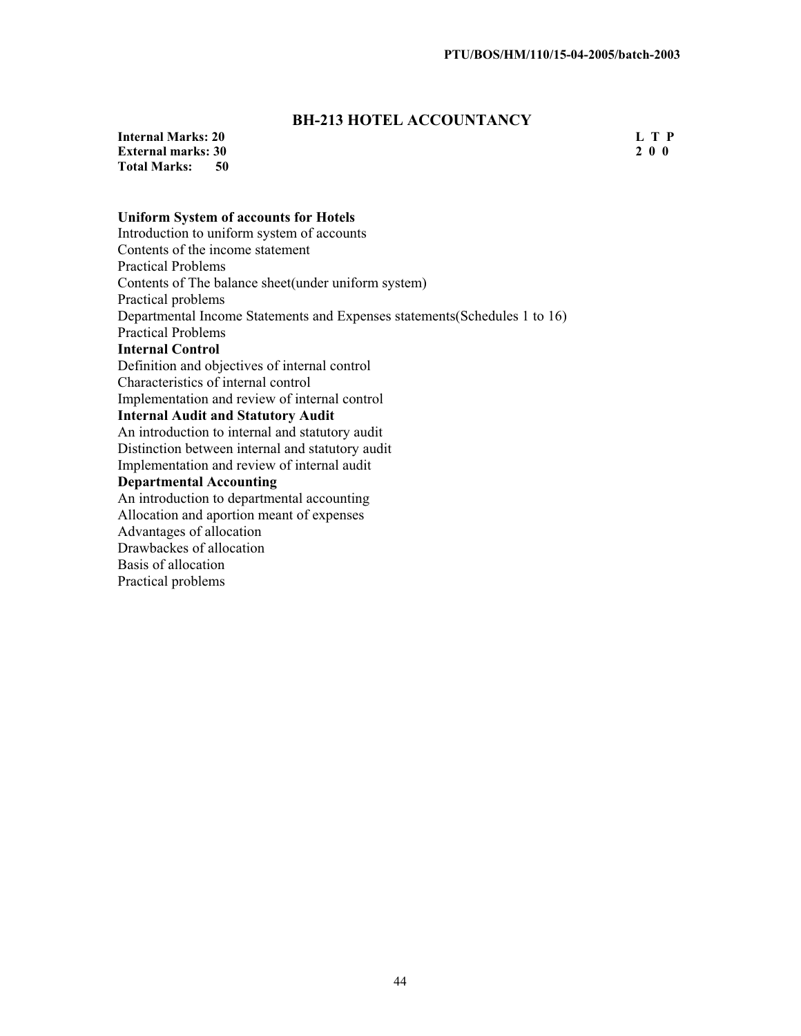## **BH-213 HOTEL ACCOUNTANCY**

**Internal Marks: 20** L T P<br> **External marks: 30** 2 0 0 **External marks: 30<br>Total Marks: 50 Total Marks:** 

#### **Uniform System of accounts for Hotels**

Introduction to uniform system of accounts Contents of the income statement Practical Problems Contents of The balance sheet(under uniform system) Practical problems Departmental Income Statements and Expenses statements(Schedules 1 to 16) Practical Problems **Internal Control** Definition and objectives of internal control Characteristics of internal control Implementation and review of internal control **Internal Audit and Statutory Audit** An introduction to internal and statutory audit Distinction between internal and statutory audit Implementation and review of internal audit **Departmental Accounting** An introduction to departmental accounting Allocation and aportion meant of expenses Advantages of allocation Drawbackes of allocation Basis of allocation Practical problems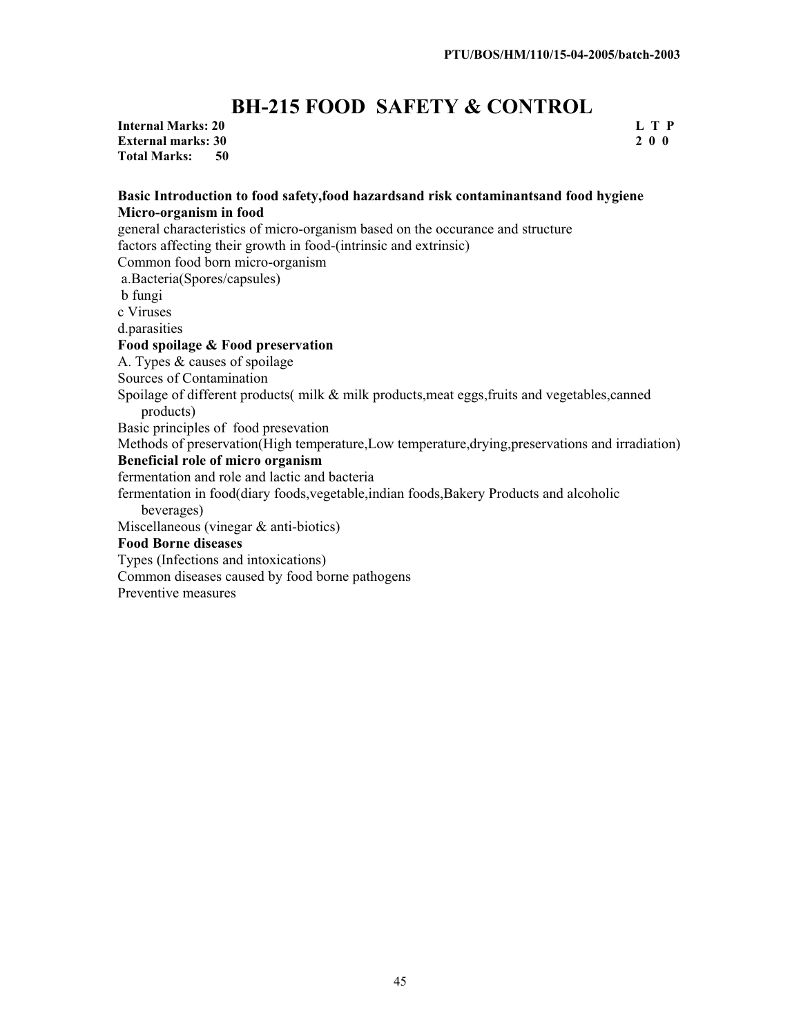# **BH-215 FOOD SAFETY & CONTROL**

**Internal Marks: 20 L T P External marks: 30 Total Marks: 50** 

## **Basic Introduction to food safety,food hazardsand risk contaminantsand food hygiene Micro-organism in food**

general characteristics of micro-organism based on the occurance and structure factors affecting their growth in food-(intrinsic and extrinsic) Common food born micro-organism a.Bacteria(Spores/capsules) b fungi c Viruses d.parasities **Food spoilage & Food preservation** A. Types & causes of spoilage Sources of Contamination Spoilage of different products( milk & milk products,meat eggs,fruits and vegetables,canned products) Basic principles of food presevation Methods of preservation(High temperature,Low temperature,drying,preservations and irradiation) **Beneficial role of micro organism** fermentation and role and lactic and bacteria fermentation in food(diary foods,vegetable,indian foods,Bakery Products and alcoholic beverages) Miscellaneous (vinegar & anti-biotics) **Food Borne diseases** Types (Infections and intoxications) Common diseases caused by food borne pathogens

Preventive measures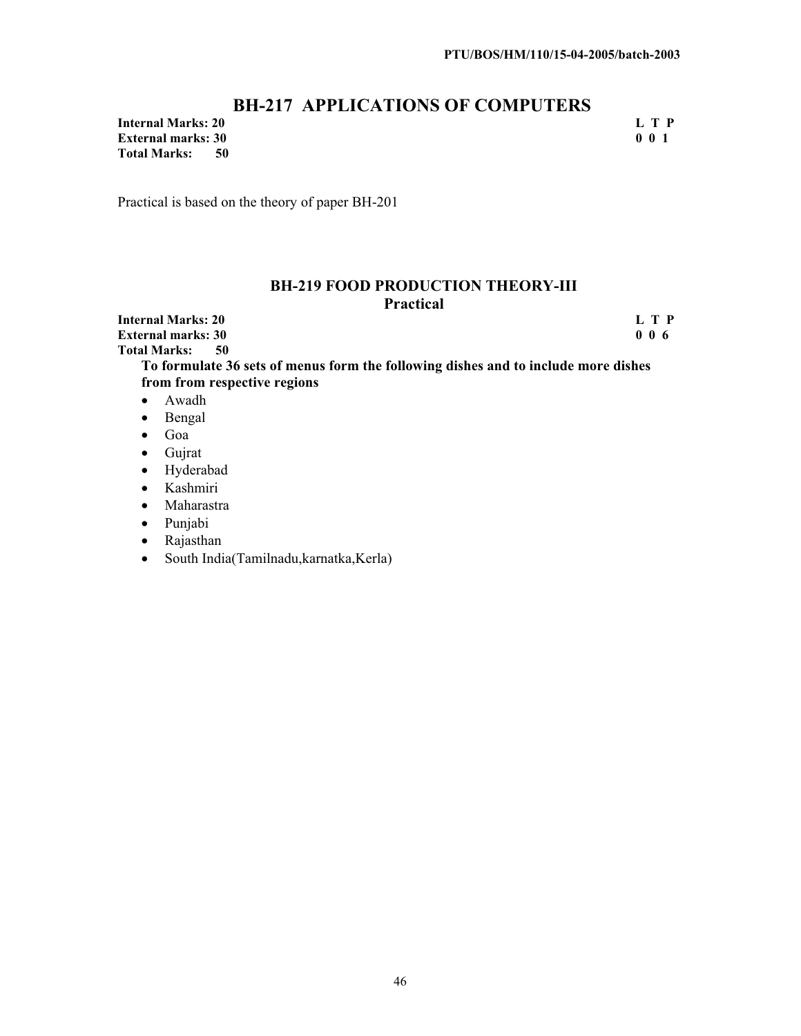## **BH-217 APPLICATIONS OF COMPUTERS**

**Internal Marks: 20** L T P<br> **External marks: 30** 0 0 1 **External marks: 30<br>Total Marks: 50 Total Marks:** 

Practical is based on the theory of paper BH-201

#### **BH-219 FOOD PRODUCTION THEORY-III Practical**

**Internal Marks: 20** L T P<br> **External marks: 30** 0 0 6 **External marks: 30<br>Total Marks: 50 Total Marks:** 

**To formulate 36 sets of menus form the following dishes and to include more dishes from from respective regions** 

- $\bullet$  Awadh
- $\bullet$  Bengal
- $\bullet$  Goa
- $\bullet$  Gujrat
- Hyderabad
- Kashmiri
- Maharastra
- Punjabi
- Rajasthan
- South India(Tamilnadu,karnatka,Kerla)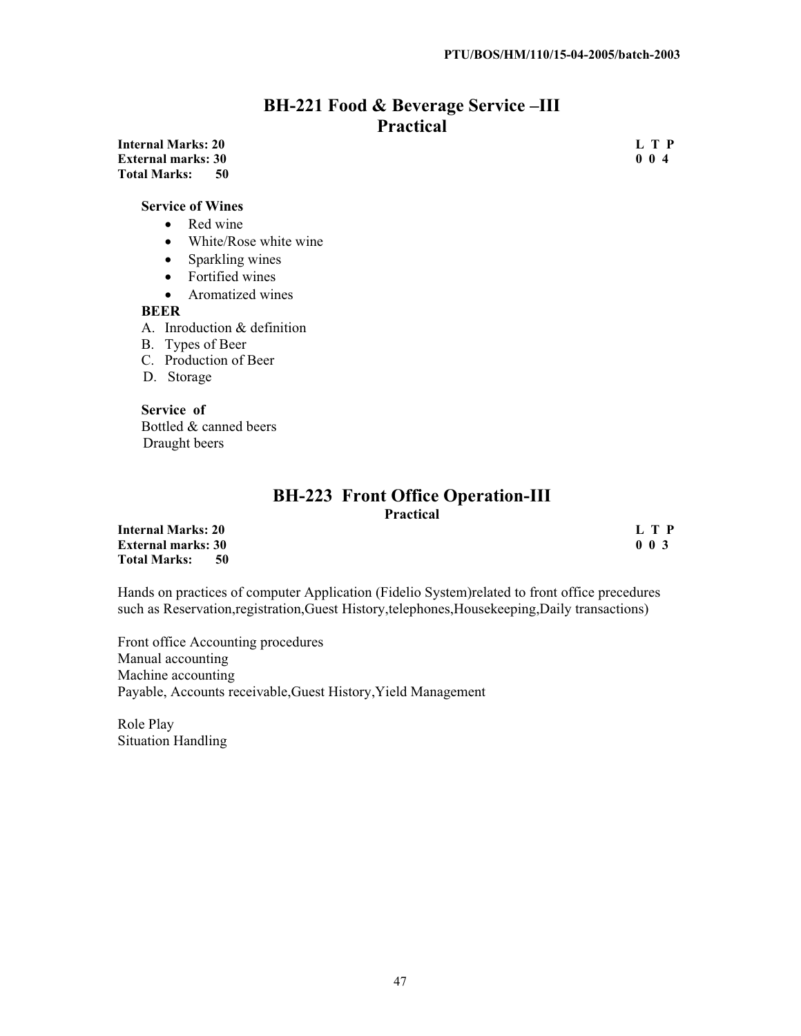## **BH-221 Food & Beverage Service –III Practical**

#### **Internal Marks: 20** L T P<br> **External marks: 30** 0 0 4 **External marks: 30 Total Marks: 50**

#### **Service of Wines**

- $\bullet$  Red wine
- $\bullet$  White/Rose white wine
- $\bullet$  Sparkling wines
- Fortified wines
- $\bullet$  Aromatized wines

#### **BEER**

- A. Inroduction & definition
- B. Types of Beer
- C. Production of Beer
- D. Storage

**Service of** Bottled & canned beers Draught beers

#### **BH-223 Front Office Operation-III Practical**

**Internal Marks: 20** L T P<br> **External marks: 30** 0 0 3 **External marks: 30<br>Total Marks: 50 Total Marks:** 

Hands on practices of computer Application (Fidelio System)related to front office precedures such as Reservation, registration, Guest History, telephones, Housekeeping, Daily transactions)

Front office Accounting procedures Manual accounting Machine accounting Payable, Accounts receivable,Guest History,Yield Management

Role Play Situation Handling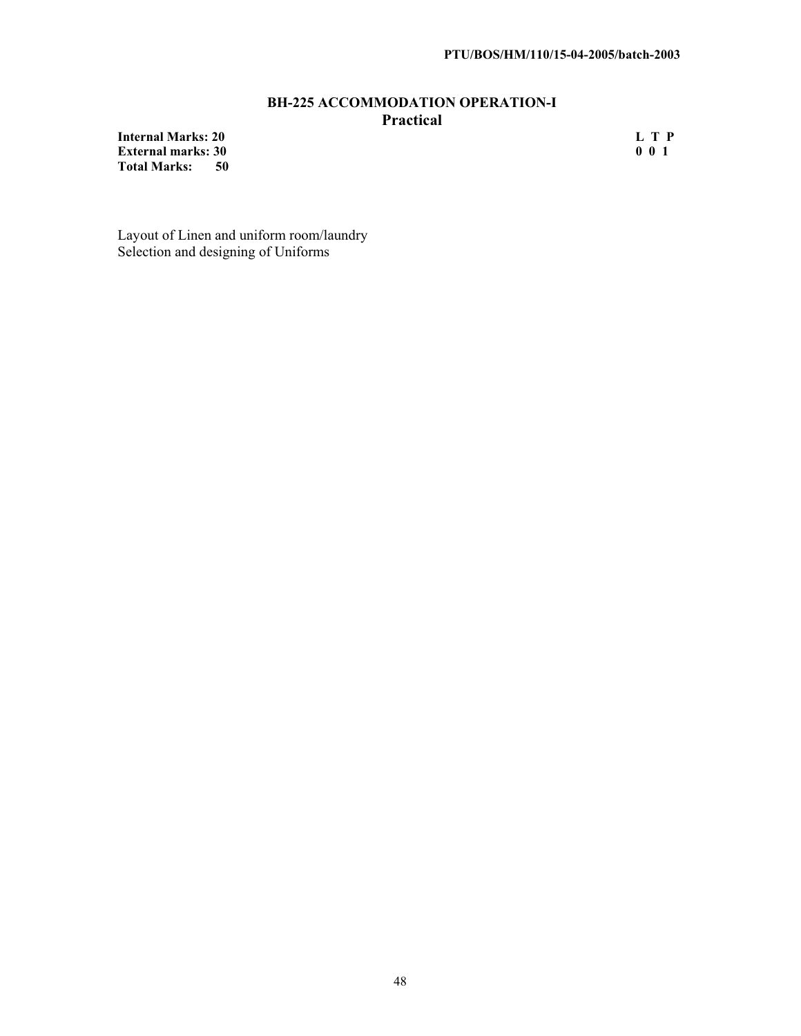#### **BH-225 ACCOMMODATION OPERATION-I Practical**

**Internal Marks: 20** L T P<br> **External marks: 30** 0 0 1 **External marks: 30 Total Marks: 50** 

Layout of Linen and uniform room/laundry Selection and designing of Uniforms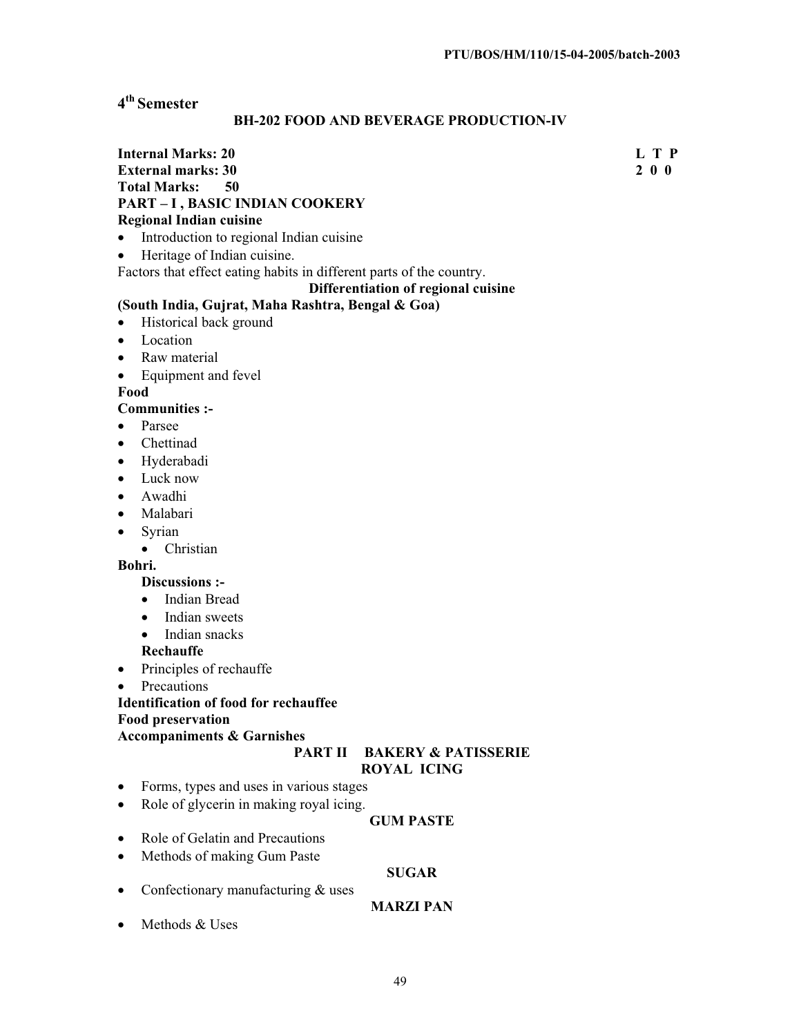## **4th Semester**

#### **BH-202 FOOD AND BEVERAGE PRODUCTION-IV**

#### **Internal Marks: 20 L T P L** T P **External marks: 30 2 0 0 Total Marks: PART – I , BASIC INDIAN COOKERY Regional Indian cuisine**

- Introduction to regional Indian cuisine
- Heritage of Indian cuisine.

Factors that effect eating habits in different parts of the country.

#### **Differentiation of regional cuisine**

#### **(South India, Gujrat, Maha Rashtra, Bengal & Goa)**

- Historical back ground
- Location
- $\bullet$  Raw material
- Equipment and fevel

**Food**

#### **Communities :-**

- Parsee
- Chettinad
- Hyderabadi
- Luck now
- Awadhi
- Malabari
- $\bullet$  Syrian
	- Christian

#### **Bohri.**

## **Discussions :-**

- Indian Bread
- Indian sweets
- Indian snacks
- **Rechauffe**
- $\bullet$  Principles of rechauffe
- Precautions

#### **Identification of food for rechauffee**

**Food preservation** 

#### **Accompaniments & Garnishes**

## **PART II BAKERY & PATISSERIE**

## **ROYAL ICING**

- Forms, types and uses in various stages
- Role of glycerin in making royal icing.

#### **GUM PASTE**

- $\bullet$  Role of Gelatin and Precautions
- Methods of making Gum Paste

#### **SUGAR**

• Confectionary manufacturing  $&$  uses

#### **MARZI PAN**

 $\bullet$  Methods & Uses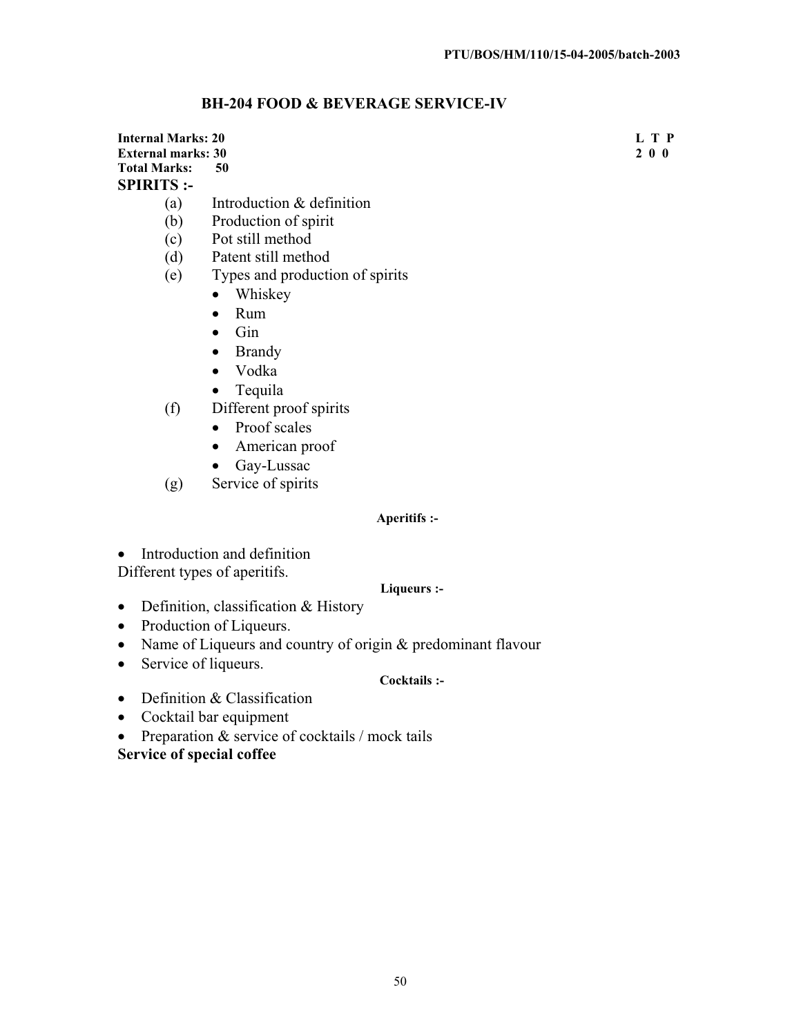## **BH-204 FOOD & BEVERAGE SERVICE-IV**

| Internal Marks: 20  |                                 | L T P |
|---------------------|---------------------------------|-------|
| External marks: 30  |                                 | 2 0 0 |
| <b>Total Marks:</b> | 50                              |       |
| <b>SPIRITS :-</b>   |                                 |       |
| (a)                 | Introduction & definition       |       |
| (b)                 | Production of spirit            |       |
| (c)                 | Pot still method                |       |
| (d)                 | Patent still method             |       |
| (e)                 | Types and production of spirits |       |
|                     |                                 |       |

- Whiskey
	- $\bullet$  Rum
	- $\bullet$  Gin
	- Brandy
	- Vodka
	- $\bullet$  Tequila
- (f) Different proof spirits
	- Proof scales
	- American proof
	- Gay-Lussac
- (g) Service of spirits

#### **Aperitifs :-**

• Introduction and definition Different types of aperitifs.

#### **Liqueurs :-**

- $\bullet$  Definition, classification & History
- Production of Liqueurs.
- Name of Liqueurs and country of origin  $&$  predominant flavour
- $\bullet$  Service of liqueurs.

#### **Cocktails :-**

- $\bullet$  Definition & Classification
- $\bullet$  Cocktail bar equipment
- Preparation  $&$  service of cocktails / mock tails

## **Service of special coffee**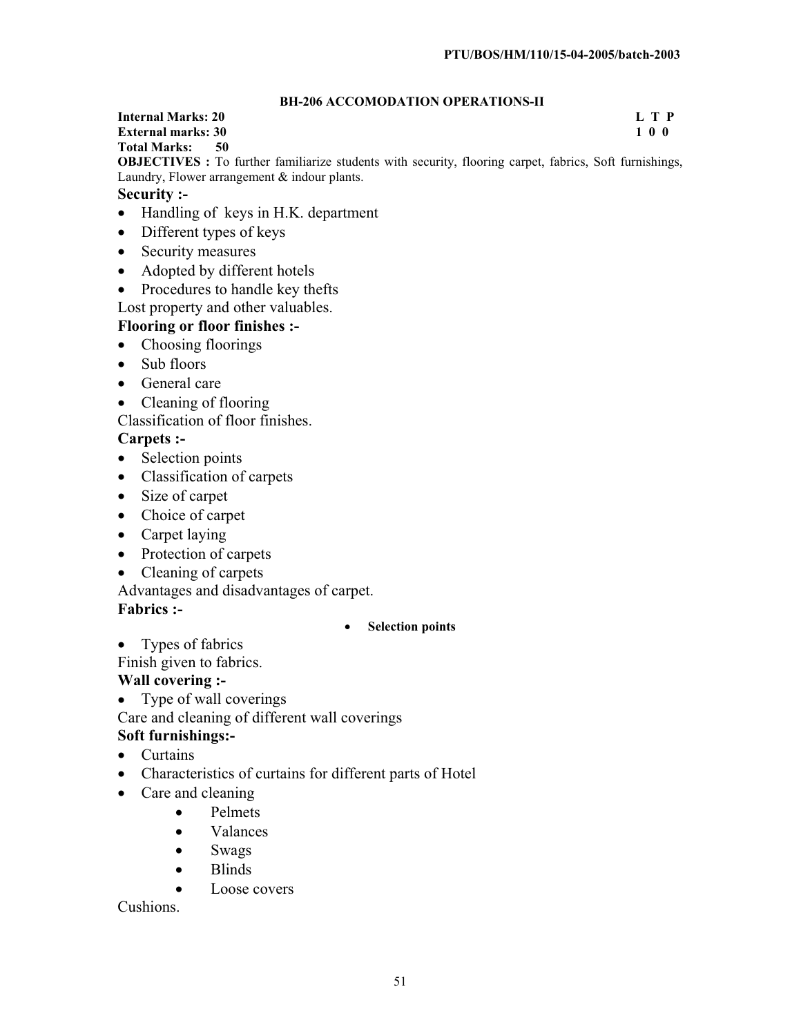#### **BH-206 ACCOMODATION OPERATIONS-II**

## **Internal Marks: 20 L T P External marks: 30<br>Total Marks: 50**

**Total Marks:** 

**OBJECTIVES :** To further familiarize students with security, flooring carpet, fabrics, Soft furnishings, Laundry, Flower arrangement & indour plants.

## **Security :-**

- Handling of keys in H.K. department
- $\bullet$  Different types of keys
- Security measures
- Adopted by different hotels
- Procedures to handle key thefts

Lost property and other valuables.

## **Flooring or floor finishes :-**

- Choosing floorings
- $\bullet$  Sub floors
- $\bullet$  General care
- $\bullet$  Cleaning of flooring

Classification of floor finishes.

## **Carpets :-**

- Selection points
- Classification of carpets
- Size of carpet
- Choice of carpet
- $\bullet$  Carpet laying
- Protection of carpets
- Cleaning of carpets

Advantages and disadvantages of carpet.

## **Fabrics :-**

## x **Selection points**

• Types of fabrics

Finish given to fabrics.

## **Wall covering :-**

 $\bullet$  Type of wall coverings

Care and cleaning of different wall coverings

## **Soft furnishings:-**

- Curtains
- Characteristics of curtains for different parts of Hotel
- Care and cleaning
	- Pelmets
		- Valances
		- Swags
		- $\bullet$  Blinds
		- Loose covers

Cushions.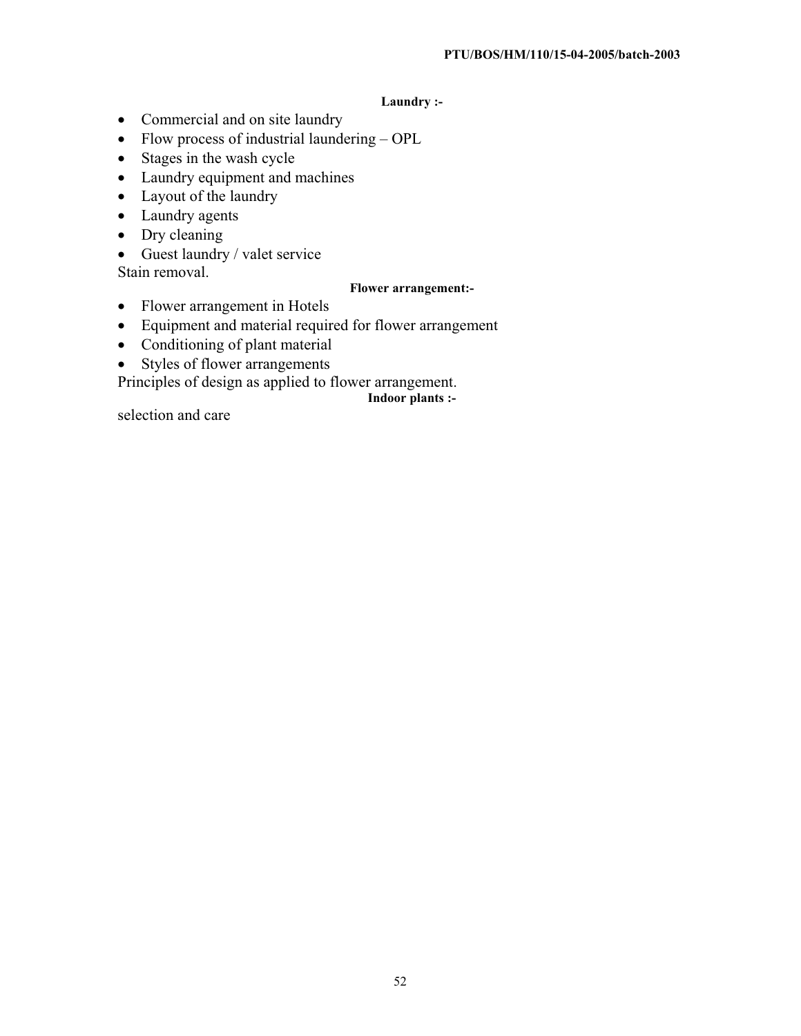#### **Laundry :-**

- Commercial and on site laundry
- $\bullet$  Flow process of industrial laundering OPL
- $\bullet$  Stages in the wash cycle
- Laundry equipment and machines
- $\bullet$  Layout of the laundry
- Laundry agents
- $\bullet$  Dry cleaning
- $\bullet$  Guest laundry / valet service

Stain removal.

#### **Flower arrangement:-**

- Flower arrangement in Hotels
- Equipment and material required for flower arrangement
- $\bullet$  Conditioning of plant material
- $\bullet$  Styles of flower arrangements
- Principles of design as applied to flower arrangement.

**Indoor plants :-**

selection and care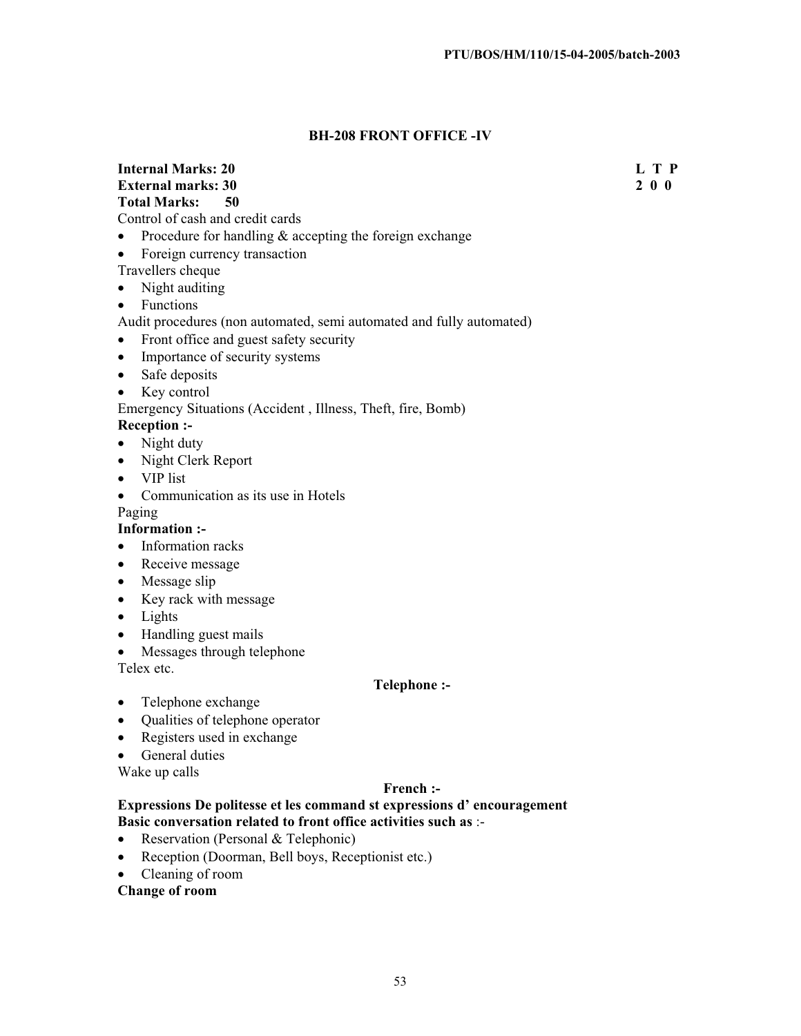#### **BH-208 FRONT OFFICE -IV**

#### **Internal Marks: 20 L T P L T P**

**External marks: 30 2 0 0 Total Marks: 50** 

Control of cash and credit cards

- Procedure for handling  $&$  accepting the foreign exchange
- Foreign currency transaction

#### Travellers cheque

- $\bullet$  Night auditing
- Functions
- Audit procedures (non automated, semi automated and fully automated)
- Front office and guest safety security
- Importance of security systems
- $\bullet$  Safe deposits
- $\bullet$  Key control

#### Emergency Situations (Accident , Illness, Theft, fire, Bomb)

**Reception :-**

- $\bullet$  Night duty
- Night Clerk Report
- $\bullet$  VIP list
- Communication as its use in Hotels

Paging

**Information :-**

- Information racks
- Receive message
- Message slip
- $\bullet$  Key rack with message
- $\bullet$  Lights
- $\bullet$  Handling guest mails
- $\bullet$  Messages through telephone

Telex etc.

#### **Telephone :-**

- Telephone exchange
- Qualities of telephone operator
- Registers used in exchange
- General duties

Wake up calls

#### **French :-**

#### **Expressions De politesse et les command st expressions d' encouragement Basic conversation related to front office activities such as** :-

- Reservation (Personal & Telephonic)
- Reception (Doorman, Bell boys, Receptionist etc.)
- Cleaning of room

#### **Change of room**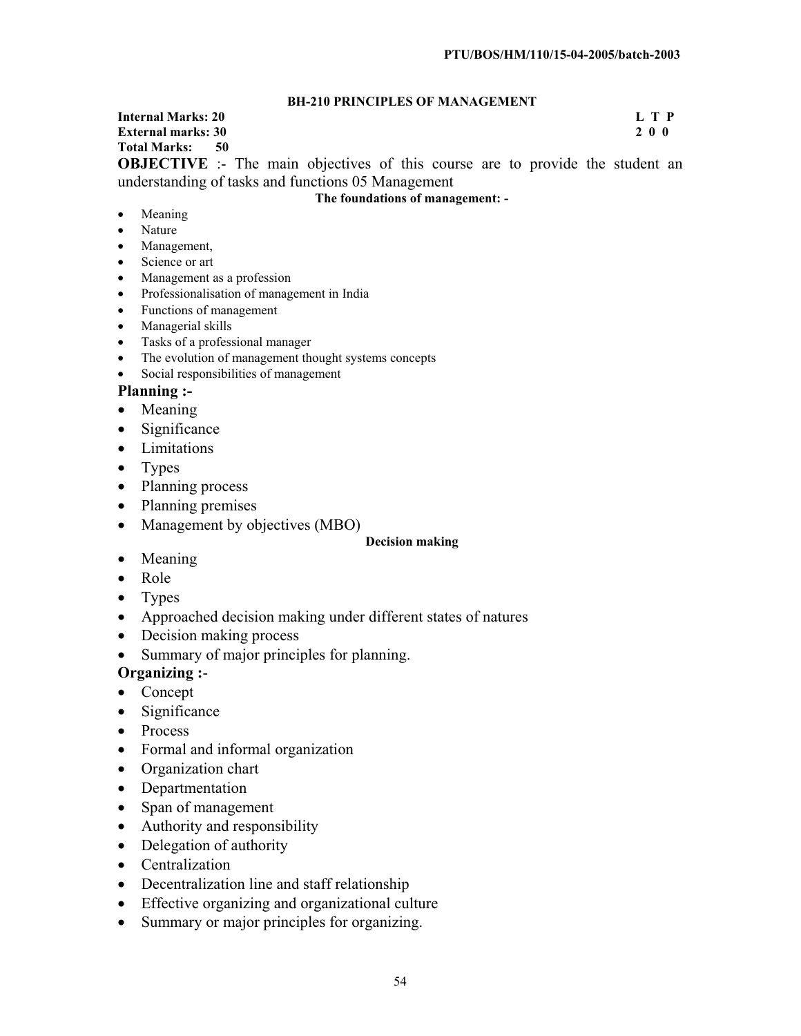#### **BH-210 PRINCIPLES OF MANAGEMENT**

**Internal Marks: 20 L T P External marks: 30 Total Marks: 50 OBJECTIVE** :- The main objectives of this course are to provide the student an

understanding of tasks and functions 05 Management

#### **The foundations of management: -**

- $\bullet$  Meaning
- Nature
- Management,
- Science or art
- Management as a profession
- Professionalisation of management in India
- $\bullet$  Functions of management
- Managerial skills
- Tasks of a professional manager
- The evolution of management thought systems concepts
- Social responsibilities of management

#### **Planning :-**

- $\bullet$  Meaning
- $\bullet$  Significance
- Limitations
- $\bullet$  Types
- Planning process
- Planning premises
- Management by objectives (MBO)

#### **Decision making**

- $\bullet$  Meaning
- Role
- $\bullet$  Types
- Approached decision making under different states of natures
- $\bullet$  Decision making process
- Summary of major principles for planning.

## **Organizing :**-

- $\bullet$  Concept
- $\bullet$  Significance
- $\bullet$  Process
- Formal and informal organization
- Organization chart
- Departmentation
- Span of management
- Authority and responsibility
- $\bullet$  Delegation of authority
- Centralization
- Decentralization line and staff relationship
- Effective organizing and organizational culture
- Summary or major principles for organizing.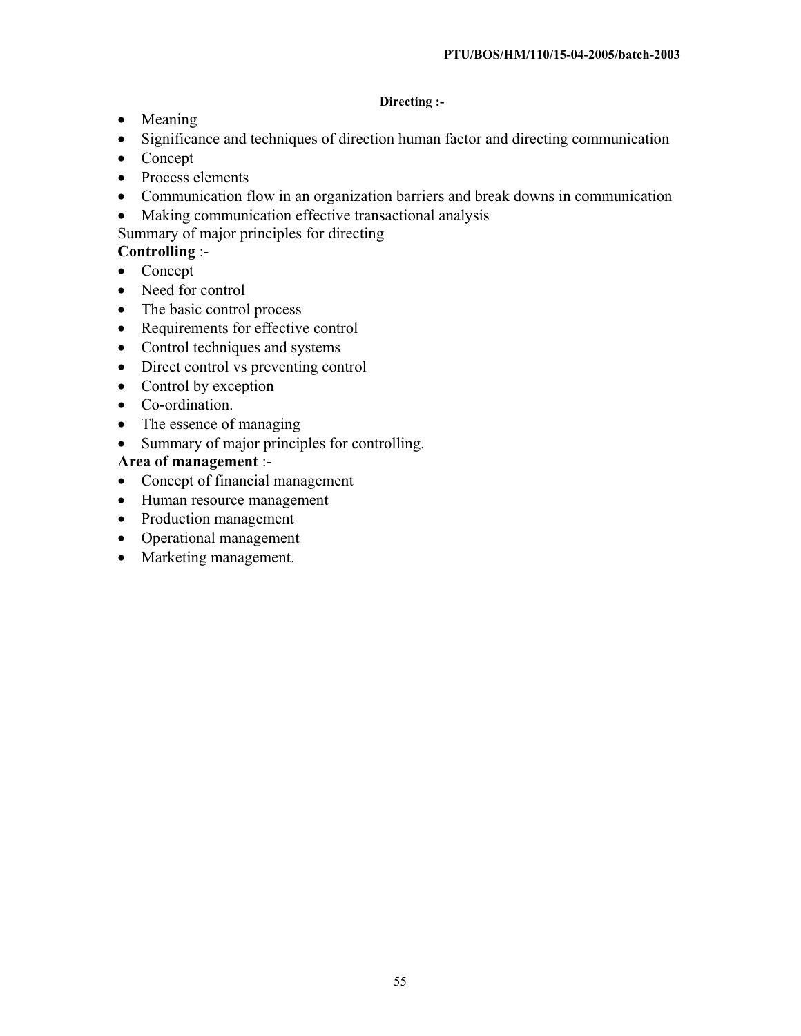#### **Directing :-**

- Meaning
- Significance and techniques of direction human factor and directing communication
- $\bullet$  Concept
- Process elements
- Communication flow in an organization barriers and break downs in communication
- Making communication effective transactional analysis
- Summary of major principles for directing

## **Controlling** :-

- $\bullet$  Concept
- Need for control
- The basic control process
- Requirements for effective control
- Control techniques and systems
- Direct control vs preventing control
- $\bullet$  Control by exception
- Co-ordination.
- $\bullet$  The essence of managing
- Summary of major principles for controlling.

## **Area of management** :-

- Concept of financial management
- Human resource management
- Production management
- Operational management
- Marketing management.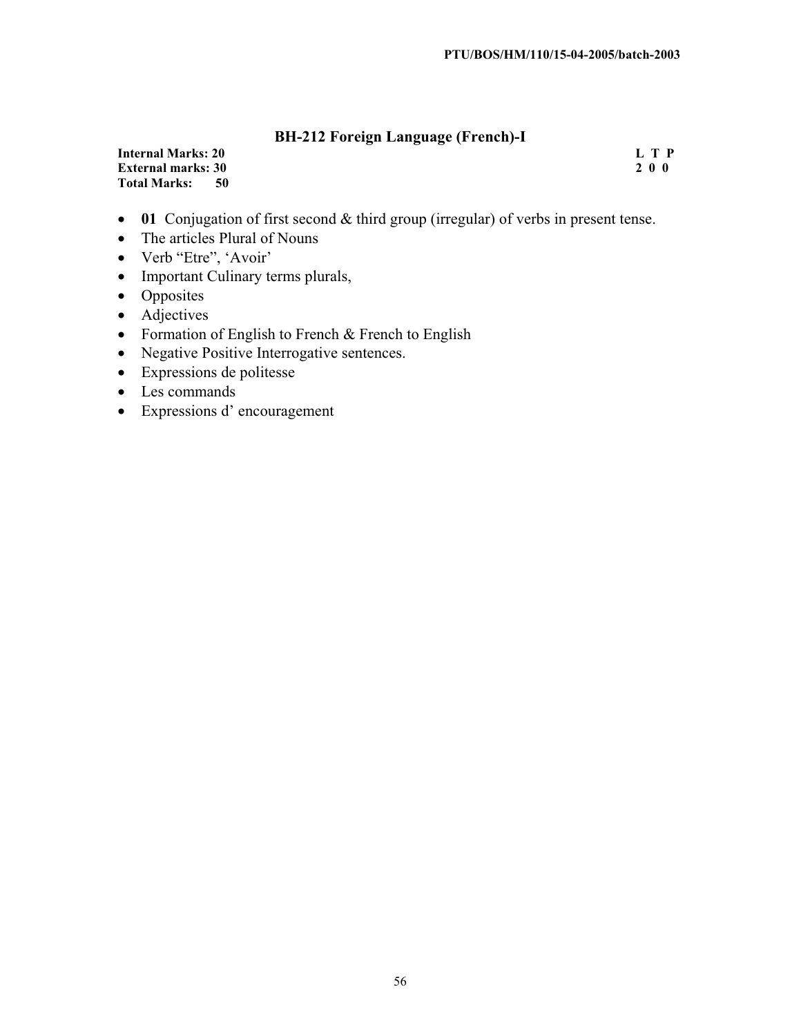## **BH-212 Foreign Language (French)-I**

| <b>Internal Marks: 20</b>   | L T P |
|-----------------------------|-------|
| <b>External marks: 30</b>   | 200   |
| <b>Total Marks:</b><br>- 50 |       |

- 01 Conjugation of first second & third group (irregular) of verbs in present tense.
- The articles Plural of Nouns
- Verb "Etre", 'Avoir'
- Important Culinary terms plurals,
- Opposites
- Adjectives
- Formation of English to French  $&$  French to English
- Negative Positive Interrogative sentences.
- $\bullet$  Expressions de politesse
- Les commands
- Expressions d'encouragement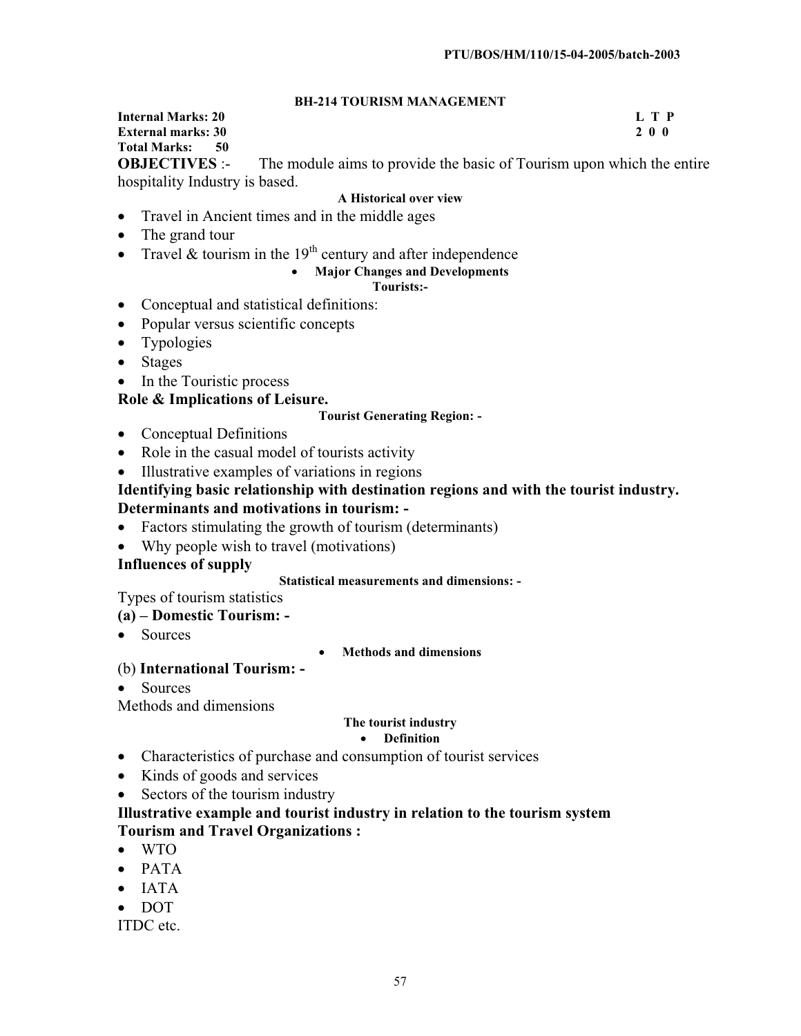#### **BH-214 TOURISM MANAGEMENT**

#### **Internal Marks: 20 L T P External marks: 30 Total Marks: 50**

**OBJECTIVES** :- The module aims to provide the basic of Tourism upon which the entire hospitality Industry is based.

#### **A Historical over view**

- Travel in Ancient times and in the middle ages
- The grand tour
- Travel & tourism in the  $19<sup>th</sup>$  century and after independence

#### x **Major Changes and Developments**

#### **Tourists:-**

- Conceptual and statistical definitions:
- Popular versus scientific concepts
- Typologies
- $\bullet$  Stages
- In the Touristic process

## **Role & Implications of Leisure.**

#### **Tourist Generating Region: -**

- Conceptual Definitions
- Role in the casual model of tourists activity
- Illustrative examples of variations in regions

#### **Identifying basic relationship with destination regions and with the tourist industry. Determinants and motivations in tourism: -**

- $\bullet$  Factors stimulating the growth of tourism (determinants)
- Why people wish to travel (motivations)

#### **Influences of supply**

#### **Statistical measurements and dimensions: -**

Types of tourism statistics

#### **(a) – Domestic Tourism: -**

• Sources

x **Methods and dimensions**

## (b) **International Tourism: -**

 $\bullet$  Sources

Methods and dimensions

#### **The tourist industry**

#### **• Definition**

- Characteristics of purchase and consumption of tourist services
- $\bullet$  Kinds of goods and services
- $\bullet$  Sectors of the tourism industry

## **Illustrative example and tourist industry in relation to the tourism system Tourism and Travel Organizations :**

- $\bullet$  WTO
- $\bullet$  PATA
- $\bullet$  IATA
- x DOT

ITDC etc.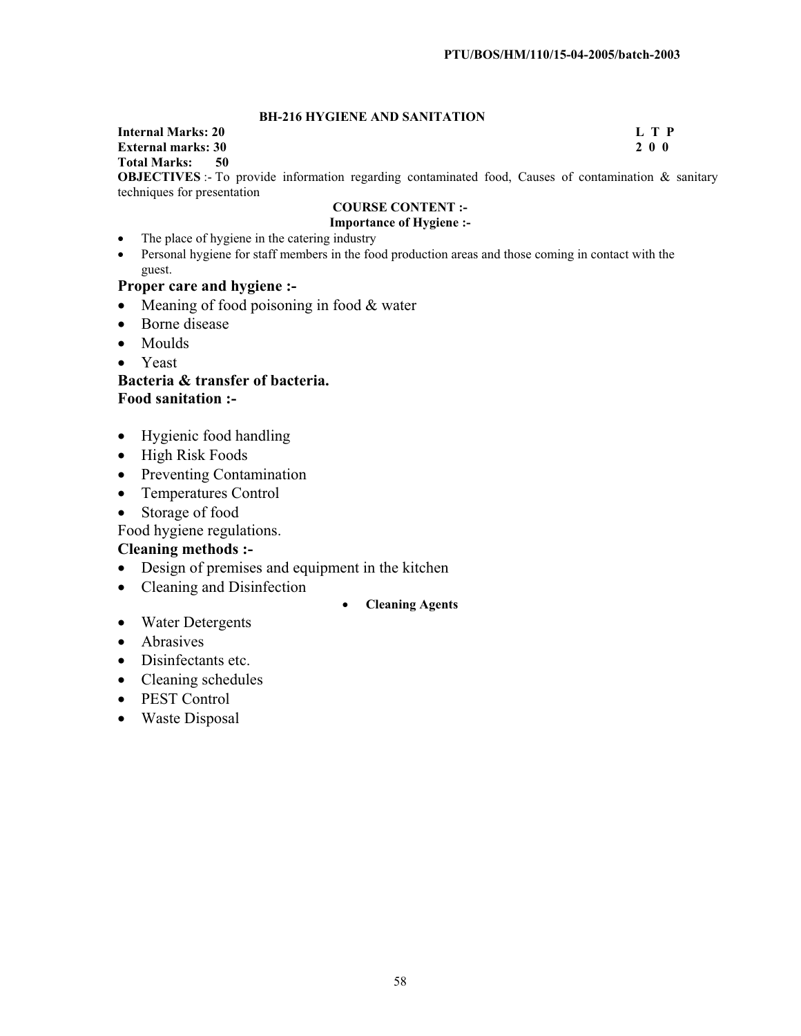#### **BH-216 HYGIENE AND SANITATION**

#### **Internal Marks: 20 L T P External marks: 30 Total Marks: 50 OBJECTIVES** :- To provide information regarding contaminated food, Causes of contamination & sanitary

techniques for presentation

#### **COURSE CONTENT :- Importance of Hygiene :-**

- The place of hygiene in the catering industry
- Personal hygiene for staff members in the food production areas and those coming in contact with the guest.

#### **Proper care and hygiene :-**

- $\bullet$  Meaning of food poisoning in food & water
- Borne disease
- $\bullet$  Moulds
- $\bullet$  Yeast

**Bacteria & transfer of bacteria. Food sanitation :-** 

- Hygienic food handling
- High Risk Foods
- Preventing Contamination
- Temperatures Control
- Storage of food

Food hygiene regulations.

#### **Cleaning methods :-**

- Design of premises and equipment in the kitchen
- Cleaning and Disinfection
	- x **Cleaning Agents**
- Water Detergents
- Abrasives
- Disinfectants etc.
- $\bullet$  Cleaning schedules
- PEST Control
- Waste Disposal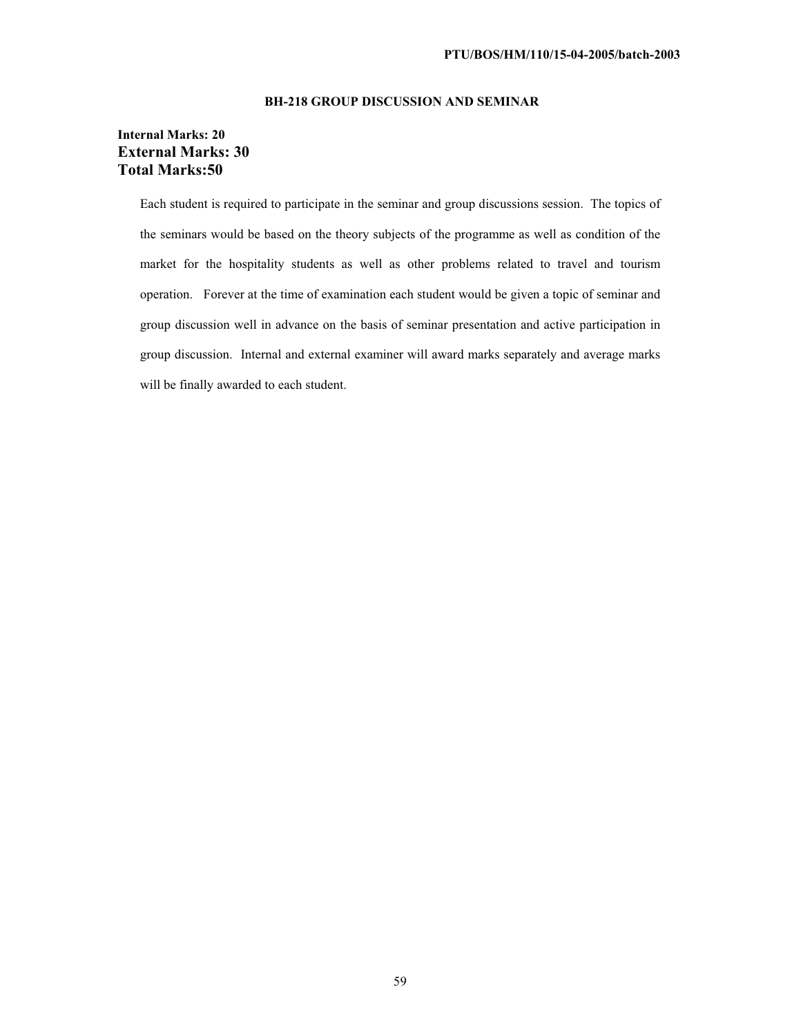#### **BH-218 GROUP DISCUSSION AND SEMINAR**

#### **Internal Marks: 20 External Marks: 30 Total Marks:50**

Each student is required to participate in the seminar and group discussions session. The topics of the seminars would be based on the theory subjects of the programme as well as condition of the market for the hospitality students as well as other problems related to travel and tourism operation. Forever at the time of examination each student would be given a topic of seminar and group discussion well in advance on the basis of seminar presentation and active participation in group discussion. Internal and external examiner will award marks separately and average marks will be finally awarded to each student.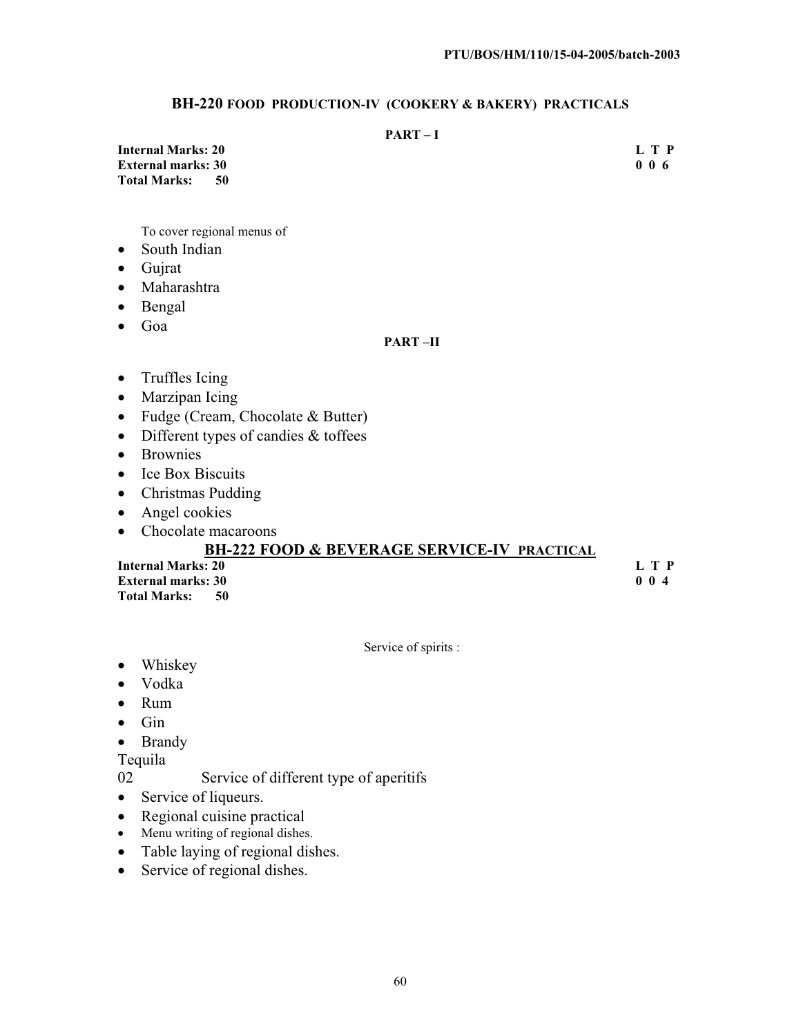#### **BH-220 FOOD PRODUCTION-IV (COOKERY & BAKERY) PRACTICALS**

#### **PART – I**

**Internal Marks: 20 L T P External marks: 30 Total Marks: 50** 

To cover regional menus of

- South Indian
- $\bullet$  Gujrat
- Maharashtra
- $\bullet$  Bengal
- $\bullet$  Goa

#### **PART –II**

- $\bullet$  Truffles Icing
- $•$  Marzipan Icing
- $\bullet$  Fudge (Cream, Chocolate & Butter)
- $\bullet$  Different types of candies & toffees
- Brownies
- $\bullet$  Ice Box Biscuits
- Christmas Pudding
- $\bullet$  Angel cookies
- Chocolate macaroons

## **BH-222 FOOD & BEVERAGE SERVICE-IV PRACTICAL**

**Internal Marks: 20 L T P External marks: 30** 0 0 4 **Total Marks: 50** 

Service of spirits :

- Whiskey
- Vodka
- $\bullet$  Rum
- $\bullet$  Gin
- Brandy

Tequila

- 02 Service of different type of aperitifs
- Service of liqueurs.
- $\bullet$  Regional cuisine practical
- Menu writing of regional dishes.
- Table laying of regional dishes.
- Service of regional dishes.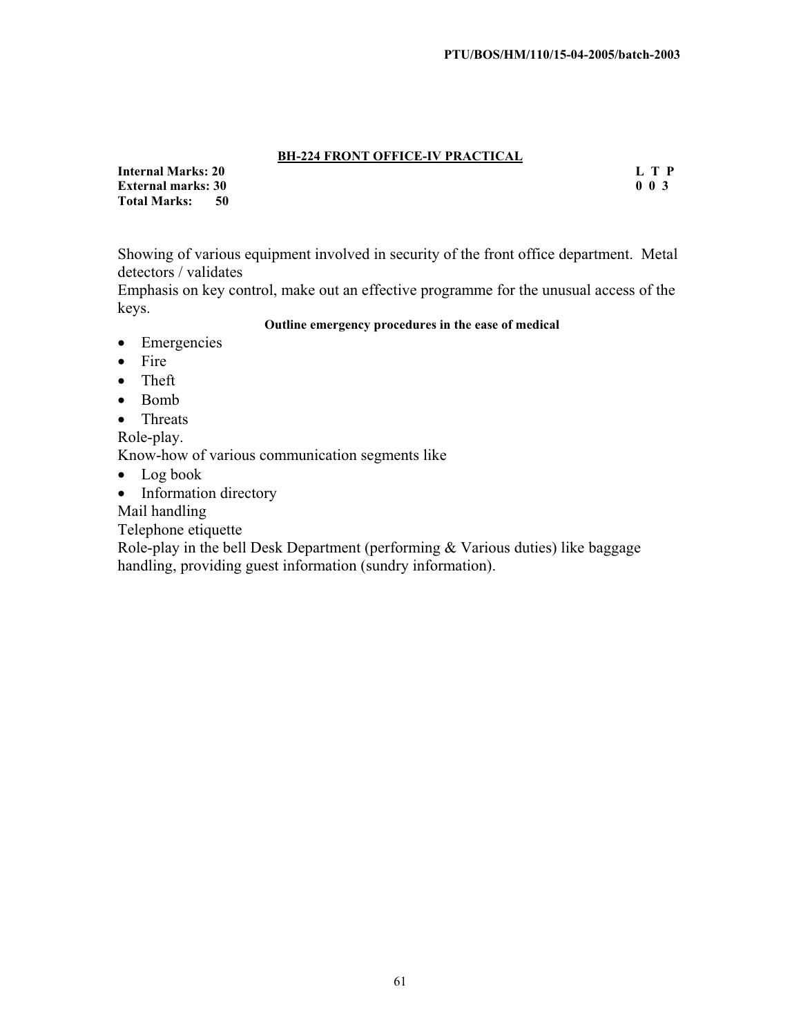#### **BH-224 FRONT OFFICE-IV PRACTICAL**

**Internal Marks: 20** L T P<br> **External marks: 30** 0 0 3 **External marks: 30<br>Total Marks: 50 Total Marks:** 

Showing of various equipment involved in security of the front office department. Metal detectors / validates

Emphasis on key control, make out an effective programme for the unusual access of the keys.

#### **Outline emergency procedures in the ease of medical**

- Emergencies
- $\bullet$  Fire
- $\bullet$  Theft
- $\bullet$  Bomb
- $\bullet$  Threats

Role-play.

Know-how of various communication segments like

- $\bullet$  Log book
- Information directory

Mail handling

Telephone etiquette

Role-play in the bell Desk Department (performing & Various duties) like baggage handling, providing guest information (sundry information).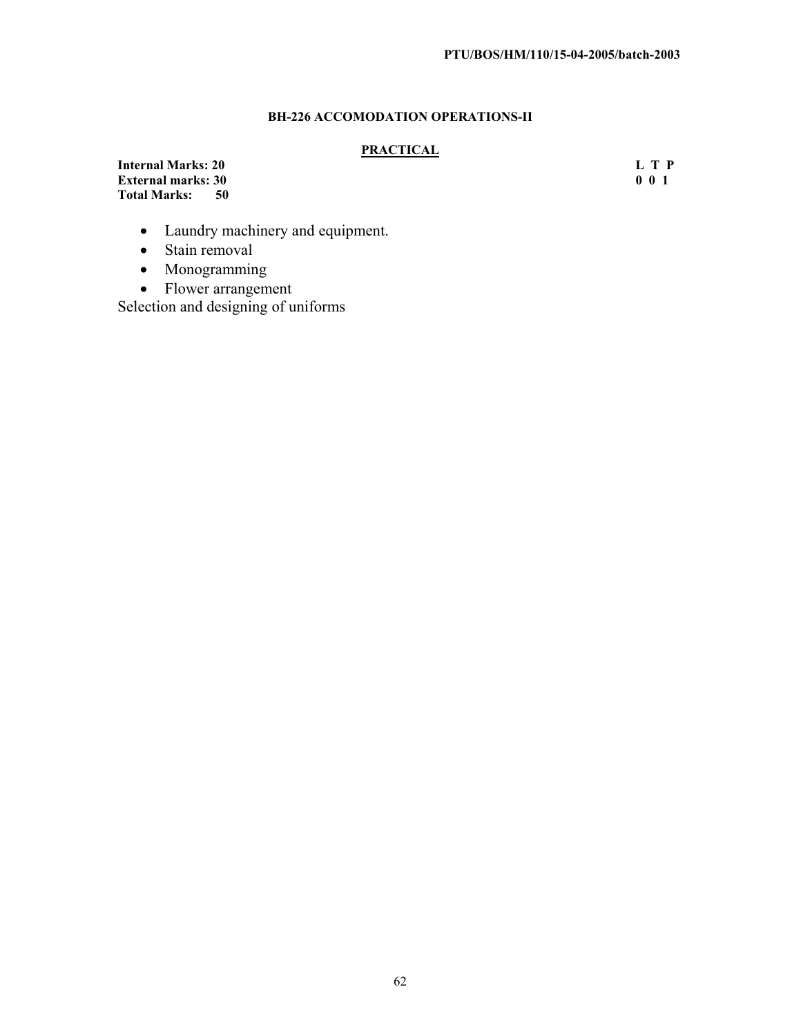## **BH-226 ACCOMODATION OPERATIONS-II**

#### **PRACTICAL**

**Internal Marks: 20** L T P<br> **External marks: 30** 0 0 1 **External marks: 30<br>Total Marks: 50 Total Marks:** 

- Laundry machinery and equipment.
- $\bullet$  Stain removal
- Monogramming
- $\bullet$  Flower arrangement

Selection and designing of uniforms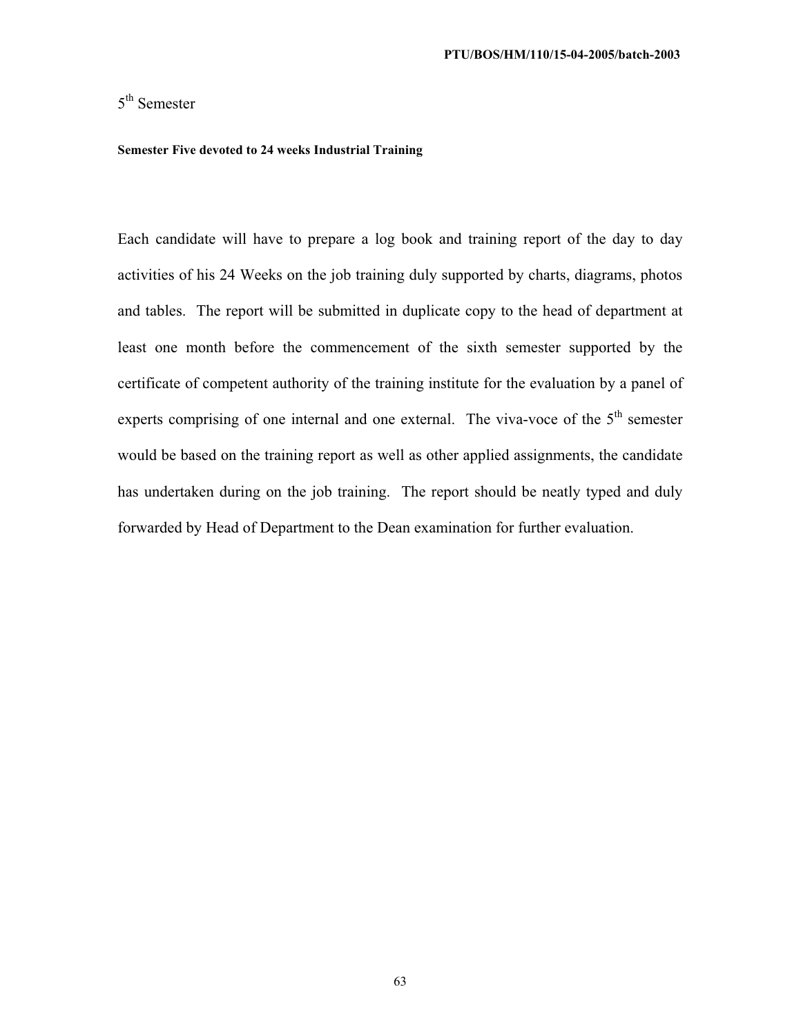## 5<sup>th</sup> Semester

#### **Semester Five devoted to 24 weeks Industrial Training**

Each candidate will have to prepare a log book and training report of the day to day activities of his 24 Weeks on the job training duly supported by charts, diagrams, photos and tables. The report will be submitted in duplicate copy to the head of department at least one month before the commencement of the sixth semester supported by the certificate of competent authority of the training institute for the evaluation by a panel of experts comprising of one internal and one external. The viva-voce of the  $5<sup>th</sup>$  semester would be based on the training report as well as other applied assignments, the candidate has undertaken during on the job training. The report should be neatly typed and duly forwarded by Head of Department to the Dean examination for further evaluation.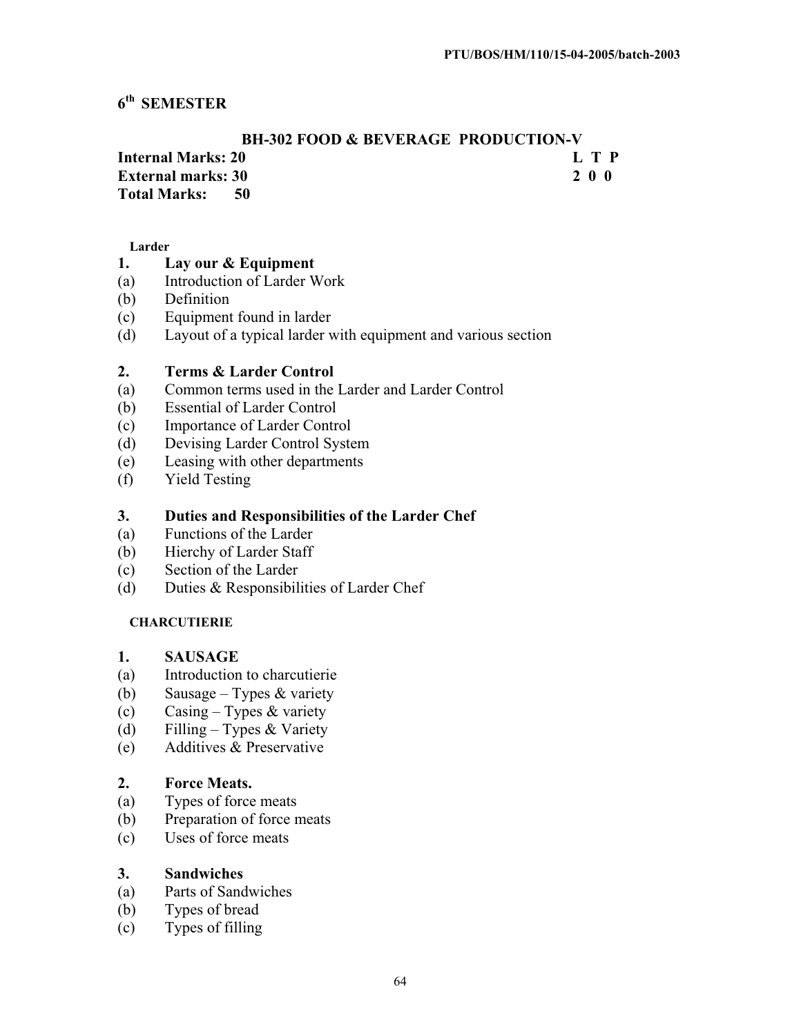## **6th SEMESTER**

## **BH-302 FOOD & BEVERAGE PRODUCTION-V Internal Marks: 20 L T P**

**External marks: 30 2 0 0** 

## **Total Marks: 50**

#### **Larder**

## **1. Lay our & Equipment**

- (a) Introduction of Larder Work
- (b) Definition
- (c) Equipment found in larder
- (d) Layout of a typical larder with equipment and various section

## **2. Terms & Larder Control**

- (a) Common terms used in the Larder and Larder Control
- (b) Essential of Larder Control
- (c) Importance of Larder Control
- (d) Devising Larder Control System
- (e) Leasing with other departments
- (f) Yield Testing

## **3. Duties and Responsibilities of the Larder Chef**

- (a) Functions of the Larder
- (b) Hierchy of Larder Staff
- (c) Section of the Larder
- (d) Duties & Responsibilities of Larder Chef

## **CHARCUTIERIE**

#### **1. SAUSAGE**

- (a) Introduction to charcutierie
- (b) Sausage Types & variety
- (c) Casing Types & variety
- (d) Filling Types & Variety
- (e) Additives & Preservative

## **2. Force Meats.**

- (a) Types of force meats
- (b) Preparation of force meats
- (c) Uses of force meats

## **3. Sandwiches**

- (a) Parts of Sandwiches
- (b) Types of bread
- (c) Types of filling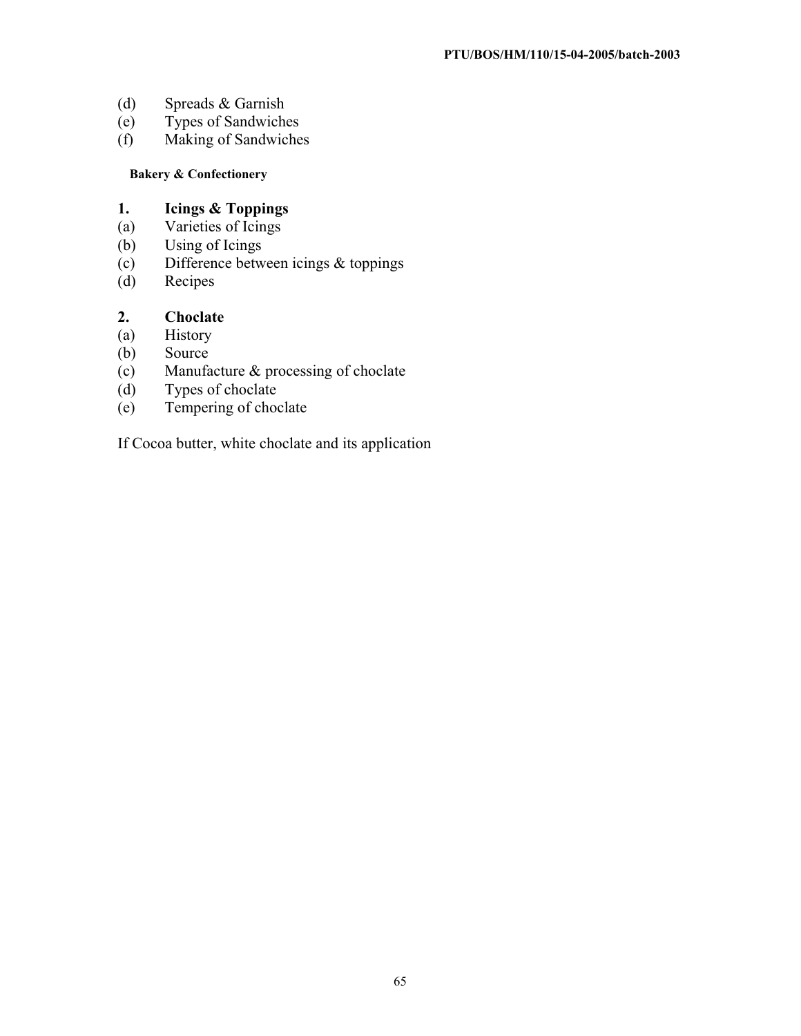- (d) Spreads & Garnish
- (e) Types of Sandwiches
- (f) Making of Sandwiches

## **Bakery & Confectionery**

# **1. Icings & Toppings**

- (a) Varieties of Icings<br>(b) Using of Icings
- Using of Icings
- (c) Difference between icings & toppings
- (d) Recipes

## **2. Choclate**

- (a) History
- (b) Source
- (c) Manufacture & processing of choclate<br>
(d) Types of choclate
- (d) Types of choclate<br>(e) Tempering of choc
- Tempering of choclate

If Cocoa butter, white choclate and its application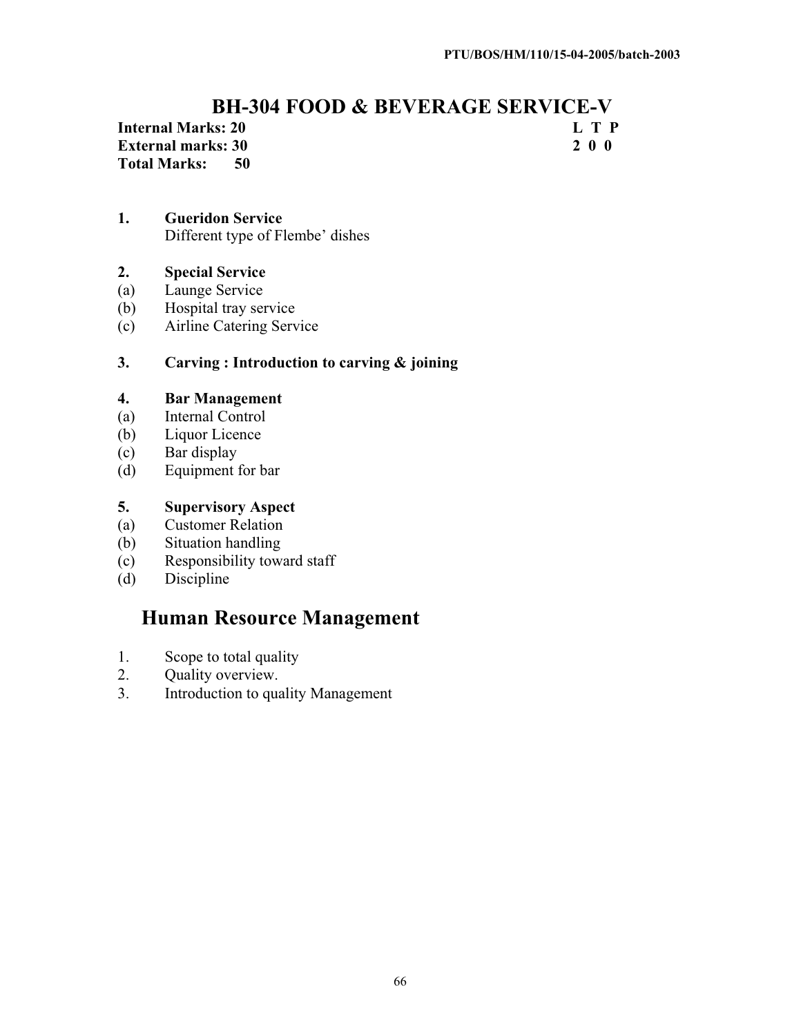# **BH-304 FOOD & BEVERAGE SERVICE-V<br>
E T P**

**Internal Marks: 20 L T P**<br> **External marks: 30 2 0 0 External marks: 30 Total Marks: 50** 

## **1. Gueridon Service** Different type of Flembe' dishes

**2. Special Service**

- (a) Launge Service
- (b) Hospital tray service
- (c) Airline Catering Service

## **3. Carving : Introduction to carving & joining**

## **4. Bar Management**

- (a) Internal Control
- (b) Liquor Licence
- (c) Bar display
- (d) Equipment for bar

## **5. Supervisory Aspect**

- (a) Customer Relation
- (b) Situation handling
- (c) Responsibility toward staff
- (d) Discipline

# **Human Resource Management**

- 1. Scope to total quality
- 2. Quality overview.
- 3. Introduction to quality Management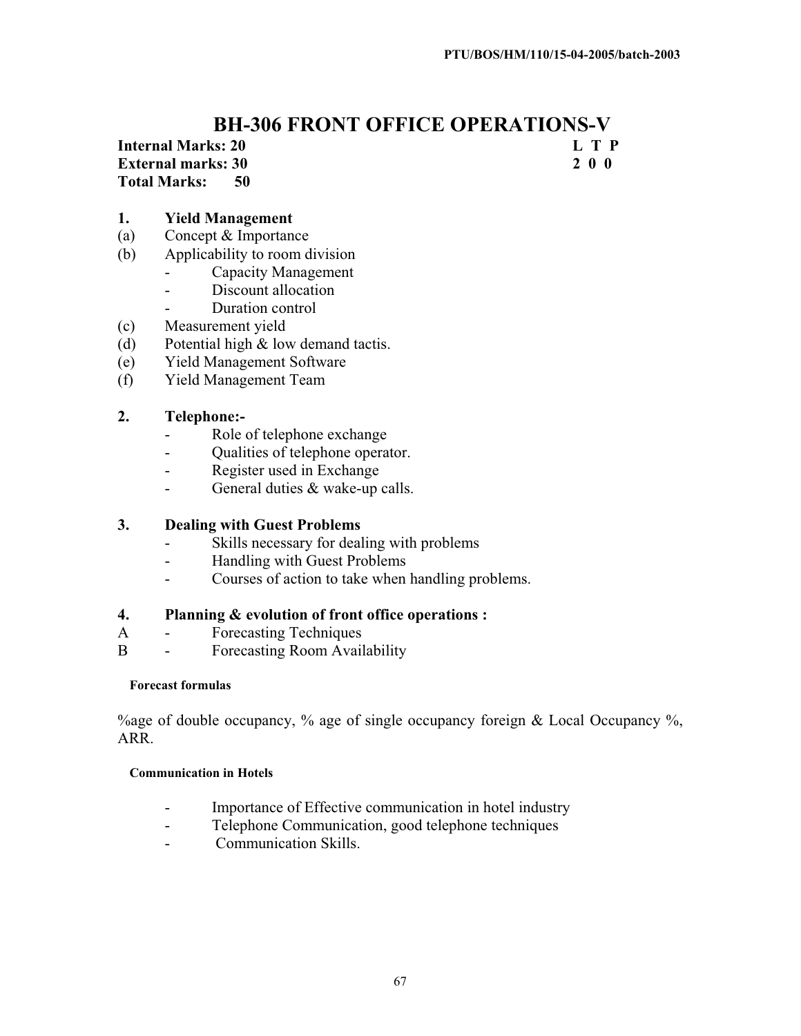## **BH-306 FRONT OFFICE OPERATIONS-V**

**Internal Marks: 20 L T P** 

**Total Marks: 50** 

**External marks: 30 2 0 0** 

# **1. Yield Management**

- (a) Concept & Importance
- (b) Applicability to room division
	- Capacity Management
	- Discount allocation
	- Duration control
- (c) Measurement yield
- (d) Potential high & low demand tactis.
- (e) Yield Management Software
- (f) Yield Management Team

## **2. Telephone:-**

- Role of telephone exchange
- Qualities of telephone operator.
- Register used in Exchange
- General duties & wake-up calls.

## **3. Dealing with Guest Problems**

- Skills necessary for dealing with problems
- Handling with Guest Problems
- Courses of action to take when handling problems.

## **4. Planning & evolution of front office operations :**

- A Forecasting Techniques
- B Forecasting Room Availability

## **Forecast formulas**

% age of double occupancy, % age of single occupancy foreign & Local Occupancy %. ARR.

## **Communication in Hotels**

- Importance of Effective communication in hotel industry
- Telephone Communication, good telephone techniques
- Communication Skills.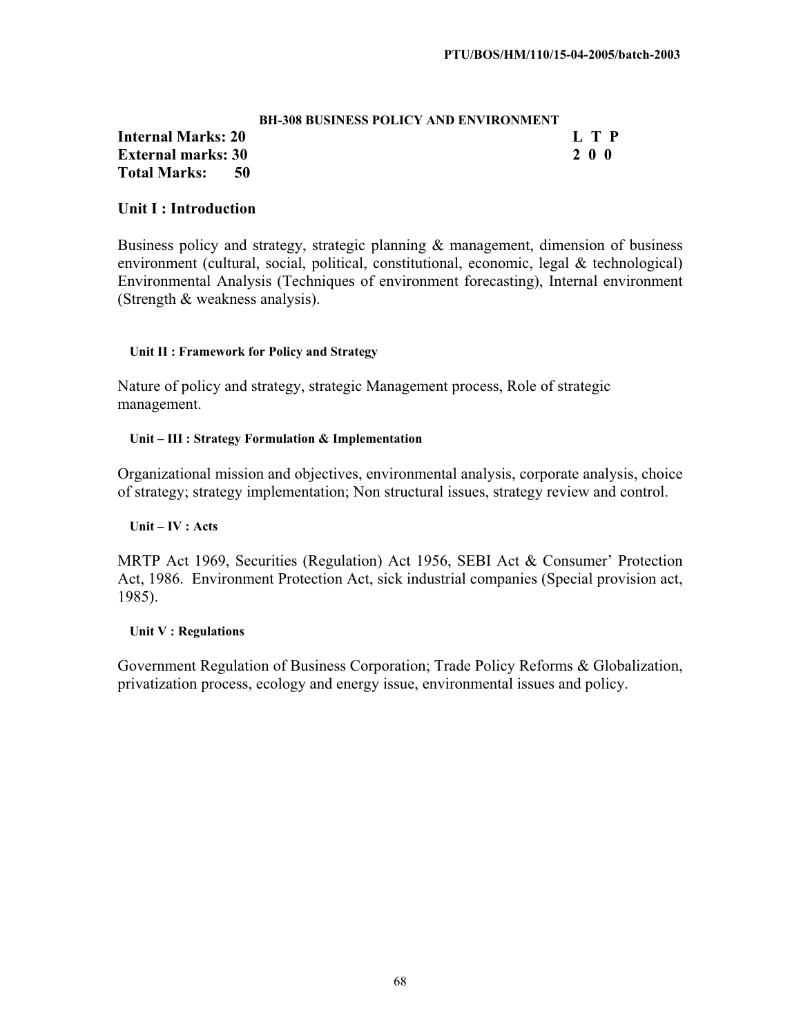|                    |      | <b>BH-308 BUSINESS POLICY AND ENVIRONMENT</b> |       |  |  |
|--------------------|------|-----------------------------------------------|-------|--|--|
| Internal Marks: 20 |      |                                               | L T P |  |  |
| External marks: 30 |      |                                               | 200   |  |  |
| Total Marks:       | - 50 |                                               |       |  |  |

## **Unit I : Introduction**

Business policy and strategy, strategic planning & management, dimension of business environment (cultural, social, political, constitutional, economic, legal & technological) Environmental Analysis (Techniques of environment forecasting), Internal environment (Strength & weakness analysis).

#### **Unit II : Framework for Policy and Strategy**

Nature of policy and strategy, strategic Management process, Role of strategic management.

#### **Unit – III : Strategy Formulation & Implementation**

Organizational mission and objectives, environmental analysis, corporate analysis, choice of strategy; strategy implementation; Non structural issues, strategy review and control.

#### **Unit – IV : Acts**

MRTP Act 1969, Securities (Regulation) Act 1956, SEBI Act & Consumer' Protection Act, 1986. Environment Protection Act, sick industrial companies (Special provision act, 1985).

#### **Unit V : Regulations**

Government Regulation of Business Corporation; Trade Policy Reforms & Globalization, privatization process, ecology and energy issue, environmental issues and policy.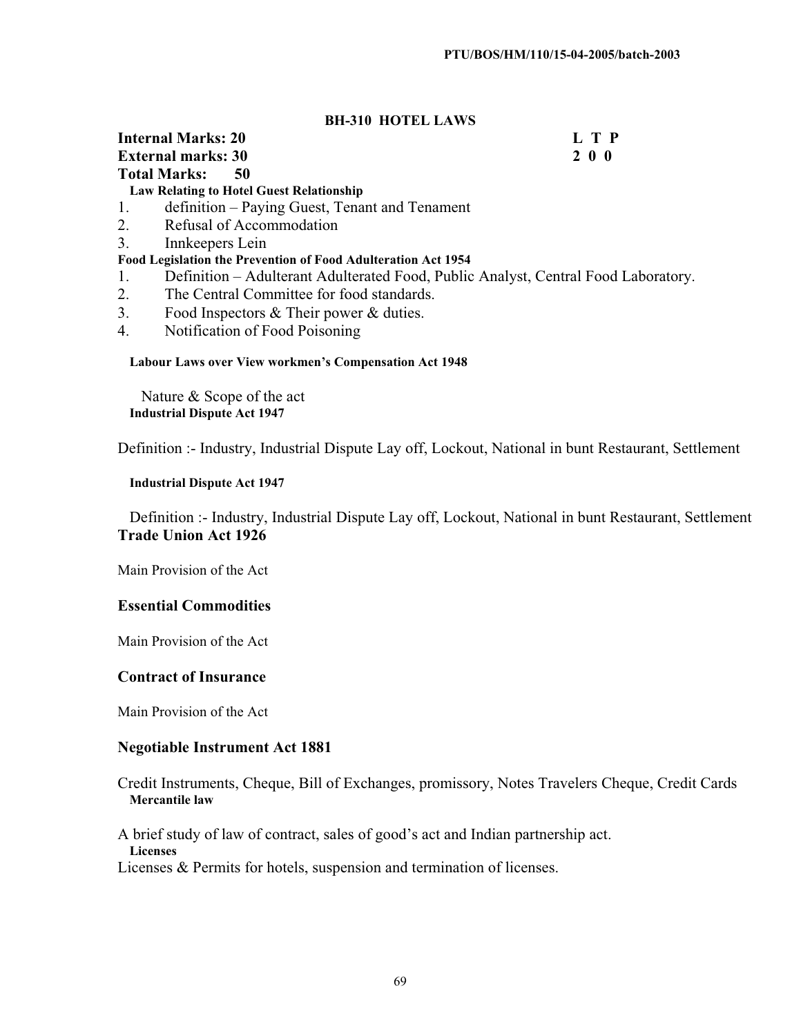#### **BH-310 HOTEL LAWS**

#### **Internal Marks: 20 L T P External marks: 30 2 0 0 Total Marks: 50**

**Law Relating to Hotel Guest Relationship**

- 1. definition Paying Guest, Tenant and Tenament
- 2. Refusal of Accommodation
- 3. Innkeepers Lein

#### **Food Legislation the Prevention of Food Adulteration Act 1954**

- 1. Definition Adulterant Adulterated Food, Public Analyst, Central Food Laboratory.
- 2. The Central Committee for food standards.
- 3. Food Inspectors & Their power & duties.
- 4. Notification of Food Poisoning

#### **Labour Laws over View workmen's Compensation Act 1948**

Nature & Scope of the act **Industrial Dispute Act 1947** 

Definition :- Industry, Industrial Dispute Lay off, Lockout, National in bunt Restaurant, Settlement

#### **Industrial Dispute Act 1947**

Definition :- Industry, Industrial Dispute Lay off, Lockout, National in bunt Restaurant, Settlement **Trade Union Act 1926** 

Main Provision of the Act

#### **Essential Commodities**

Main Provision of the Act

#### **Contract of Insurance**

Main Provision of the Act

#### **Negotiable Instrument Act 1881**

Credit Instruments, Cheque, Bill of Exchanges, promissory, Notes Travelers Cheque, Credit Cards **Mercantile law** 

A brief study of law of contract, sales of good's act and Indian partnership act. **Licenses**

Licenses & Permits for hotels, suspension and termination of licenses.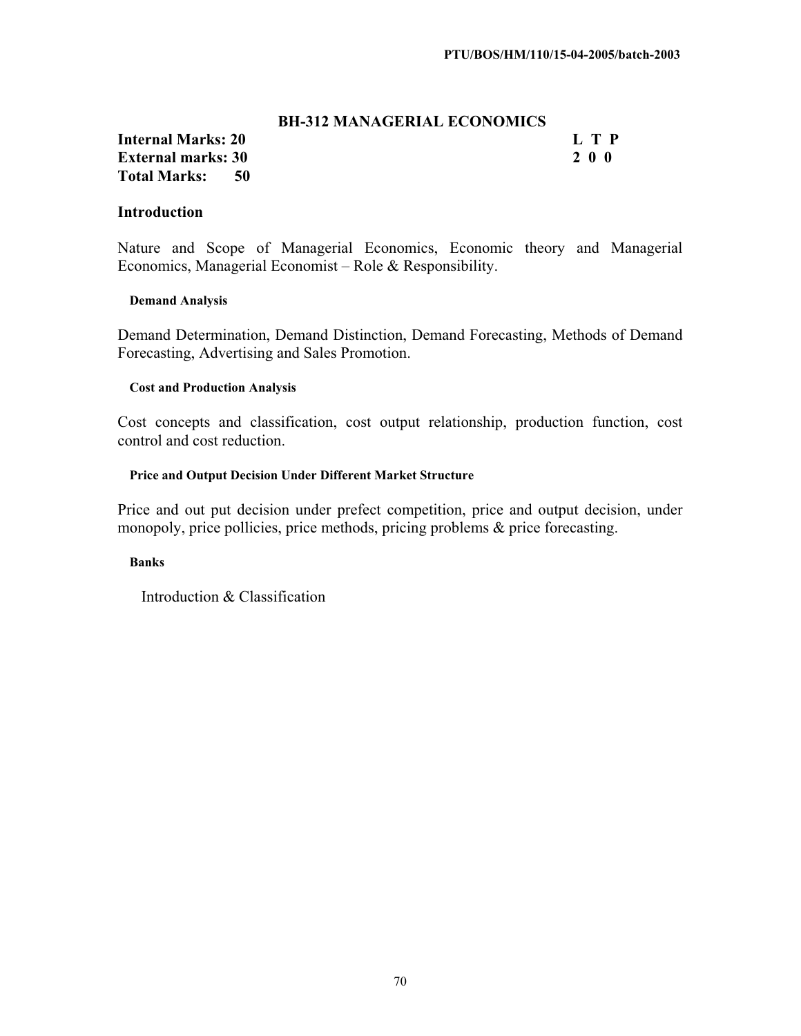#### **BH-312 MANAGERIAL ECONOMICS**

## **Internal Marks: 20 L T P L T P External marks: 30 2 0 0 Total Marks: 50**

#### **Introduction**

Nature and Scope of Managerial Economics, Economic theory and Managerial Economics, Managerial Economist – Role & Responsibility.

#### **Demand Analysis**

Demand Determination, Demand Distinction, Demand Forecasting, Methods of Demand Forecasting, Advertising and Sales Promotion.

#### **Cost and Production Analysis**

Cost concepts and classification, cost output relationship, production function, cost control and cost reduction.

#### **Price and Output Decision Under Different Market Structure**

Price and out put decision under prefect competition, price and output decision, under monopoly, price pollicies, price methods, pricing problems & price forecasting.

#### **Banks**

Introduction & Classification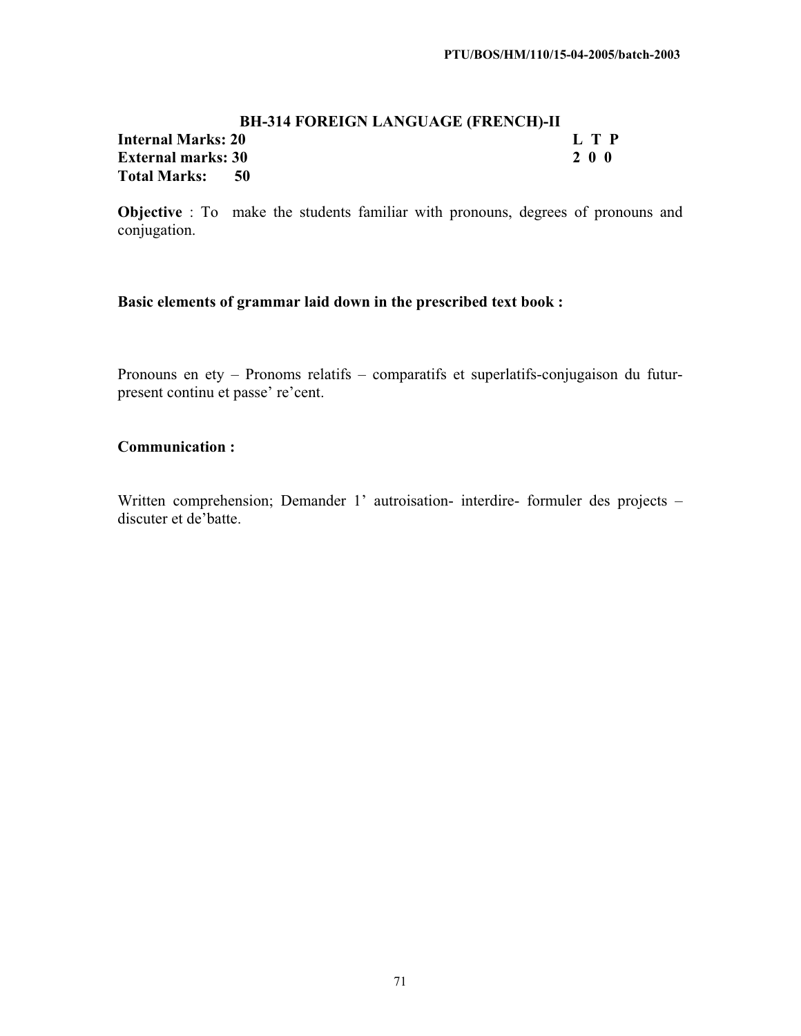## **BH-314 FOREIGN LANGUAGE (FRENCH)-II Internal Marks: 20 L T P External marks: 30 2 0 0 Total Marks: 50**

**Objective** : To make the students familiar with pronouns, degrees of pronouns and conjugation.

## **Basic elements of grammar laid down in the prescribed text book :**

Pronouns en ety – Pronoms relatifs – comparatifs et superlatifs-conjugaison du futurpresent continu et passe' re'cent.

#### **Communication :**

Written comprehension; Demander 1' autroisation- interdire- formuler des projects – discuter et de'batte.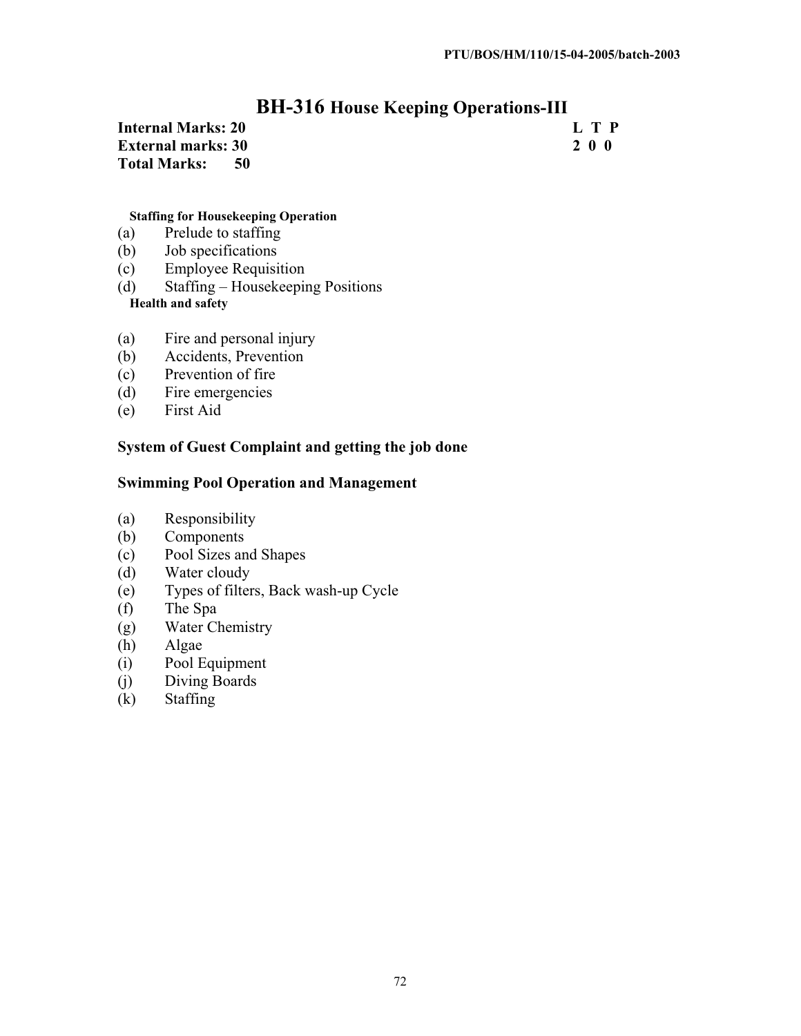## **BH-316 House Keeping Operations-III**

| <b>Internal Marks: 20</b> |  | L T P |
|---------------------------|--|-------|
| <b>External marks: 30</b> |  | 200   |
| Total Marks: 50           |  |       |

#### **Staffing for Housekeeping Operation**

- (a) Prelude to staffing
- (b) Job specifications
- (c) Employee Requisition
- (d) Staffing Housekeeping Positions

## **Health and safety**

- (a) Fire and personal injury
- (b) Accidents, Prevention
- (c) Prevention of fire
- (d) Fire emergencies
- (e) First Aid

## **System of Guest Complaint and getting the job done**

## **Swimming Pool Operation and Management**

- (a) Responsibility
- (b) Components
- (c) Pool Sizes and Shapes
- (d) Water cloudy
- (e) Types of filters, Back wash-up Cycle
- (f) The Spa
- (g) Water Chemistry
- (h) Algae
- (i) Pool Equipment
- (j) Diving Boards
- (k) Staffing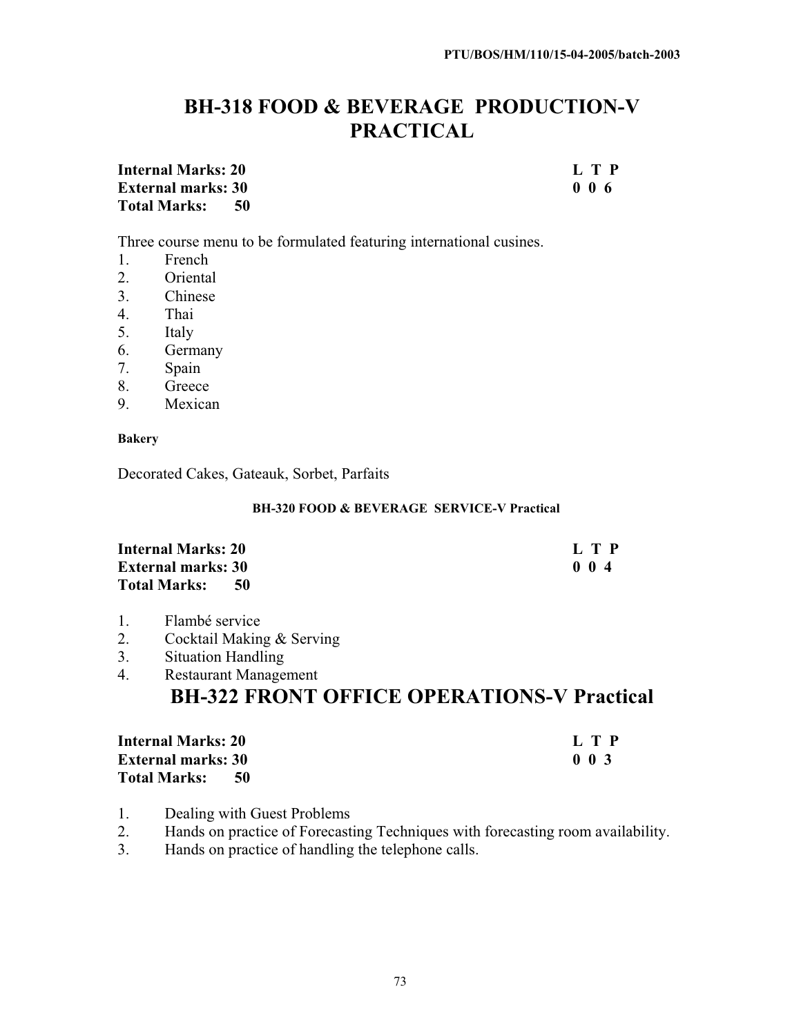# **BH-318 FOOD & BEVERAGE PRODUCTION-V PRACTICAL**

**Internal Marks: 20 L T P**<br>**External marks: 30 D 0 6 D 0 6 0 6 0 6 External marks: 30 Total Marks: 50** 

Three course menu to be formulated featuring international cusines.

- 1. French
- 2. Oriental
- 3. Chinese
- 4. Thai
- 5. Italy
- 6. Germany
- 7. Spain
- 8. Greece
- 9. Mexican

#### **Bakery**

Decorated Cakes, Gateauk, Sorbet, Parfaits

#### **BH-320 FOOD & BEVERAGE SERVICE-V Practical**

| <b>Internal Marks: 20</b>     | L T P            |
|-------------------------------|------------------|
| <b>External marks: 30</b>     | 0 <sub>0</sub> 4 |
| <b>Total Marks:</b><br>- 50 - |                  |

- 1. Flambé service
- 2. Cocktail Making & Serving
- 3. Situation Handling

### 4. Restaurant Management **BH-322 FRONT OFFICE OPERATIONS-V Practical**

| <b>Internal Marks: 20</b>   | L T P                      |
|-----------------------------|----------------------------|
| <b>External marks: 30</b>   | 0 <sub>0<sub>3</sub></sub> |
| <b>Total Marks:</b><br>- 50 |                            |

- 1. Dealing with Guest Problems
- 2. Hands on practice of Forecasting Techniques with forecasting room availability.
- 3. Hands on practice of handling the telephone calls.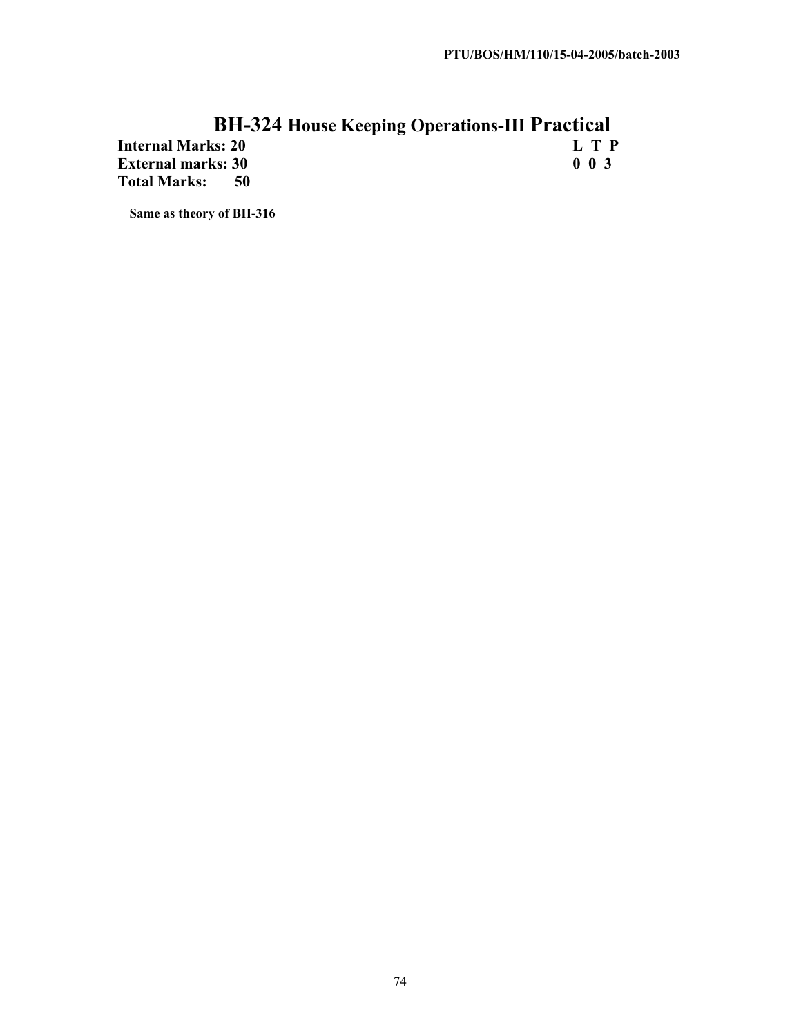# **BH-324 House Keeping Operations-III Practical**

**Internal Marks: 20 L T P External marks: 30<br>Total Marks: 50 Total Marks:** 

**Same as theory of BH-316**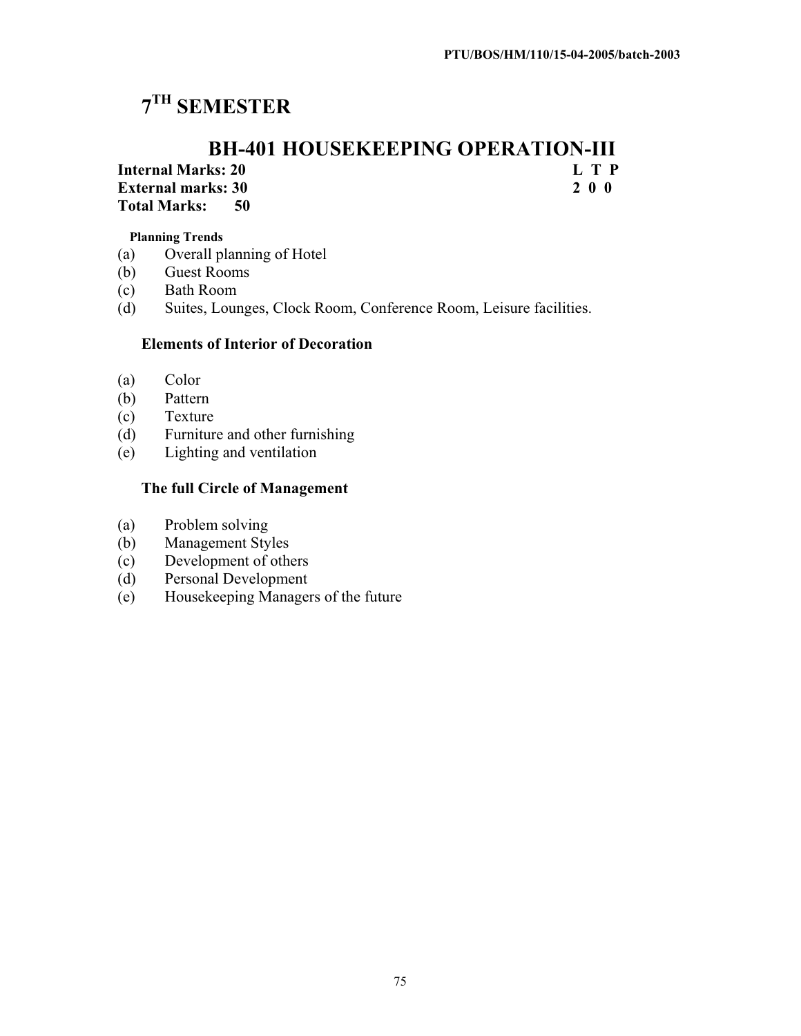# **7TH SEMESTER**

# **BH-401 HOUSEKEEPING OPERATION-III**<br>ks: 20<br>L T P

**Internal Marks: 20 L T P External marks: 30 Total Marks: 50** 

**Planning Trends** 

- (a) Overall planning of Hotel
- (b) Guest Rooms
- (c) Bath Room
- (d) Suites, Lounges, Clock Room, Conference Room, Leisure facilities.

#### **Elements of Interior of Decoration**

- (a) Color
- (b) Pattern
- (c) Texture
- (d) Furniture and other furnishing
- (e) Lighting and ventilation

#### **The full Circle of Management**

- (a) Problem solving
- (b) Management Styles
- (c) Development of others
- (d) Personal Development
- (e) Housekeeping Managers of the future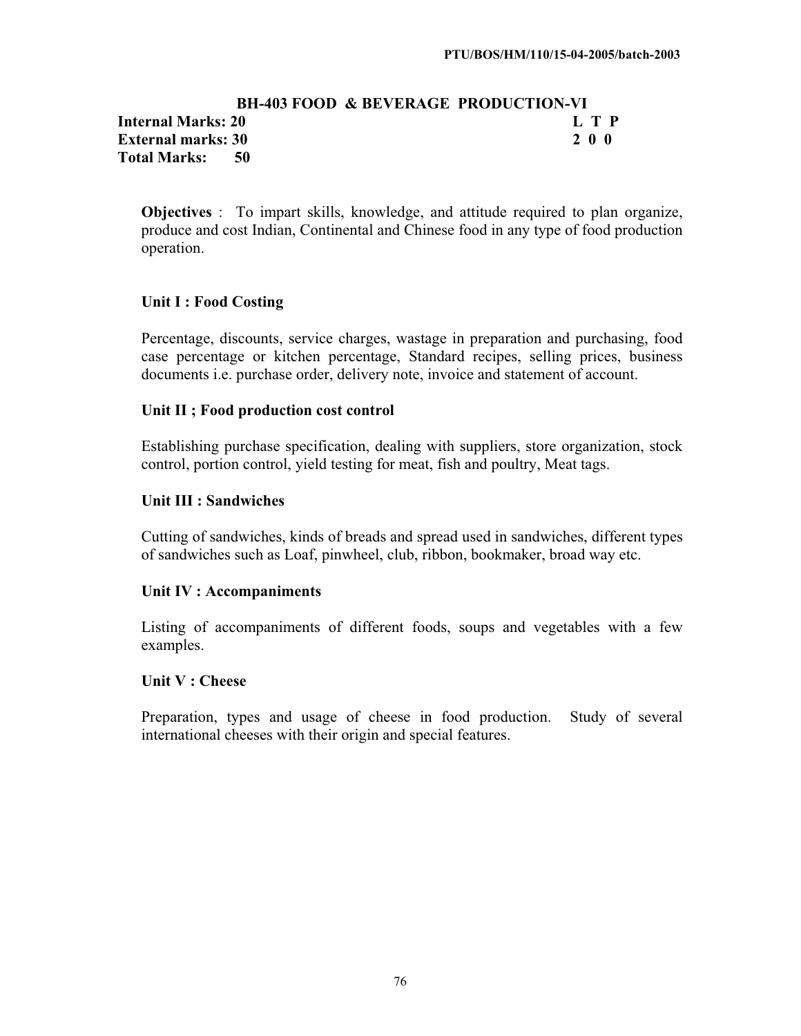#### **BH-403 FOOD & BEVERAGE PRODUCTION-VI Internal Marks: 20 L T P I External marks: 30 2 0 0 Total Marks: 50**

**Objectives** : To impart skills, knowledge, and attitude required to plan organize, produce and cost Indian, Continental and Chinese food in any type of food production operation.

#### **Unit I : Food Costing**

Percentage, discounts, service charges, wastage in preparation and purchasing, food case percentage or kitchen percentage, Standard recipes, selling prices, business documents i.e. purchase order, delivery note, invoice and statement of account.

#### **Unit II ; Food production cost control**

Establishing purchase specification, dealing with suppliers, store organization, stock control, portion control, yield testing for meat, fish and poultry, Meat tags.

#### **Unit III : Sandwiches**

Cutting of sandwiches, kinds of breads and spread used in sandwiches, different types of sandwiches such as Loaf, pinwheel, club, ribbon, bookmaker, broad way etc.

#### **Unit IV : Accompaniments**

Listing of accompaniments of different foods, soups and vegetables with a few examples.

#### **Unit V : Cheese**

Preparation, types and usage of cheese in food production. Study of several international cheeses with their origin and special features.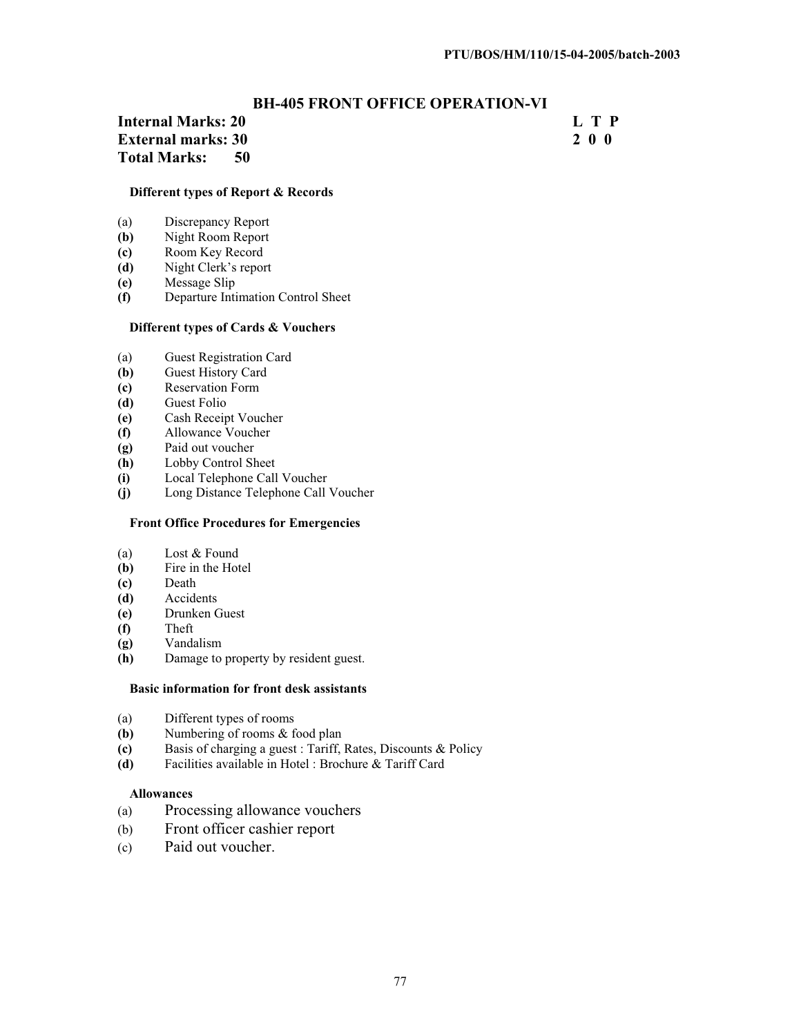#### **BH-405 FRONT OFFICE OPERATION-VI**

#### **Internal Marks: 20 L T P L T P External marks: 30 2 0 0 Total Marks: 50**

#### **Different types of Report & Records**

- (a) Discrepancy Report<br>
(b) Night Room Report
- **(b)** Night Room Report
- **(c)** Room Key Record
- **(d)** Night Clerk's report
- **(e)** Message Slip
- **(f)** Departure Intimation Control Sheet

#### **Different types of Cards & Vouchers**

- (a) Guest Registration Card
- **(b)** Guest History Card
- **(c)** Reservation Form
- **(d)** Guest Folio
- **(e)** Cash Receipt Voucher
- **(f)** Allowance Voucher
- **(g)** Paid out voucher
- **(h)** Lobby Control Sheet
- **(i)** Local Telephone Call Voucher
- **(j)** Long Distance Telephone Call Voucher

#### **Front Office Procedures for Emergencies**

- (a) Lost & Found
- **(b)** Fire in the Hotel
- **(c)** Death
- **(d)** Accidents
- **(e)** Drunken Guest
- **(f)** Theft
- **(g)** Vandalism
- **(h)** Damage to property by resident guest.

#### **Basic information for front desk assistants**

- (a) Different types of rooms<br>(b) Numbering of rooms  $\&$  f
- Numbering of rooms & food plan
- **(c)** Basis of charging a guest : Tariff, Rates, Discounts & Policy
- **(d)** Facilities available in Hotel : Brochure & Tariff Card

#### **Allowances**

- (a) Processing allowance vouchers
- (b) Front officer cashier report
- (c) Paid out voucher.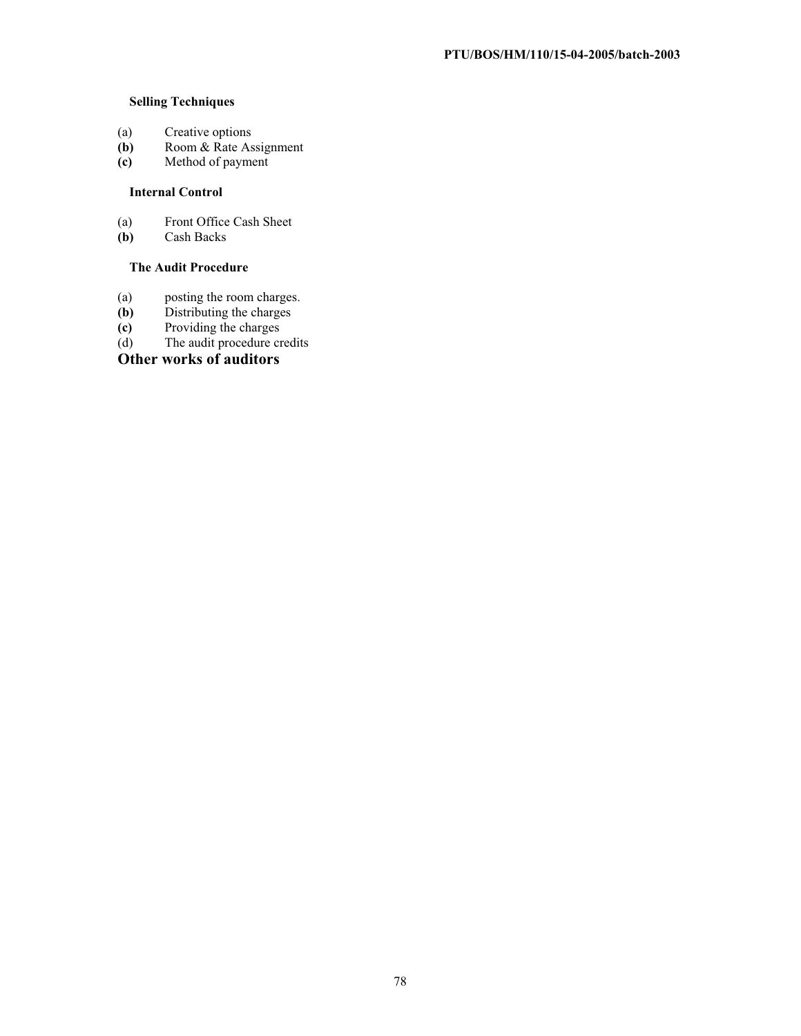#### **Selling Techniques**

- (a) Creative options<br>(b) Room & Rate As
- **(b)** Room & Rate Assignment
- **(c)** Method of payment

#### **Internal Control**

- (a) Front Office Cash Sheet<br>
(b) Cash Backs
- **(b)** Cash Backs

#### **The Audit Procedure**

- (a) posting the room charges.<br> **(b)** Distributing the charges
- **(b)** Distributing the charges
- **(c)** Providing the charges
- (d) The audit procedure credits

#### **Other works of auditors**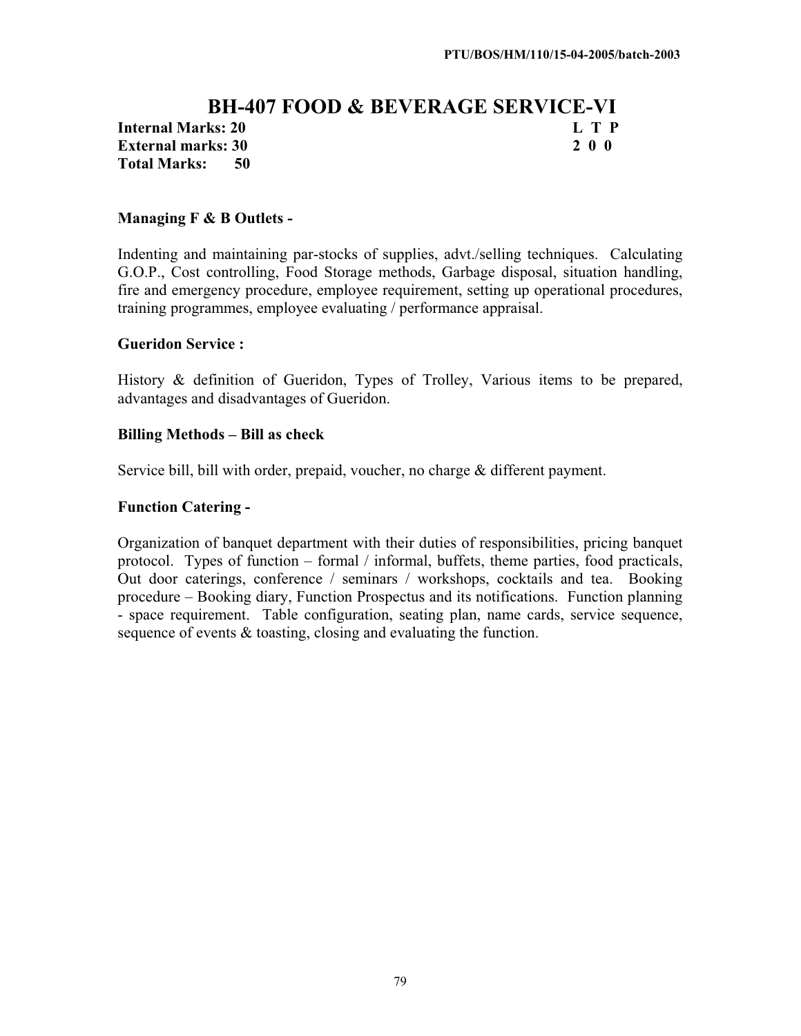#### **BH-407 FOOD & BEVERAGE SERVICE-VI Internal Marks: 20 L T P L T P External marks: 30 2 0 0 Total Marks: 50**

#### **Managing F & B Outlets -**

Indenting and maintaining par-stocks of supplies, advt./selling techniques. Calculating G.O.P., Cost controlling, Food Storage methods, Garbage disposal, situation handling, fire and emergency procedure, employee requirement, setting up operational procedures, training programmes, employee evaluating / performance appraisal.

#### **Gueridon Service :**

History & definition of Gueridon, Types of Trolley, Various items to be prepared, advantages and disadvantages of Gueridon.

#### **Billing Methods – Bill as check**

Service bill, bill with order, prepaid, voucher, no charge & different payment.

#### **Function Catering -**

Organization of banquet department with their duties of responsibilities, pricing banquet protocol. Types of function – formal / informal, buffets, theme parties, food practicals, Out door caterings, conference / seminars / workshops, cocktails and tea. Booking procedure – Booking diary, Function Prospectus and its notifications. Function planning - space requirement. Table configuration, seating plan, name cards, service sequence, sequence of events & toasting, closing and evaluating the function.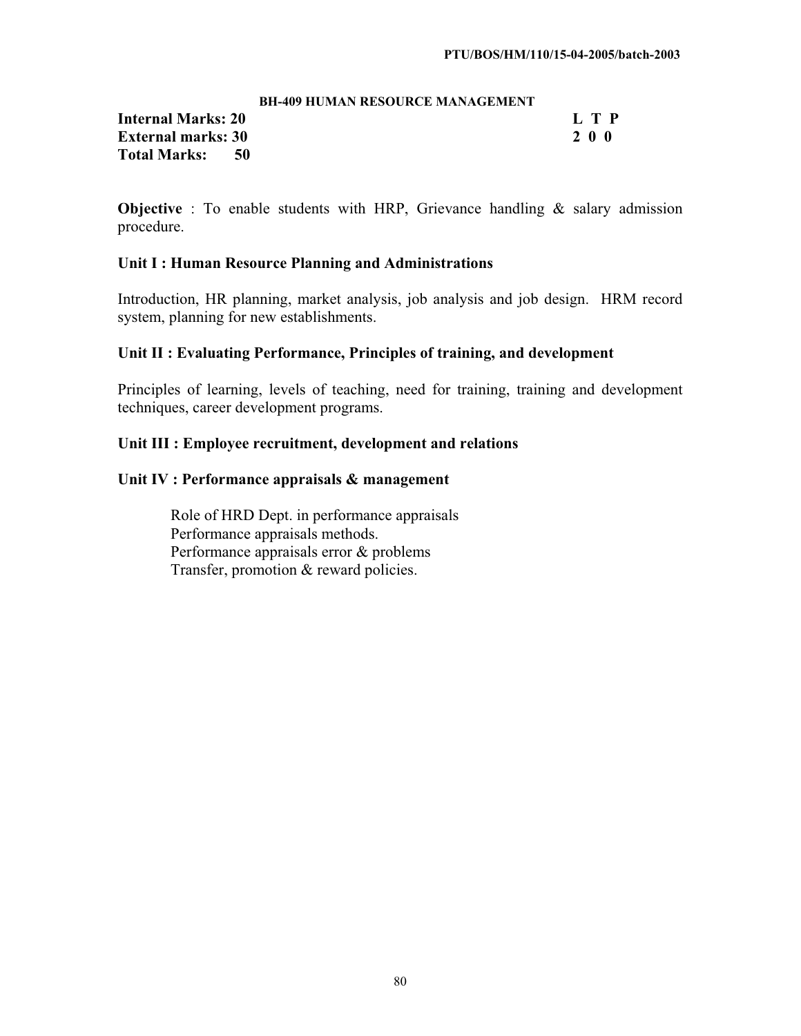#### **BH-409 HUMAN RESOURCE MANAGEMENT**

**Internal Marks: 20 L T P L T P External marks: 30 2 0 0 Total Marks: 50** 

**Objective** : To enable students with HRP, Grievance handling & salary admission procedure.

#### **Unit I : Human Resource Planning and Administrations**

Introduction, HR planning, market analysis, job analysis and job design. HRM record system, planning for new establishments.

#### **Unit II : Evaluating Performance, Principles of training, and development**

Principles of learning, levels of teaching, need for training, training and development techniques, career development programs.

#### **Unit III : Employee recruitment, development and relations**

#### **Unit IV : Performance appraisals & management**

Role of HRD Dept. in performance appraisals Performance appraisals methods. Performance appraisals error & problems Transfer, promotion & reward policies.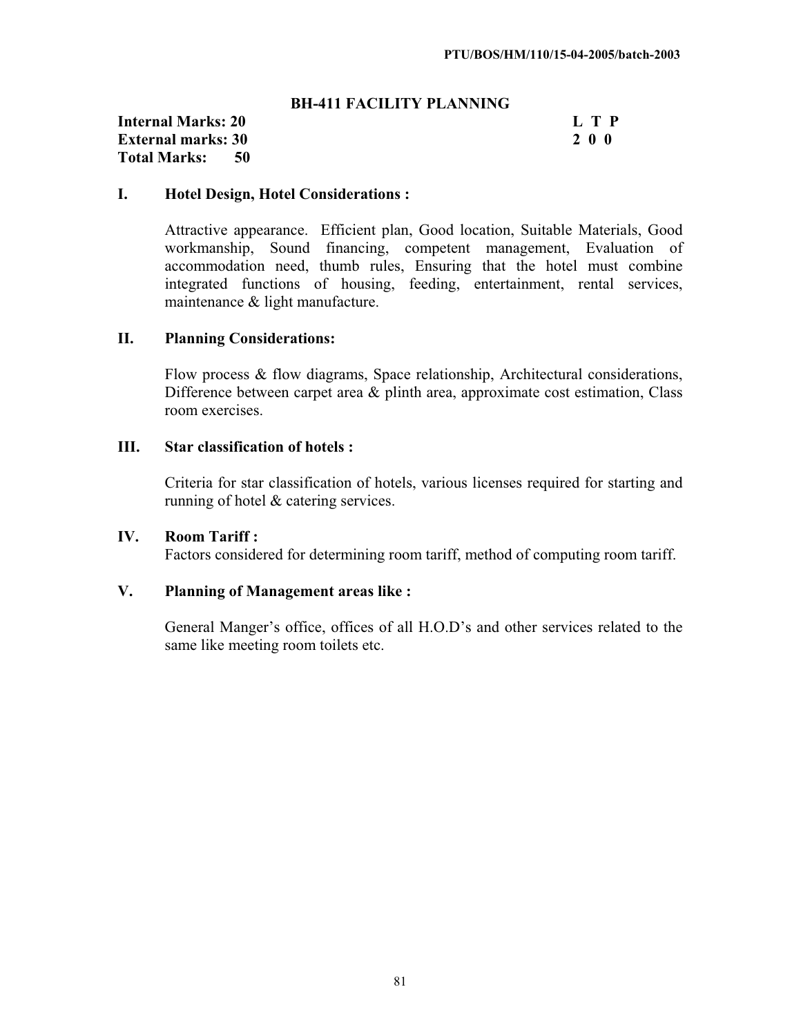#### **BH-411 FACILITY PLANNING**

#### **Internal Marks: 20 L T P**<br> **External marks: 30 2 0 0 External marks: 30 Total Marks: 50**

#### **I. Hotel Design, Hotel Considerations :**

Attractive appearance. Efficient plan, Good location, Suitable Materials, Good workmanship, Sound financing, competent management, Evaluation of accommodation need, thumb rules, Ensuring that the hotel must combine integrated functions of housing, feeding, entertainment, rental services, maintenance & light manufacture.

#### **II. Planning Considerations:**

Flow process & flow diagrams, Space relationship, Architectural considerations, Difference between carpet area & plinth area, approximate cost estimation, Class room exercises.

### **III. Star classification of hotels :**

Criteria for star classification of hotels, various licenses required for starting and running of hotel & catering services.

### **IV. Room Tariff :**

Factors considered for determining room tariff, method of computing room tariff.

### **V. Planning of Management areas like :**

General Manger's office, offices of all H.O.D's and other services related to the same like meeting room toilets etc.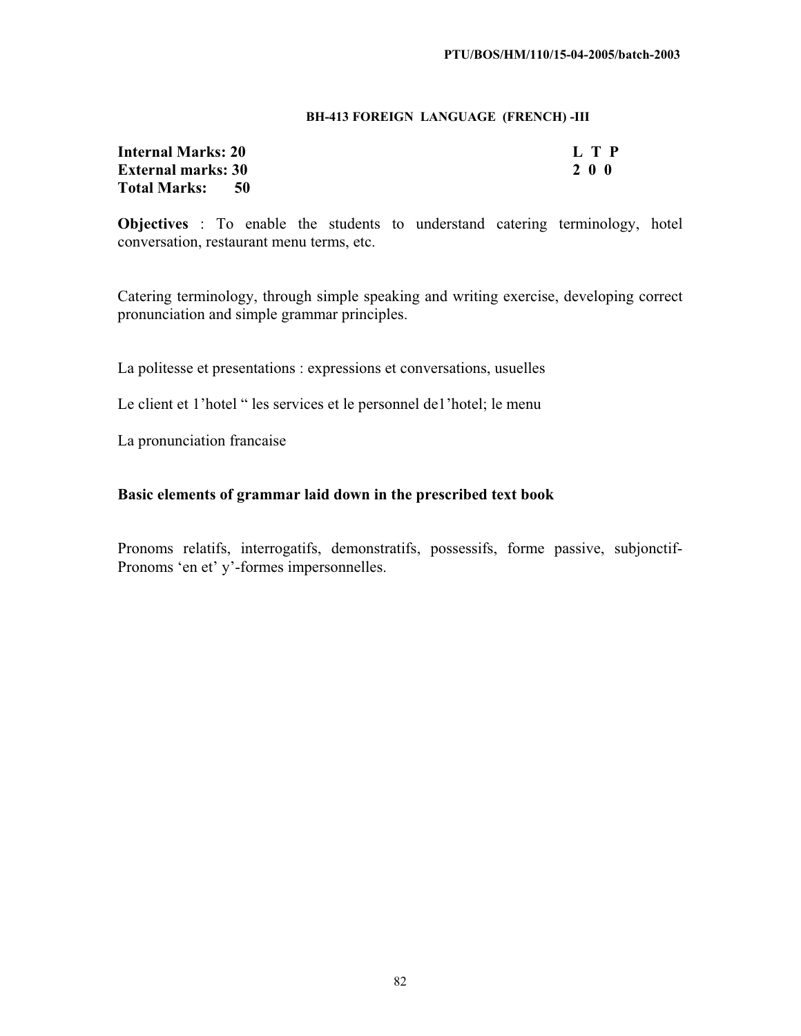#### **BH-413 FOREIGN LANGUAGE (FRENCH) -III**

| Internal Marks: 20        | L T P |
|---------------------------|-------|
| <b>External marks: 30</b> | 200   |
| Total Marks:<br>- 50      |       |

**Objectives** : To enable the students to understand catering terminology, hotel conversation, restaurant menu terms, etc.

Catering terminology, through simple speaking and writing exercise, developing correct pronunciation and simple grammar principles.

La politesse et presentations : expressions et conversations, usuelles

Le client et 1'hotel " les services et le personnel de l'hotel; le menu

La pronunciation francaise

#### **Basic elements of grammar laid down in the prescribed text book**

Pronoms relatifs, interrogatifs, demonstratifs, possessifs, forme passive, subjonctif-Pronoms 'en et' y'-formes impersonnelles.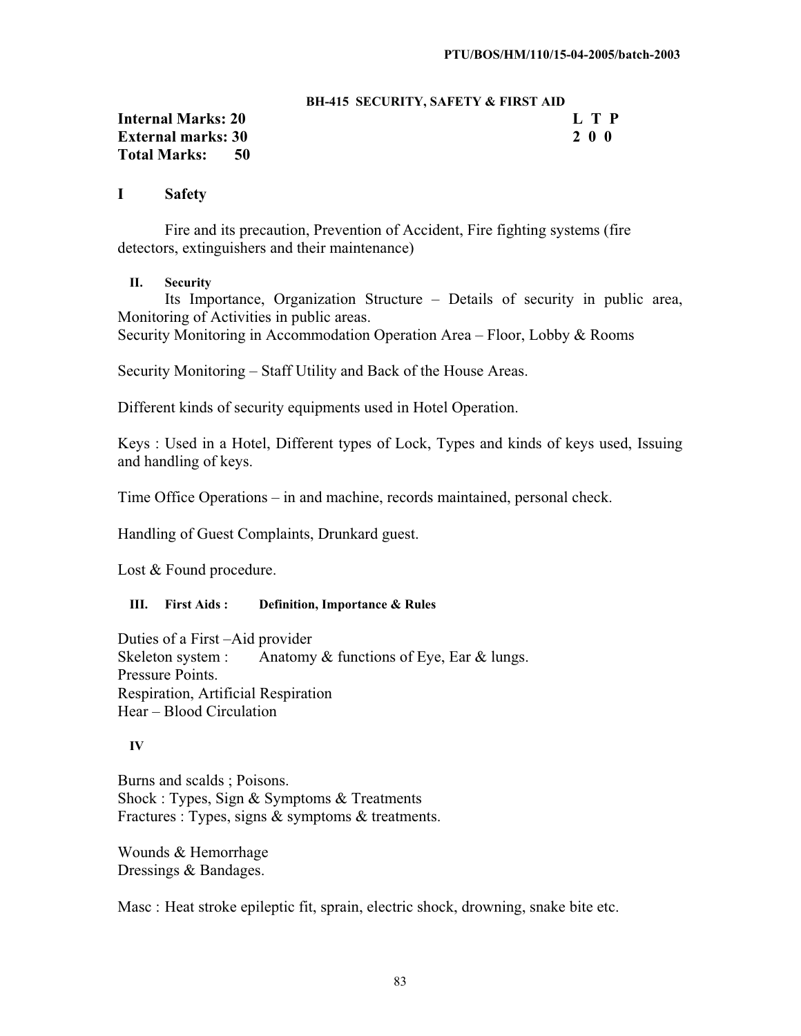#### **BH-415 SECURITY, SAFETY & FIRST AID**

#### **Internal Marks: 20 L T P External marks: 30 2 0 0 Total Marks: 50**

#### **I Safety**

Fire and its precaution, Prevention of Accident, Fire fighting systems (fire detectors, extinguishers and their maintenance)

#### **II. Security**

Its Importance, Organization Structure – Details of security in public area, Monitoring of Activities in public areas.

Security Monitoring in Accommodation Operation Area – Floor, Lobby & Rooms

Security Monitoring – Staff Utility and Back of the House Areas.

Different kinds of security equipments used in Hotel Operation.

Keys : Used in a Hotel, Different types of Lock, Types and kinds of keys used, Issuing and handling of keys.

Time Office Operations – in and machine, records maintained, personal check.

Handling of Guest Complaints, Drunkard guest.

Lost & Found procedure.

#### **III. First Aids : Definition, Importance & Rules**

Duties of a First –Aid provider Skeleton system : Anatomy  $&$  functions of Eye, Ear  $&$  lungs. Pressure Points. Respiration, Artificial Respiration Hear – Blood Circulation

#### **IV**

Burns and scalds ; Poisons. Shock : Types, Sign & Symptoms & Treatments Fractures : Types, signs & symptoms & treatments.

Wounds & Hemorrhage Dressings & Bandages.

Masc : Heat stroke epileptic fit, sprain, electric shock, drowning, snake bite etc.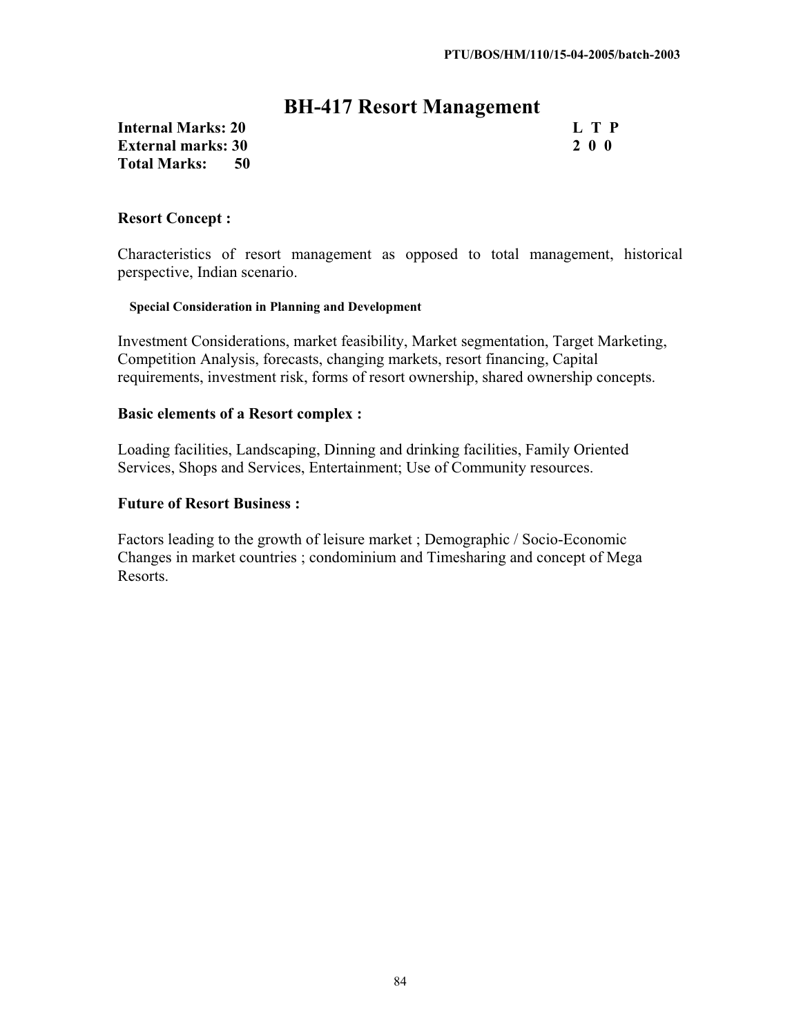### **BH-417 Resort Management**

**Internal Marks: 20 L T P**<br> **External marks: 30 L T P** 2 0 0 **External marks: 30 Total Marks: 50** 

#### **Resort Concept :**

Characteristics of resort management as opposed to total management, historical perspective, Indian scenario.

#### **Special Consideration in Planning and Development**

Investment Considerations, market feasibility, Market segmentation, Target Marketing, Competition Analysis, forecasts, changing markets, resort financing, Capital requirements, investment risk, forms of resort ownership, shared ownership concepts.

#### **Basic elements of a Resort complex :**

Loading facilities, Landscaping, Dinning and drinking facilities, Family Oriented Services, Shops and Services, Entertainment; Use of Community resources.

#### **Future of Resort Business :**

Factors leading to the growth of leisure market ; Demographic / Socio-Economic Changes in market countries ; condominium and Timesharing and concept of Mega Resorts.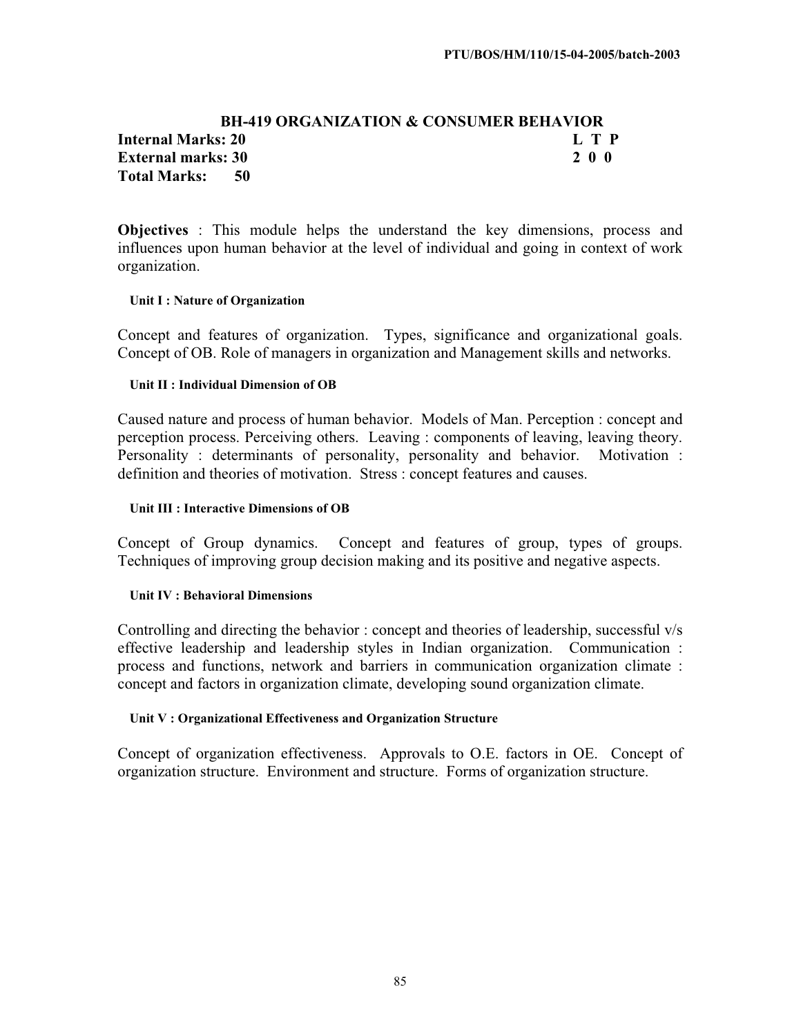#### **BH-419 ORGANIZATION & CONSUMER BEHAVIOR Internal Marks: 20 L T P L T P External marks: 30 2 0 0 Total Marks: 50**

**Objectives** : This module helps the understand the key dimensions, process and influences upon human behavior at the level of individual and going in context of work organization.

#### **Unit I : Nature of Organization**

Concept and features of organization. Types, significance and organizational goals. Concept of OB. Role of managers in organization and Management skills and networks.

#### **Unit II : Individual Dimension of OB**

Caused nature and process of human behavior. Models of Man. Perception : concept and perception process. Perceiving others. Leaving : components of leaving, leaving theory. Personality : determinants of personality, personality and behavior. Motivation : definition and theories of motivation. Stress : concept features and causes.

#### **Unit III : Interactive Dimensions of OB**

Concept of Group dynamics. Concept and features of group, types of groups. Techniques of improving group decision making and its positive and negative aspects.

#### **Unit IV : Behavioral Dimensions**

Controlling and directing the behavior : concept and theories of leadership, successful v/s effective leadership and leadership styles in Indian organization. Communication : process and functions, network and barriers in communication organization climate : concept and factors in organization climate, developing sound organization climate.

#### **Unit V : Organizational Effectiveness and Organization Structure**

Concept of organization effectiveness. Approvals to O.E. factors in OE. Concept of organization structure. Environment and structure. Forms of organization structure.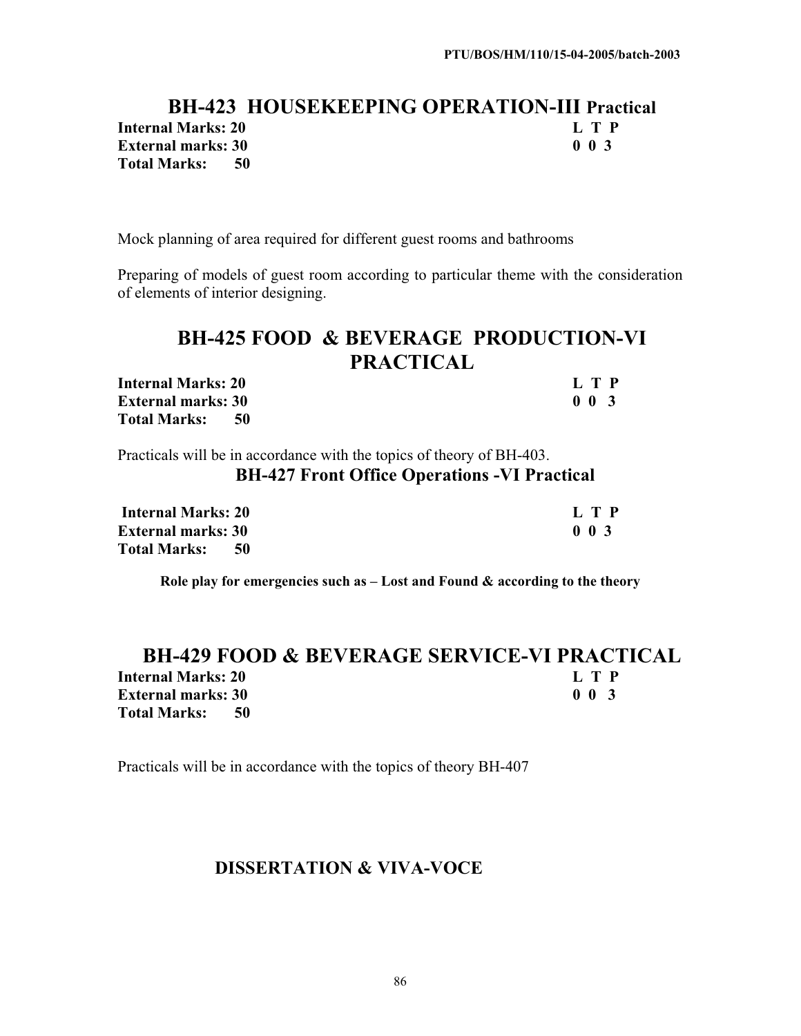### **BH-423 HOUSEKEEPING OPERATION-III Practical Internal Marks: 20 L T P**<br> **External marks: 30** 0 0 3 **External marks: 30 Total Marks: 50**

Mock planning of area required for different guest rooms and bathrooms

Preparing of models of guest room according to particular theme with the consideration of elements of interior designing.

# **BH-425 FOOD & BEVERAGE PRODUCTION-VI PRACTICAL**

| <b>Internal Marks: 20</b> | L T P                      |
|---------------------------|----------------------------|
| <b>External marks: 30</b> | 0 <sub>0<sub>3</sub></sub> |
| Total Marks: 50           |                            |

Practicals will be in accordance with the topics of theory of BH-403.

#### **BH-427 Front Office Operations -VI Practical**

| Internal Marks: 20          | L T P                      |
|-----------------------------|----------------------------|
| <b>External marks: 30</b>   | 0 <sub>0<sub>3</sub></sub> |
| <b>Total Marks:</b><br>- 50 |                            |

**Role play for emergencies such as – Lost and Found & according to the theory** 

#### **BH-429 FOOD & BEVERAGE SERVICE-VI PRACTICAL Internal Marks: 20 L T P External marks: 30 Total Marks: 50**

Practicals will be in accordance with the topics of theory BH-407

### **DISSERTATION & VIVA-VOCE**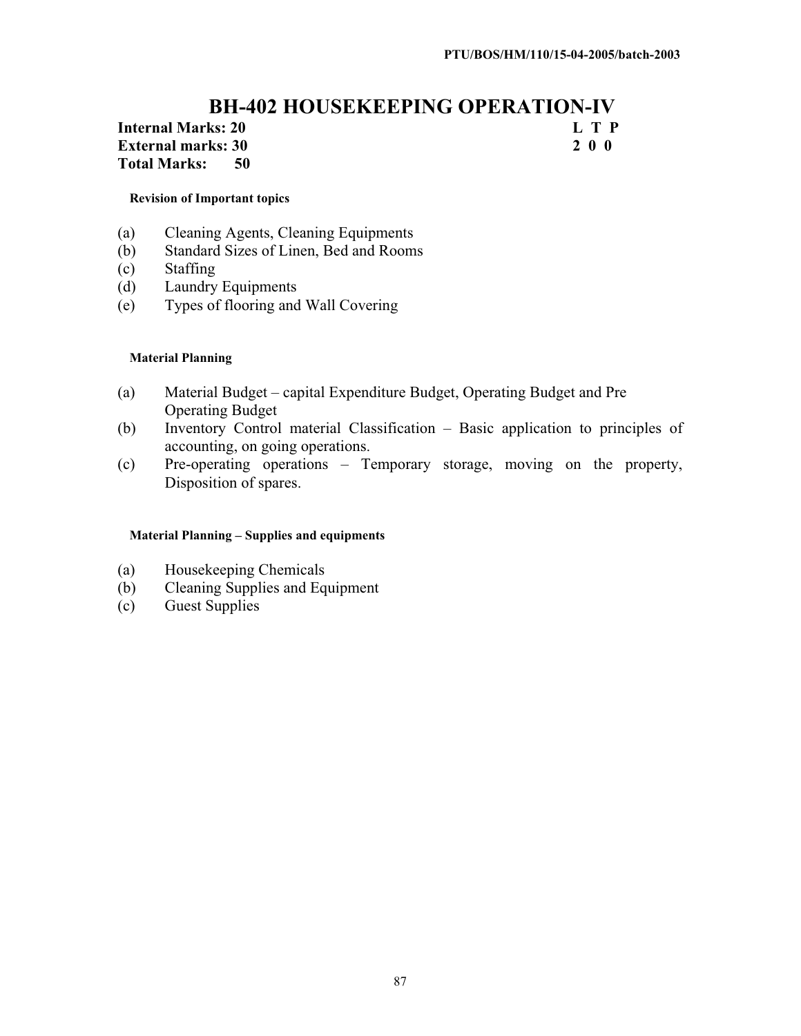# **BH-402 HOUSEKEEPING OPERATION-IV**<br> **ks: 20** L T P

#### **Internal Marks: 20 L T P**<br> **External marks: 30 2 0 0 External marks: 30 Total Marks: 50**

#### **Revision of Important topics**

- (a) Cleaning Agents, Cleaning Equipments
- (b) Standard Sizes of Linen, Bed and Rooms
- (c) Staffing
- (d) Laundry Equipments
- (e) Types of flooring and Wall Covering

#### **Material Planning**

- (a) Material Budget capital Expenditure Budget, Operating Budget and Pre Operating Budget
- (b) Inventory Control material Classification Basic application to principles of accounting, on going operations.
- (c) Pre-operating operations Temporary storage, moving on the property, Disposition of spares.

#### **Material Planning – Supplies and equipments**

- (a) Housekeeping Chemicals
- (b) Cleaning Supplies and Equipment
- (c) Guest Supplies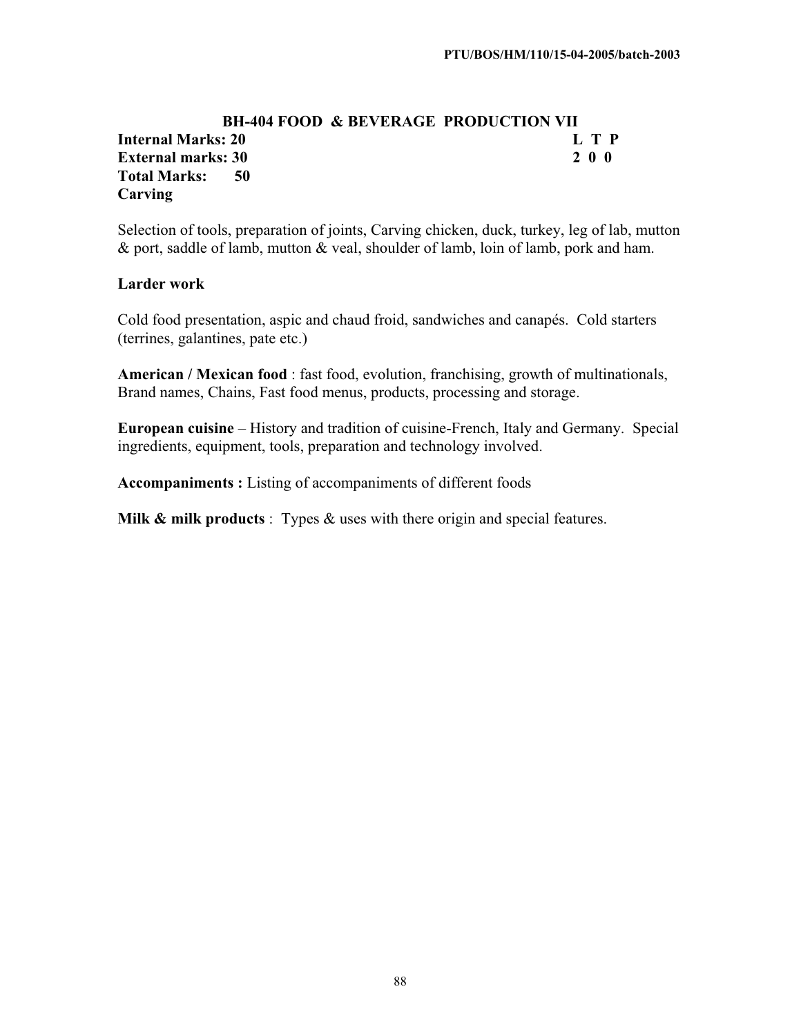#### **BH-404 FOOD & BEVERAGE PRODUCTION VII Internal Marks: 20 L T P External marks: 30 2 0 0 Total Marks: 50 Carving**

Selection of tools, preparation of joints, Carving chicken, duck, turkey, leg of lab, mutton & port, saddle of lamb, mutton & veal, shoulder of lamb, loin of lamb, pork and ham.

#### **Larder work**

Cold food presentation, aspic and chaud froid, sandwiches and canapés. Cold starters (terrines, galantines, pate etc.)

**American / Mexican food** : fast food, evolution, franchising, growth of multinationals, Brand names, Chains, Fast food menus, products, processing and storage.

**European cuisine** – History and tradition of cuisine-French, Italy and Germany. Special ingredients, equipment, tools, preparation and technology involved.

**Accompaniments :** Listing of accompaniments of different foods

**Milk & milk products** : Types & uses with there origin and special features.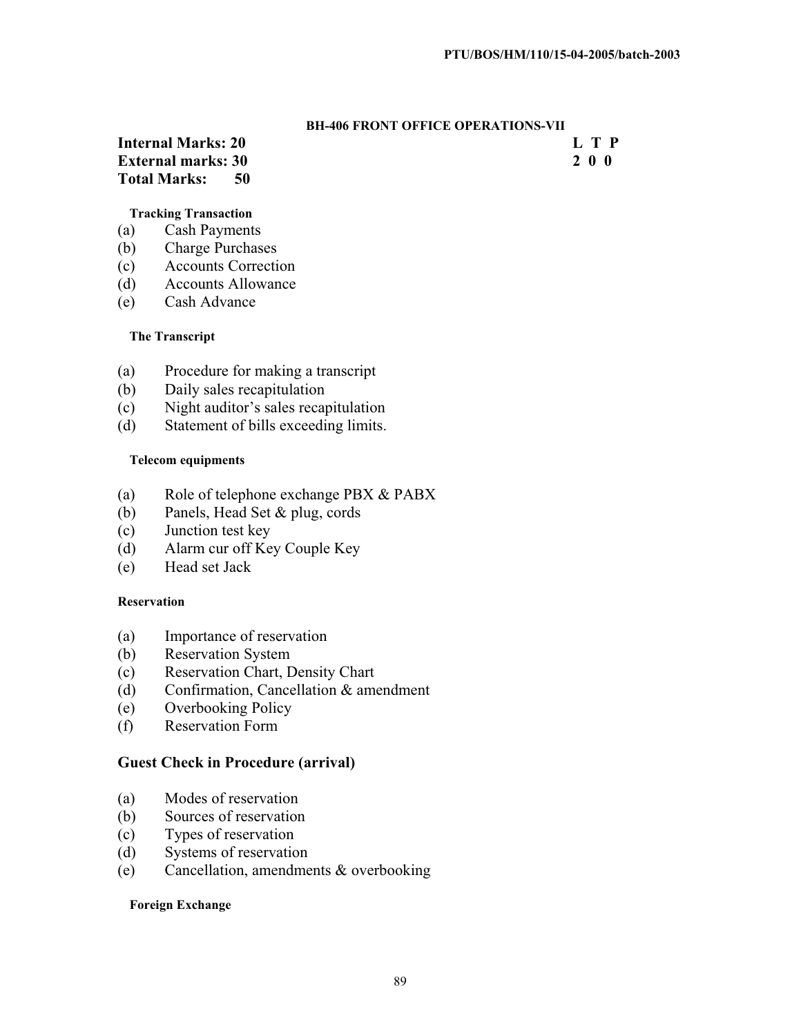#### **BH-406 FRONT OFFICE OPERATIONS-VII**

#### **Internal Marks: 20 L T P External marks: 30 2 0 0 Total Marks: 50**

#### **Tracking Transaction**

- (a) Cash Payments
- (b) Charge Purchases
- (c) Accounts Correction
- (d) Accounts Allowance
- (e) Cash Advance

#### **The Transcript**

- (a) Procedure for making a transcript
- (b) Daily sales recapitulation
- (c) Night auditor's sales recapitulation
- (d) Statement of bills exceeding limits.

#### **Telecom equipments**

- (a) Role of telephone exchange PBX & PABX
- (b) Panels, Head Set & plug, cords
- (c) Junction test key
- (d) Alarm cur off Key Couple Key
- (e) Head set Jack

#### **Reservation**

- (a) Importance of reservation
- (b) Reservation System
- (c) Reservation Chart, Density Chart
- (d) Confirmation, Cancellation & amendment
- (e) Overbooking Policy
- (f) Reservation Form

#### **Guest Check in Procedure (arrival)**

- (a) Modes of reservation
- (b) Sources of reservation
- (c) Types of reservation
- (d) Systems of reservation
- (e) Cancellation, amendments & overbooking

#### **Foreign Exchange**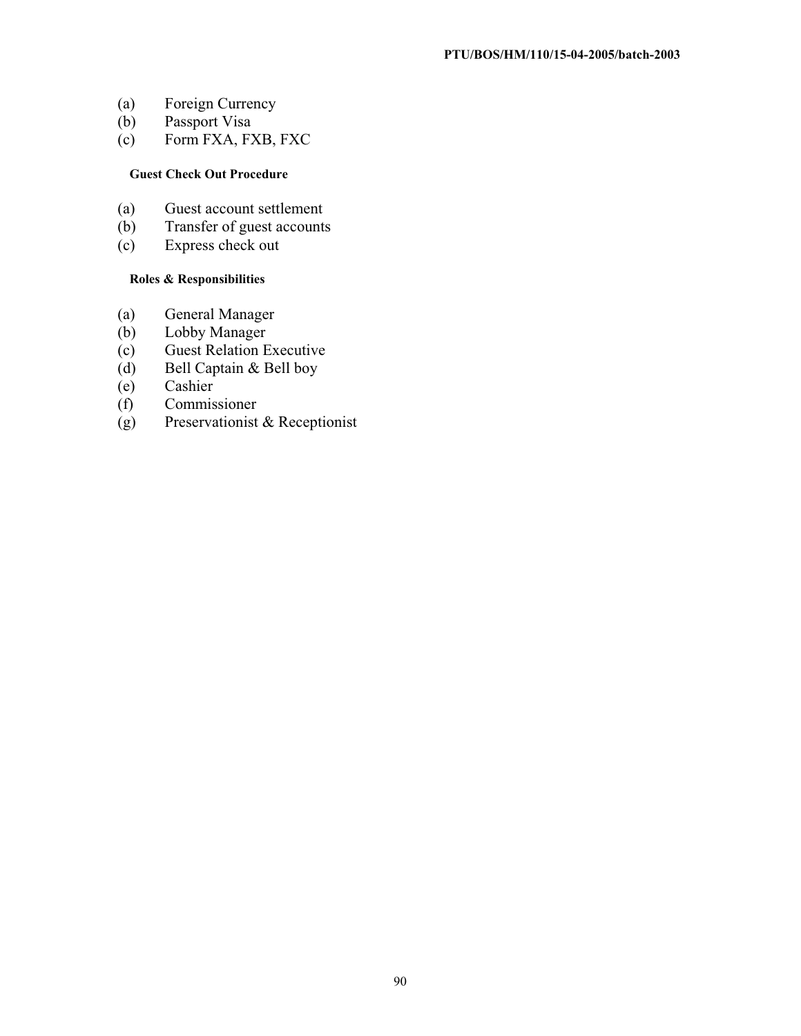- (a) Foreign Currency
- (b) Passport Visa
- (c) Form FXA, FXB, FXC

#### **Guest Check Out Procedure**

- (a) Guest account settlement
- (b) Transfer of guest accounts
- (c) Express check out

#### **Roles & Responsibilities**

- (a) General Manager
- (b) Lobby Manager
- (c) Guest Relation Executive
- (d) Bell Captain & Bell boy
- (e) Cashier
- (f) Commissioner
- (g) Preservationist & Receptionist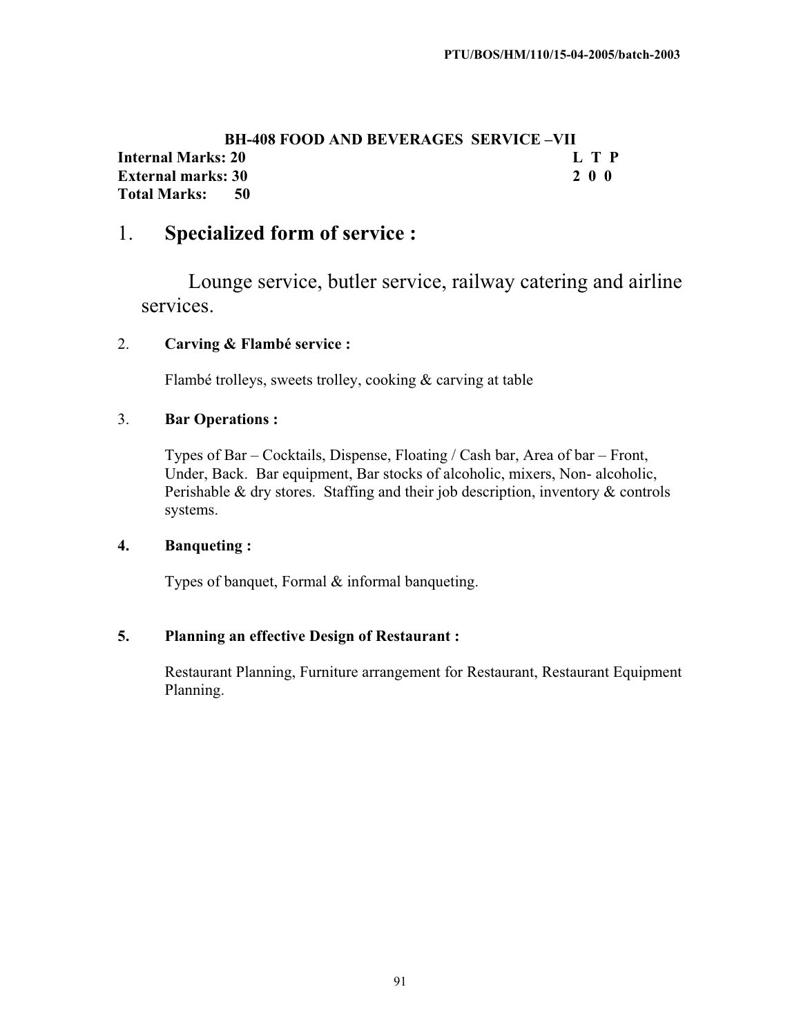#### **BH-408 FOOD AND BEVERAGES SERVICE –VII Internal Marks: 20 L T P**<br> **External marks: 30 2 0 0 2 0 0 2 0 0 2 0 0 2 0 0 2 0 0 2 0 0 2 0 0 2 0 0 2 0 0 2 0 0 2 0 0 2 0 0 2 0 0 2 0 0 2 0 0 2 0 0 2 0 0 2 0 0 2 0 0 2 0 0 2 0 0 2 0 0 2 0 0 2 0 0 2 0 0 2 0 0 2 0 0 2 0 0 External marks: 30 Total Marks: 50**

## 1. **Specialized form of service :**

Lounge service, butler service, railway catering and airline services.

#### 2. **Carving & Flambé service :**

Flambé trolleys, sweets trolley, cooking & carving at table

#### 3. **Bar Operations :**

Types of Bar – Cocktails, Dispense, Floating / Cash bar, Area of bar – Front, Under, Back. Bar equipment, Bar stocks of alcoholic, mixers, Non- alcoholic, Perishable & dry stores. Staffing and their job description, inventory & controls systems.

#### **4. Banqueting :**

Types of banquet, Formal & informal banqueting.

#### **5. Planning an effective Design of Restaurant :**

Restaurant Planning, Furniture arrangement for Restaurant, Restaurant Equipment Planning.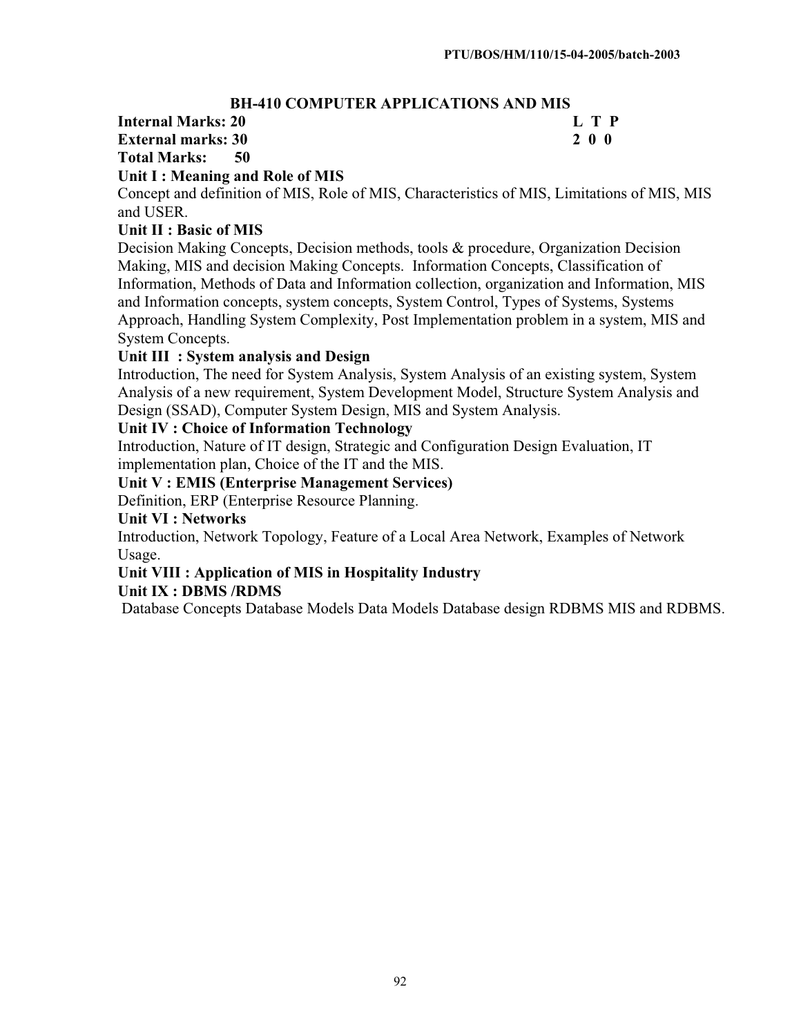#### **BH-410 COMPUTER APPLICATIONS AND MIS**

#### **Internal Marks: 20 L T P L T P**

#### **External marks: 30 2 0 0**

**Total Marks: 50** 

#### **Unit I : Meaning and Role of MIS**

Concept and definition of MIS, Role of MIS, Characteristics of MIS, Limitations of MIS, MIS and USER.

#### **Unit II : Basic of MIS**

Decision Making Concepts, Decision methods, tools & procedure, Organization Decision Making, MIS and decision Making Concepts. Information Concepts, Classification of Information, Methods of Data and Information collection, organization and Information, MIS and Information concepts, system concepts, System Control, Types of Systems, Systems Approach, Handling System Complexity, Post Implementation problem in a system, MIS and System Concepts.

#### **Unit III : System analysis and Design**

Introduction, The need for System Analysis, System Analysis of an existing system, System Analysis of a new requirement, System Development Model, Structure System Analysis and Design (SSAD), Computer System Design, MIS and System Analysis.

#### **Unit IV : Choice of Information Technology**

Introduction, Nature of IT design, Strategic and Configuration Design Evaluation, IT implementation plan, Choice of the IT and the MIS.

#### **Unit V : EMIS (Enterprise Management Services)**

Definition, ERP (Enterprise Resource Planning.

#### **Unit VI : Networks**

Introduction, Network Topology, Feature of a Local Area Network, Examples of Network Usage.

# **Unit VIII : Application of MIS in Hospitality Industry**

#### **Unit IX : DBMS /RDMS**

Database Concepts Database Models Data Models Database design RDBMS MIS and RDBMS.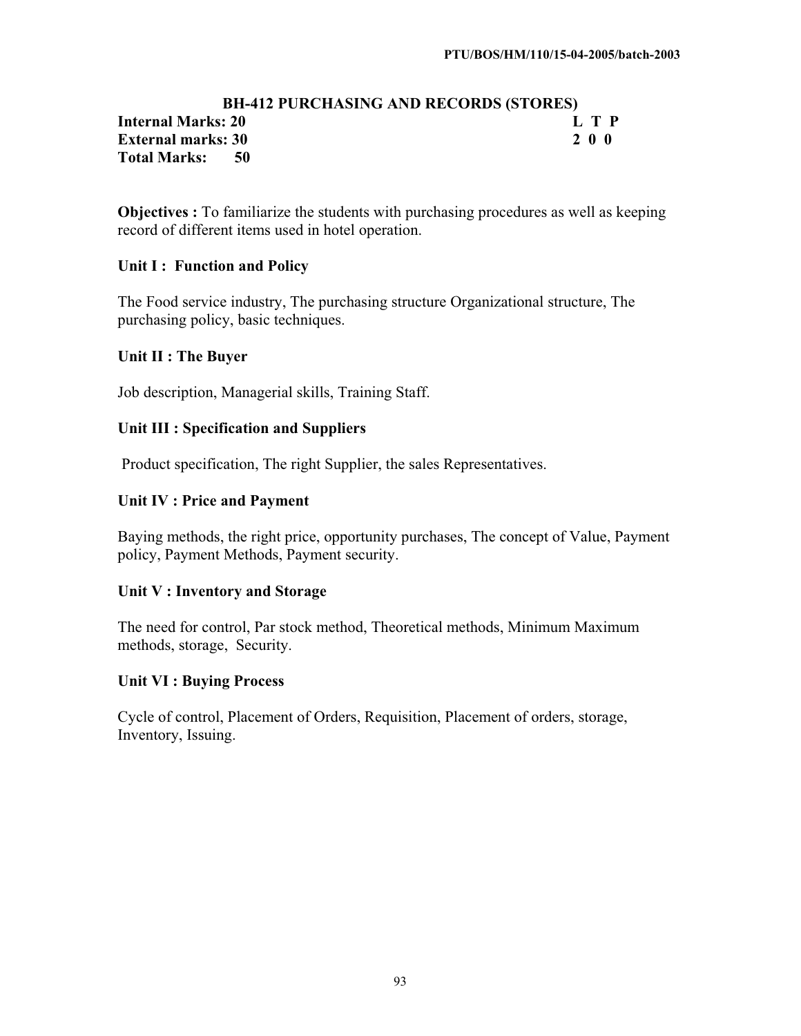#### **BH-412 PURCHASING AND RECORDS (STORES) Internal Marks: 20 L T P L T P External marks: 30 2 0 0 Total Marks: 50**

**Objectives :** To familiarize the students with purchasing procedures as well as keeping record of different items used in hotel operation.

#### **Unit I : Function and Policy**

The Food service industry, The purchasing structure Organizational structure, The purchasing policy, basic techniques.

#### **Unit II : The Buyer**

Job description, Managerial skills, Training Staff.

#### **Unit III : Specification and Suppliers**

Product specification, The right Supplier, the sales Representatives.

#### **Unit IV : Price and Payment**

Baying methods, the right price, opportunity purchases, The concept of Value, Payment policy, Payment Methods, Payment security.

#### **Unit V : Inventory and Storage**

The need for control, Par stock method, Theoretical methods, Minimum Maximum methods, storage, Security.

#### **Unit VI : Buying Process**

Cycle of control, Placement of Orders, Requisition, Placement of orders, storage, Inventory, Issuing.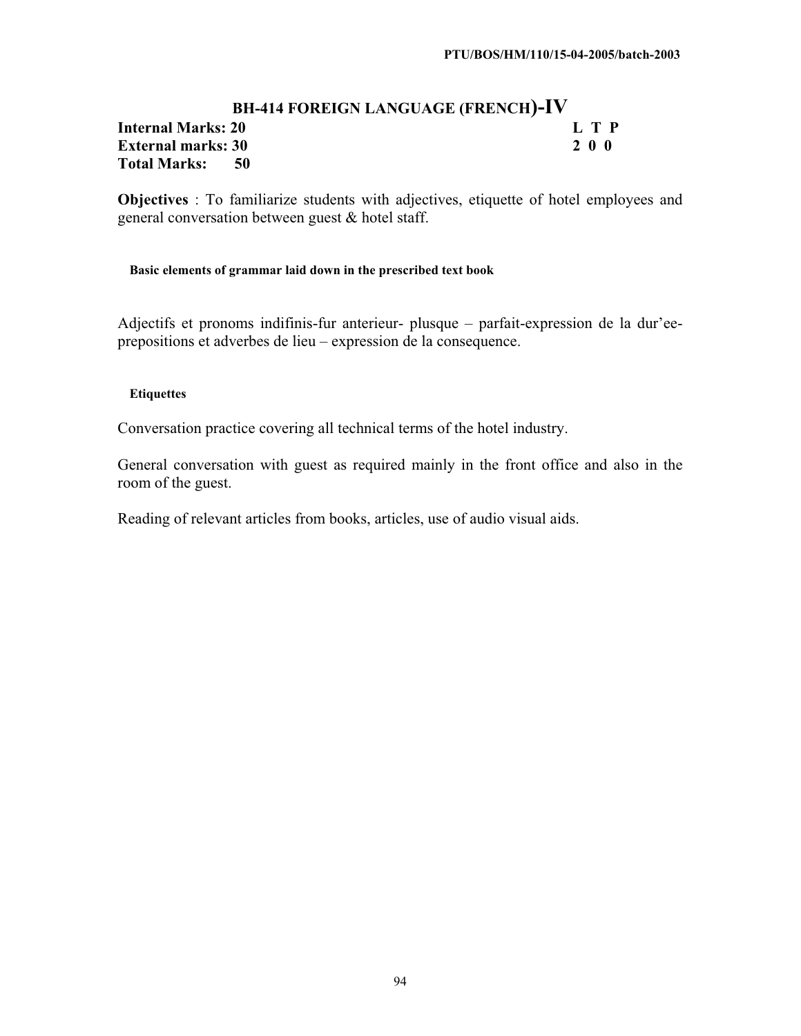#### **BH-414 FOREIGN LANGUAGE (FRENCH)-IV Internal Marks: 20 L T P**<br> **External marks: 30 2 0 0 External marks: 30 Total Marks: 50**

**Objectives** : To familiarize students with adjectives, etiquette of hotel employees and general conversation between guest & hotel staff.

#### **Basic elements of grammar laid down in the prescribed text book**

Adjectifs et pronoms indifinis-fur anterieur- plusque – parfait-expression de la dur'eeprepositions et adverbes de lieu – expression de la consequence.

#### **Etiquettes**

Conversation practice covering all technical terms of the hotel industry.

General conversation with guest as required mainly in the front office and also in the room of the guest.

Reading of relevant articles from books, articles, use of audio visual aids.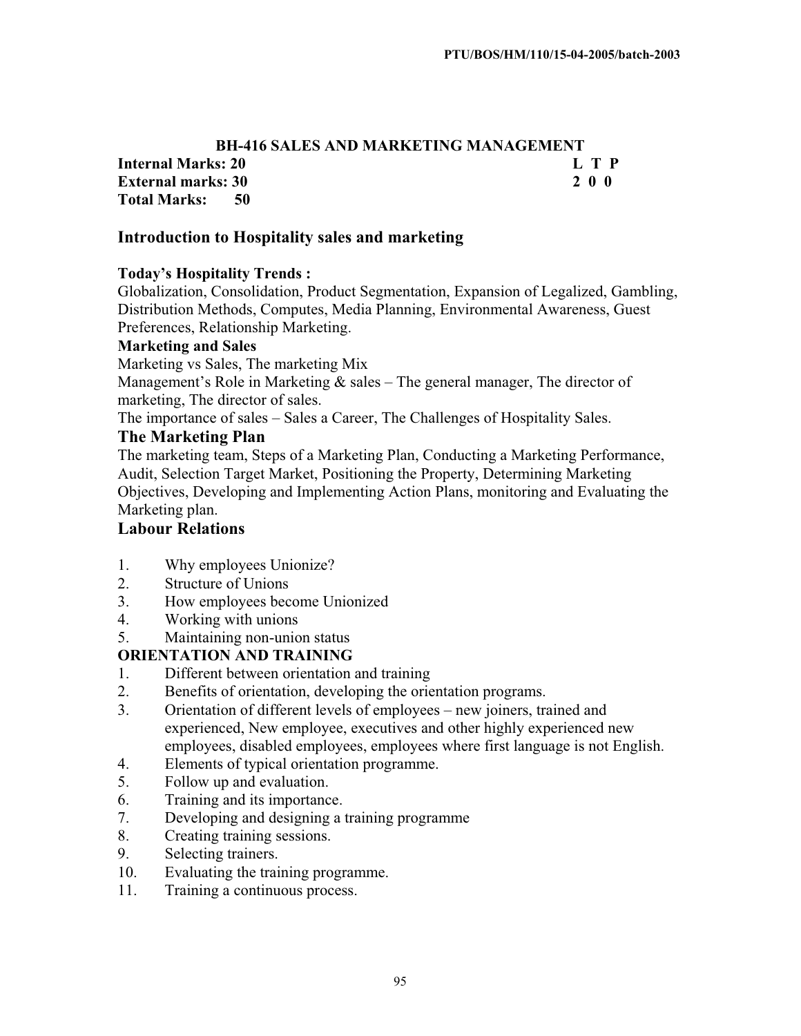#### **BH-416 SALES AND MARKETING MANAGEMENT Internal Marks: 20 L T P**<br> **External marks: 30 2 0 0 External marks: 30 Total Marks: 50**

#### **Introduction to Hospitality sales and marketing**

#### **Today's Hospitality Trends :**

Globalization, Consolidation, Product Segmentation, Expansion of Legalized, Gambling, Distribution Methods, Computes, Media Planning, Environmental Awareness, Guest Preferences, Relationship Marketing.

#### **Marketing and Sales**

Marketing vs Sales, The marketing Mix

Management's Role in Marketing  $&$  sales – The general manager, The director of marketing, The director of sales.

The importance of sales – Sales a Career, The Challenges of Hospitality Sales.

#### **The Marketing Plan**

The marketing team, Steps of a Marketing Plan, Conducting a Marketing Performance, Audit, Selection Target Market, Positioning the Property, Determining Marketing Objectives, Developing and Implementing Action Plans, monitoring and Evaluating the Marketing plan.

#### **Labour Relations**

- 1. Why employees Unionize?
- 2. Structure of Unions
- 3. How employees become Unionized
- 4. Working with unions
- 5. Maintaining non-union status

#### **ORIENTATION AND TRAINING**

- 1. Different between orientation and training
- 2. Benefits of orientation, developing the orientation programs.
- 3. Orientation of different levels of employees new joiners, trained and experienced, New employee, executives and other highly experienced new employees, disabled employees, employees where first language is not English.
- 4. Elements of typical orientation programme.
- 5. Follow up and evaluation.
- 6. Training and its importance.
- 7. Developing and designing a training programme
- 8. Creating training sessions.
- 9. Selecting trainers.
- 10. Evaluating the training programme.
- 11. Training a continuous process.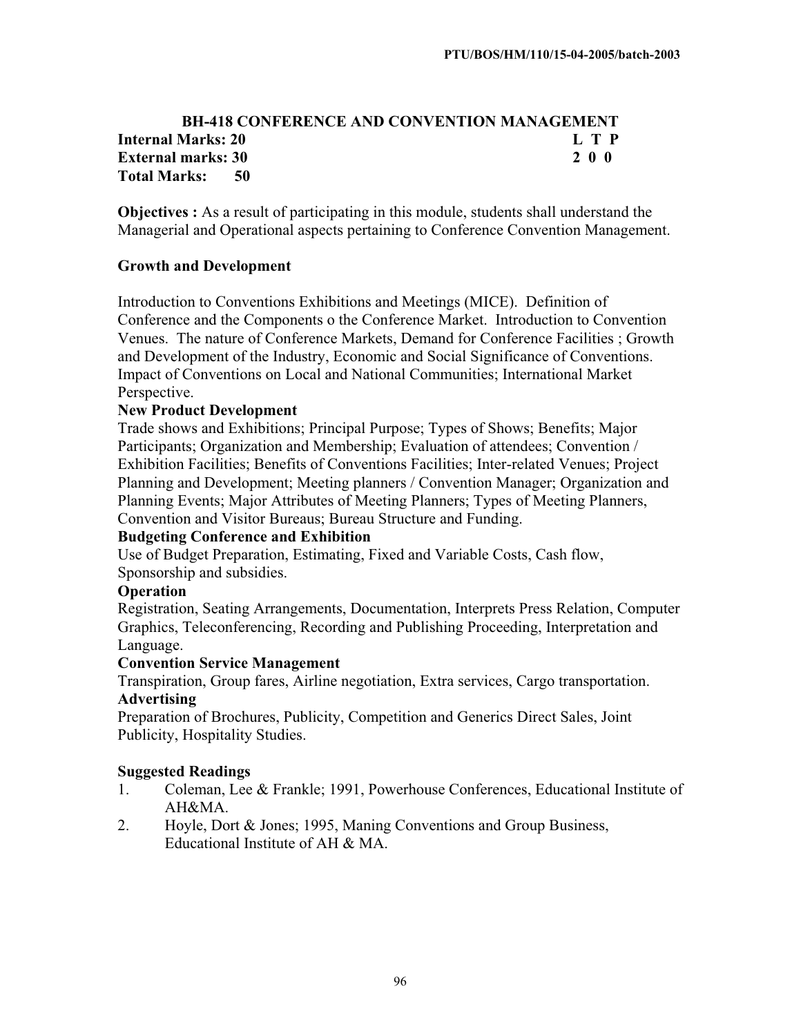#### **BH-418 CONFERENCE AND CONVENTION MANAGEMENT Internal Marks: 20 L T P L T P External marks: 30 2 0 0 Total Marks: 50**

**Objectives :** As a result of participating in this module, students shall understand the Managerial and Operational aspects pertaining to Conference Convention Management.

#### **Growth and Development**

Introduction to Conventions Exhibitions and Meetings (MICE). Definition of Conference and the Components o the Conference Market. Introduction to Convention Venues. The nature of Conference Markets, Demand for Conference Facilities ; Growth and Development of the Industry, Economic and Social Significance of Conventions. Impact of Conventions on Local and National Communities; International Market Perspective.

#### **New Product Development**

Trade shows and Exhibitions; Principal Purpose; Types of Shows; Benefits; Major Participants; Organization and Membership; Evaluation of attendees; Convention / Exhibition Facilities; Benefits of Conventions Facilities; Inter-related Venues; Project Planning and Development; Meeting planners / Convention Manager; Organization and Planning Events; Major Attributes of Meeting Planners; Types of Meeting Planners, Convention and Visitor Bureaus; Bureau Structure and Funding.

#### **Budgeting Conference and Exhibition**

Use of Budget Preparation, Estimating, Fixed and Variable Costs, Cash flow, Sponsorship and subsidies.

#### **Operation**

Registration, Seating Arrangements, Documentation, Interprets Press Relation, Computer Graphics, Teleconferencing, Recording and Publishing Proceeding, Interpretation and Language.

#### **Convention Service Management**

Transpiration, Group fares, Airline negotiation, Extra services, Cargo transportation. **Advertising**

Preparation of Brochures, Publicity, Competition and Generics Direct Sales, Joint Publicity, Hospitality Studies.

#### **Suggested Readings**

- 1. Coleman, Lee & Frankle; 1991, Powerhouse Conferences, Educational Institute of AH&MA.
- 2. Hoyle, Dort & Jones; 1995, Maning Conventions and Group Business, Educational Institute of AH & MA.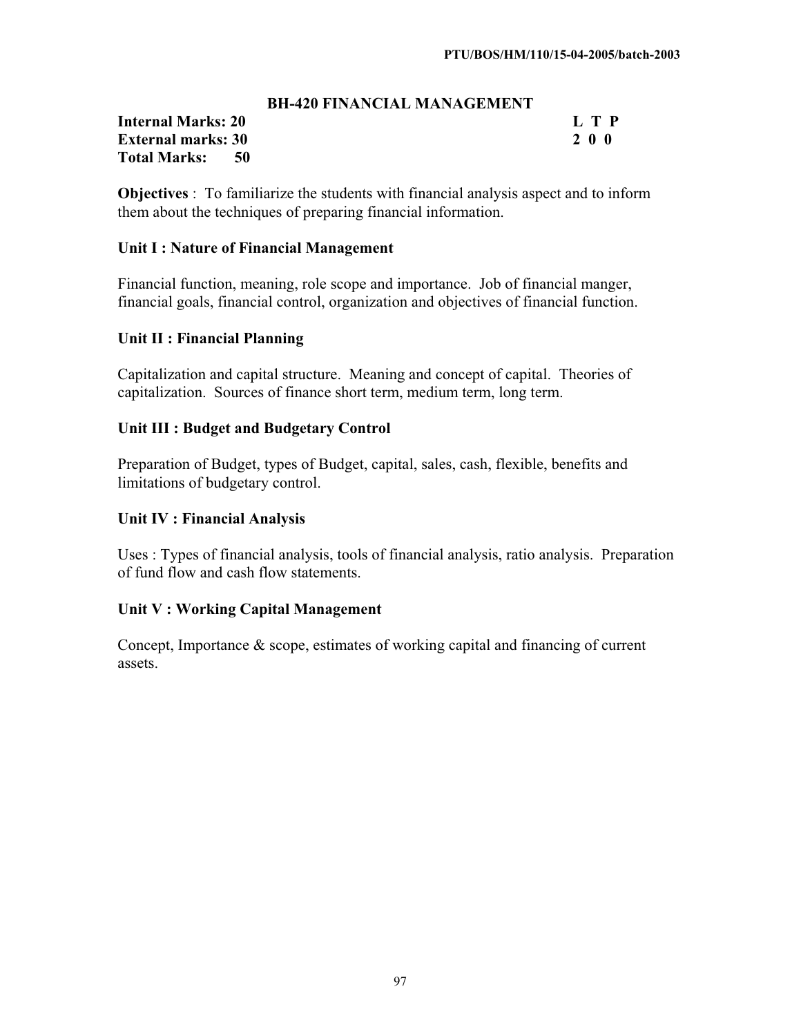#### **BH-420 FINANCIAL MANAGEMENT**

#### **Internal Marks: 20 L T P L T P External marks: 30 2 0 0 Total Marks: 50**

**Objectives** : To familiarize the students with financial analysis aspect and to inform them about the techniques of preparing financial information.

#### **Unit I : Nature of Financial Management**

Financial function, meaning, role scope and importance. Job of financial manger, financial goals, financial control, organization and objectives of financial function.

#### **Unit II : Financial Planning**

Capitalization and capital structure. Meaning and concept of capital. Theories of capitalization. Sources of finance short term, medium term, long term.

#### **Unit III : Budget and Budgetary Control**

Preparation of Budget, types of Budget, capital, sales, cash, flexible, benefits and limitations of budgetary control.

#### **Unit IV : Financial Analysis**

Uses : Types of financial analysis, tools of financial analysis, ratio analysis. Preparation of fund flow and cash flow statements.

#### **Unit V : Working Capital Management**

Concept, Importance & scope, estimates of working capital and financing of current assets.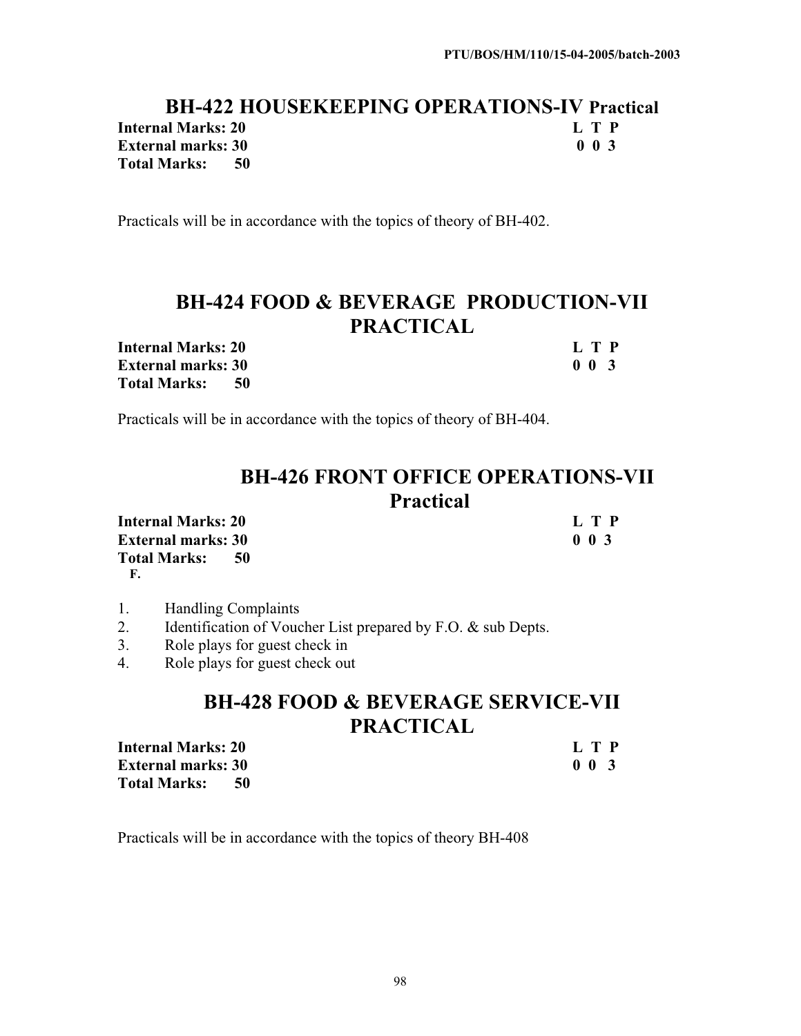#### **BH-422 HOUSEKEEPING OPERATIONS-IV Practical**<br>al Marks: 20<br>**Let P Internal Marks: 20 L T P External marks: 30 Total Marks: 50**

Practicals will be in accordance with the topics of theory of BH-402.

# **BH-424 FOOD & BEVERAGE PRODUCTION-VII PRACTICAL**

**Internal Marks: 20 L T P L T P External marks: 30 0 0 3 Total Marks: 50** 

Practicals will be in accordance with the topics of theory of BH-404.

| <b>BH-426 FRONT OFFICE OPERATIONS-VII</b> |
|-------------------------------------------|
| <b>Practical</b>                          |

| <b>Internal Marks: 20</b> |     | L T P                      |
|---------------------------|-----|----------------------------|
| <b>External marks: 30</b> |     | 0 <sub>0<sub>3</sub></sub> |
| <b>Total Marks:</b>       | -50 |                            |

**F.**

- 1. Handling Complaints
- 2. Identification of Voucher List prepared by F.O. & sub Depts.
- 3. Role plays for guest check in
- 4. Role plays for guest check out

# **BH-428 FOOD & BEVERAGE SERVICE-VII PRACTICAL**

| <b>Internal Marks: 20</b> | L T P       |
|---------------------------|-------------|
| <b>External marks: 30</b> | $0 \t0 \t3$ |
| <b>Total Marks:</b>       |             |

Practicals will be in accordance with the topics of theory BH-408